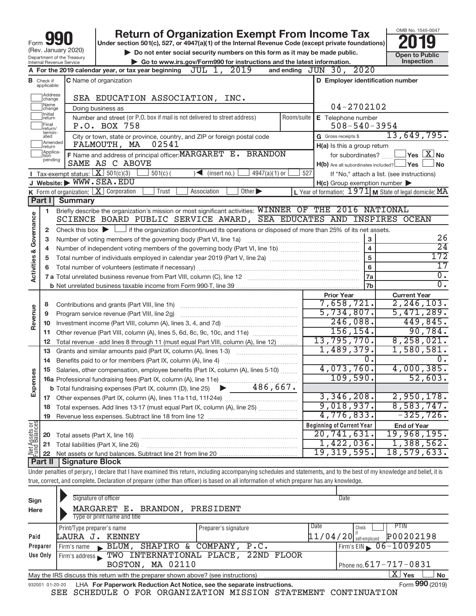|                                                                                                    |                                                                                                                                                                            |                                        | <b>Return of Organization Exempt From Income Tax</b>                                                                                                                              |                                                           | OMB No. 1545-0047                          |  |  |  |
|----------------------------------------------------------------------------------------------------|----------------------------------------------------------------------------------------------------------------------------------------------------------------------------|----------------------------------------|-----------------------------------------------------------------------------------------------------------------------------------------------------------------------------------|-----------------------------------------------------------|--------------------------------------------|--|--|--|
| Form                                                                                               |                                                                                                                                                                            | (Rev. January 2020)                    | Under section 501(c), 527, or 4947(a)(1) of the Internal Revenue Code (except private foundations)<br>Do not enter social security numbers on this form as it may be made public. |                                                           |                                            |  |  |  |
| Department of the Treasury                                                                         | <b>Open to Public</b><br>Inspection                                                                                                                                        |                                        |                                                                                                                                                                                   |                                                           |                                            |  |  |  |
| Go to www.irs.gov/Form990 for instructions and the latest information.<br>Internal Revenue Service |                                                                                                                                                                            |                                        |                                                                                                                                                                                   |                                                           |                                            |  |  |  |
|                                                                                                    |                                                                                                                                                                            |                                        | A For the 2019 calendar year, or tax year beginning $JUL$ 1, $2019$                                                                                                               | 2020<br>and ending $JUN$ 30,                              |                                            |  |  |  |
|                                                                                                    | D Employer identification number<br><b>C</b> Name of organization<br><b>B</b> Check if applicable:                                                                         |                                        |                                                                                                                                                                                   |                                                           |                                            |  |  |  |
|                                                                                                    | Address<br>change<br>Name                                                                                                                                                  |                                        | SEA EDUCATION ASSOCIATION,<br>INC.                                                                                                                                                | $04 - 2702102$                                            |                                            |  |  |  |
|                                                                                                    | change<br>Initial                                                                                                                                                          |                                        | Doing business as                                                                                                                                                                 |                                                           |                                            |  |  |  |
|                                                                                                    | return<br>Final<br> return/                                                                                                                                                |                                        | Number and street (or P.O. box if mail is not delivered to street address)<br>Room/suite<br>P.O. BOX 758                                                                          | E Telephone number<br>$508 - 540 - 3954$                  |                                            |  |  |  |
|                                                                                                    | termin-<br>ated<br>Amended                                                                                                                                                 |                                        | City or town, state or province, country, and ZIP or foreign postal code                                                                                                          | G Gross receipts \$                                       | 13,649,795.                                |  |  |  |
|                                                                                                    | return                                                                                                                                                                     |                                        | 02541<br>FALMOUTH, MA                                                                                                                                                             | H(a) Is this a group return                               |                                            |  |  |  |
|                                                                                                    | Applica-<br>Ition<br>pending                                                                                                                                               |                                        | F Name and address of principal officer: MARGARET E. BRANDON<br>SAME AS C ABOVE                                                                                                   | for subordinates?                                         | $\,$ Yes $\,$ $\,$ $\rm X$ $\,$ No $\,$    |  |  |  |
|                                                                                                    |                                                                                                                                                                            |                                        |                                                                                                                                                                                   | $H(b)$ Are all subordinates included?                     | ⊥Yes<br><b>No</b>                          |  |  |  |
|                                                                                                    |                                                                                                                                                                            | Tax-exempt status: $X \over 301(c)(3)$ | $501(c)$ (<br>$\sim$ (insert no.)<br>$4947(a)(1)$ or                                                                                                                              | 527                                                       | If "No," attach a list. (see instructions) |  |  |  |
|                                                                                                    |                                                                                                                                                                            | J Website: WWW.SEA.EDU                 | Trust<br>Other $\blacktriangleright$                                                                                                                                              | $H(c)$ Group exemption number $\blacktriangleright$       |                                            |  |  |  |
|                                                                                                    | Part I                                                                                                                                                                     | <b>Summary</b>                         | K Form of organization: $X$ Corporation<br>Association                                                                                                                            | L Year of formation: $1971$ M State of legal domicile: MA |                                            |  |  |  |
|                                                                                                    |                                                                                                                                                                            |                                        |                                                                                                                                                                                   |                                                           |                                            |  |  |  |
|                                                                                                    | 1                                                                                                                                                                          |                                        | Briefly describe the organization's mission or most significant activities: WINNER OF THE 2016 NATIONAL<br>SCIENCE BOARD PUBLIC SERVICE AWARD, SEA EDUCATES AND INSPIRES OCEAN    |                                                           |                                            |  |  |  |
| Activities & Governance                                                                            |                                                                                                                                                                            |                                        |                                                                                                                                                                                   |                                                           |                                            |  |  |  |
|                                                                                                    | 2                                                                                                                                                                          |                                        | Check this box $\blacktriangleright$ $\Box$ if the organization discontinued its operations or disposed of more than 25% of its net assets.                                       |                                                           |                                            |  |  |  |
|                                                                                                    | з                                                                                                                                                                          |                                        | Number of voting members of the governing body (Part VI, line 1a)                                                                                                                 | з                                                         | 26                                         |  |  |  |
|                                                                                                    | 4                                                                                                                                                                          |                                        |                                                                                                                                                                                   |                                                           | $\overline{24}$                            |  |  |  |
|                                                                                                    | 5                                                                                                                                                                          |                                        |                                                                                                                                                                                   | 5                                                         | 172                                        |  |  |  |
|                                                                                                    | 6                                                                                                                                                                          |                                        |                                                                                                                                                                                   | 6                                                         | 17                                         |  |  |  |
|                                                                                                    |                                                                                                                                                                            |                                        |                                                                                                                                                                                   | 7a                                                        | $\overline{0}$ .                           |  |  |  |
|                                                                                                    |                                                                                                                                                                            |                                        |                                                                                                                                                                                   | 7b                                                        | $\overline{0}$ .                           |  |  |  |
|                                                                                                    |                                                                                                                                                                            |                                        |                                                                                                                                                                                   | <b>Prior Year</b>                                         | <b>Current Year</b>                        |  |  |  |
|                                                                                                    | 8                                                                                                                                                                          |                                        | Contributions and grants (Part VIII, line 1h)                                                                                                                                     | 7,658,721.                                                | 2, 246, 103.                               |  |  |  |
| Revenue                                                                                            | 9                                                                                                                                                                          |                                        | Program service revenue (Part VIII, line 2g)                                                                                                                                      | 5,734,807.                                                | 5,471,289.                                 |  |  |  |
|                                                                                                    | 10                                                                                                                                                                         |                                        |                                                                                                                                                                                   | 246,088.                                                  | 449,845.                                   |  |  |  |
|                                                                                                    | 11                                                                                                                                                                         |                                        | Other revenue (Part VIII, column (A), lines 5, 6d, 8c, 9c, 10c, and 11e)                                                                                                          | 156, 154.                                                 | 90,784.                                    |  |  |  |
|                                                                                                    | 12                                                                                                                                                                         |                                        | Total revenue - add lines 8 through 11 (must equal Part VIII, column (A), line 12)                                                                                                | 13,795,770.                                               | 8, 258, 021.                               |  |  |  |
|                                                                                                    | 13                                                                                                                                                                         |                                        | Grants and similar amounts paid (Part IX, column (A), lines 1-3)                                                                                                                  | 1,489,379.                                                | 1,580,581.                                 |  |  |  |
|                                                                                                    |                                                                                                                                                                            |                                        |                                                                                                                                                                                   | 0.                                                        | 0.                                         |  |  |  |
|                                                                                                    |                                                                                                                                                                            |                                        | 15 Salaries, other compensation, employee benefits (Part IX, column (A), lines 5-10)                                                                                              | 4,073,760.                                                | 4,000,385.                                 |  |  |  |
| Expenses                                                                                           |                                                                                                                                                                            |                                        |                                                                                                                                                                                   | 109,590.                                                  | 52,603.                                    |  |  |  |
|                                                                                                    |                                                                                                                                                                            |                                        |                                                                                                                                                                                   |                                                           |                                            |  |  |  |
|                                                                                                    |                                                                                                                                                                            |                                        |                                                                                                                                                                                   | 3,346,208.                                                | 2,950,178.                                 |  |  |  |
|                                                                                                    | 18                                                                                                                                                                         |                                        | Total expenses. Add lines 13-17 (must equal Part IX, column (A), line 25) [                                                                                                       | 9,018,937.                                                | 8,583,747.                                 |  |  |  |
|                                                                                                    | 19                                                                                                                                                                         |                                        |                                                                                                                                                                                   | 4,776,833.                                                | $-325,726.$                                |  |  |  |
|                                                                                                    |                                                                                                                                                                            |                                        |                                                                                                                                                                                   | <b>Beginning of Current Year</b>                          | <b>End of Year</b>                         |  |  |  |
| Net Assets or<br>Fund Balances                                                                     | 20                                                                                                                                                                         | Total assets (Part X, line 16)         |                                                                                                                                                                                   | 20, 741, 631.                                             | 19,968,195.                                |  |  |  |
|                                                                                                    | 21                                                                                                                                                                         |                                        | Total liabilities (Part X, line 26)                                                                                                                                               | $1,422,036$ .                                             | 1,388,562.                                 |  |  |  |
|                                                                                                    | 22                                                                                                                                                                         |                                        |                                                                                                                                                                                   | 19, 319, 595.                                             | 18,579,633.                                |  |  |  |
|                                                                                                    | Part II                                                                                                                                                                    | <b>Signature Block</b>                 |                                                                                                                                                                                   |                                                           |                                            |  |  |  |
|                                                                                                    | Under penalties of perjury, I declare that I have examined this return, including accompanying schedules and statements, and to the best of my knowledge and belief, it is |                                        |                                                                                                                                                                                   |                                                           |                                            |  |  |  |

true, correct, and complete. Declaration of preparer (other than officer) is based on all information of which preparer has any knowledge.

| Sign<br>Here    | Signature of officer<br>MARGARET E. BRANDON,<br>Type or print name and title      | PRESIDENT            | Date                         |                                |  |  |  |  |
|-----------------|-----------------------------------------------------------------------------------|----------------------|------------------------------|--------------------------------|--|--|--|--|
|                 | Print/Type preparer's name                                                        | Preparer's signature | Date<br>Check                | <b>PTIN</b>                    |  |  |  |  |
| Paid            | LAURA J. KENNEY                                                                   |                      | $11/04/20$ self-employed     | P00202198                      |  |  |  |  |
| Preparer        | SHAPIRO & COMPANY,<br>BLUM,<br>Firm's name<br>$\mathbf{K}$                        | P.C.                 | Firm's EIN $\, 06 - 1009205$ |                                |  |  |  |  |
| Use Only        | TWO INTERNATIONAL PLACE,<br>Firm's address                                        | 22ND FLOOR           |                              |                                |  |  |  |  |
|                 | BOSTON, MA 02110                                                                  |                      | Phone no. $617 - 717 - 0831$ |                                |  |  |  |  |
|                 | May the IRS discuss this return with the preparer shown above? (see instructions) |                      |                              | $X \mid$<br>∣ Yes<br><b>No</b> |  |  |  |  |
| 932001 01-20-20 | LHA For Paperwork Reduction Act Notice, see the separate instructions.            |                      |                              | Form 990 (2019)                |  |  |  |  |
|                 | COURDITE O ROB ODCANTERATION MICCION CEAREMENT COMETNIUM TON<br>$\alpha \pi \pi$  |                      |                              |                                |  |  |  |  |

SEE SCHEDULE O FOR ORGANIZATION MISSION STATEMENT CONTINUATION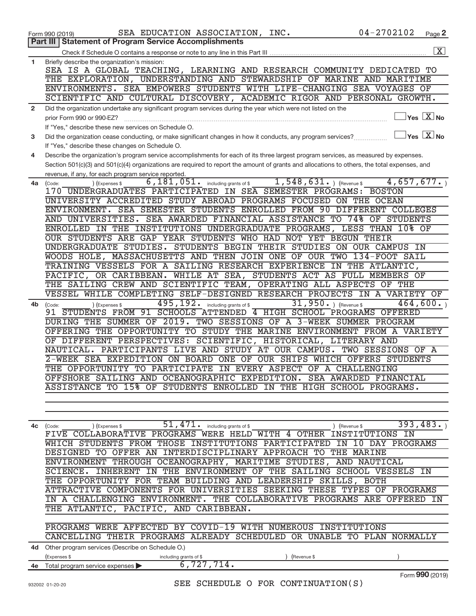|              | SEA EDUCATION ASSOCIATION, INC.<br>Form 990 (2019)                                                                                           | $04 - 2702102$ | Page 2                                              |
|--------------|----------------------------------------------------------------------------------------------------------------------------------------------|----------------|-----------------------------------------------------|
|              | <b>Statement of Program Service Accomplishments</b><br>Part III                                                                              |                |                                                     |
|              |                                                                                                                                              |                | $\boxed{\text{X}}$                                  |
| $\mathbf 1$  | Briefly describe the organization's mission:                                                                                                 |                |                                                     |
|              | SEA IS A GLOBAL TEACHING, LEARNING AND RESEARCH COMMUNITY DEDICATED TO                                                                       |                |                                                     |
|              | THE EXPLORATION, UNDERSTANDING AND STEWARDSHIP OF MARINE AND MARITIME                                                                        |                |                                                     |
|              | ENVIRONMENTS. SEA EMPOWERS STUDENTS WITH LIFE-CHANGING SEA VOYAGES OF                                                                        |                |                                                     |
|              | SCIENTIFIC AND CULTURAL DISCOVERY, ACADEMIC RIGOR AND PERSONAL GROWTH.                                                                       |                |                                                     |
| $\mathbf{2}$ | Did the organization undertake any significant program services during the year which were not listed on the                                 |                |                                                     |
|              |                                                                                                                                              |                | $\sqrt{}$ Yes $\sqrt{}\frac{\text{X}}{\text{N}}$ No |
|              | prior Form 990 or 990-EZ?                                                                                                                    |                |                                                     |
|              | If "Yes," describe these new services on Schedule O.                                                                                         |                | $\exists$ Yes $\boxed{\text{X}}$ No                 |
| 3            | Did the organization cease conducting, or make significant changes in how it conducts, any program services?                                 |                |                                                     |
|              | If "Yes," describe these changes on Schedule O.                                                                                              |                |                                                     |
| 4            | Describe the organization's program service accomplishments for each of its three largest program services, as measured by expenses.         |                |                                                     |
|              | Section 501(c)(3) and 501(c)(4) organizations are required to report the amount of grants and allocations to others, the total expenses, and |                |                                                     |
|              | revenue, if any, for each program service reported.                                                                                          |                |                                                     |
| 4a           | $6,181,051$ . including grants of \$1,548,631. ) (Revenue \$<br>) (Expenses \$<br>(Code:                                                     | 4,657,677.     |                                                     |
|              | 170 UNDERGRADUATES PARTICIPATED IN SEA SEMESTER PROGRAMS: BOSTON                                                                             |                |                                                     |
|              | UNIVERSITY ACCREDITED STUDY ABROAD PROGRAMS FOCUSED ON THE OCEAN                                                                             |                |                                                     |
|              | ENVIRONMENT. SEA SEMESTER STUDENTS ENROLLED FROM 90 DIFFERENT COLLEGES                                                                       |                |                                                     |
|              | AND UNIVERSITIES. SEA AWARDED FINANCIAL ASSISTANCE TO 74% OF STUDENTS                                                                        |                |                                                     |
|              | ENROLLED IN THE INSTITUTIONS UNDERGRADUATE PROGRAMS, LESS THAN 10% OF                                                                        |                |                                                     |
|              | OUR STUDENTS ARE GAP YEAR STUDENTS WHO HAD NOT YET BEGUN THEIR                                                                               |                |                                                     |
|              | UNDERGRADUATE STUDIES. STUDENTS BEGIN THEIR STUDIES ON OUR CAMPUS IN                                                                         |                |                                                     |
|              | WOODS HOLE, MASSACHUSETTS AND THEN JOIN ONE OF OUR TWO 134-FOOT SAIL                                                                         |                |                                                     |
|              | TRAINING VESSELS FOR A SAILING RESEARCH EXPERIENCE IN THE ATLANTIC,                                                                          |                |                                                     |
|              | PACIFIC, OR CARIBBEAN. WHILE AT SEA, STUDENTS ACT AS FULL MEMBERS OF                                                                         |                |                                                     |
|              | THE SAILING CREW AND SCIENTIFIC TEAM, OPERATING ALL ASPECTS OF THE                                                                           |                |                                                     |
|              |                                                                                                                                              |                |                                                     |
|              | VESSEL WHILE COMPLETING SELF-DESIGNED RESEARCH PROJECTS IN A VARIETY OF                                                                      |                |                                                     |
| 4b           | 495, 192. including grants of \$<br>31,950. $ $ (Revenue \$<br>(Expenses \$<br>(Code:                                                        |                | 464,600.                                            |
|              | 91 STUDENTS FROM 91 SCHOOLS ATTENDED 4 HIGH SCHOOL PROGRAMS OFFERED                                                                          |                |                                                     |
|              | DURING THE SUMMER OF 2019. TWO SESSIONS OF A 3-WEEK SUMMER PROGRAM                                                                           |                |                                                     |
|              | OFFERING THE OPPORTUNITY TO STUDY THE MARINE ENVIRONMENT FROM A VARIETY                                                                      |                |                                                     |
|              | OF DIFFERENT PERSPECTIVES: SCIENTIFIC, HISTORICAL, LITERARY AND                                                                              |                |                                                     |
|              | PARTICIPANTS LIVE AND STUDY AT OUR CAMPUS. TWO SESSIONS OF A<br>NAUTICAL.                                                                    |                |                                                     |
|              | 2-WEEK SEA EXPEDITION ON BOARD ONE OF OUR SHIPS WHICH OFFERS STUDENTS                                                                        |                |                                                     |
|              | THE OPPORTUNITY TO PARTICIPATE IN EVERY ASPECT OF A CHALLENGING                                                                              |                |                                                     |
|              | OFFSHORE SAILING AND OCEANOGRAPHIC EXPEDITION. SEA AWARDED FINANCIAL                                                                         |                |                                                     |
|              | ASSISTANCE TO 15% OF STUDENTS ENROLLED IN THE HIGH SCHOOL PROGRAMS.                                                                          |                |                                                     |
|              |                                                                                                                                              |                |                                                     |
|              |                                                                                                                                              |                |                                                     |
|              |                                                                                                                                              |                |                                                     |
| 4с           | 51,471.<br>including grants of \$<br>(Code:<br>(Expenses \$                                                                                  | (Revenue \$    | 393,483.                                            |
|              | FIVE COLLABORATIVE PROGRAMS WERE HELD WITH 4 OTHER INSTITUTIONS IN                                                                           |                |                                                     |
|              | WHICH STUDENTS FROM THOSE INSTITUTIONS PARTICIPATED IN 10 DAY PROGRAMS                                                                       |                |                                                     |
|              | DESIGNED TO OFFER AN INTERDISCIPLINARY APPROACH TO THE MARINE                                                                                |                |                                                     |
|              | ENVIRONMENT THROUGH OCEANOGRAPHY, MARITIME STUDIES, AND NAUTICAL                                                                             |                |                                                     |
|              |                                                                                                                                              |                |                                                     |
|              | SCIENCE. INHERENT IN THE ENVIRONMENT OF THE SAILING SCHOOL VESSELS IN                                                                        |                |                                                     |
|              | THE OPPORTUNITY FOR TEAM BUILDING AND LEADERSHIP SKILLS, BOTH                                                                                |                |                                                     |
|              | ATTRACTIVE COMPONENTS FOR UNIVERSITIES SEEKING THESE TYPES OF PROGRAMS                                                                       |                |                                                     |
|              | IN A CHALLENGING ENVIRONMENT. THE COLLABORATIVE PROGRAMS ARE OFFERED IN                                                                      |                |                                                     |
|              | THE ATLANTIC, PACIFIC, AND CARIBBEAN.                                                                                                        |                |                                                     |
|              |                                                                                                                                              |                |                                                     |
|              | PROGRAMS WERE AFFECTED BY COVID-19 WITH NUMEROUS INSTITUTIONS                                                                                |                |                                                     |
|              | CANCELLING THEIR PROGRAMS ALREADY SCHEDULED OR UNABLE TO PLAN NORMALLY                                                                       |                |                                                     |
|              | 4d Other program services (Describe on Schedule O.)                                                                                          |                |                                                     |
|              | (Expenses \$<br>including grants of \$<br>(Revenue \$                                                                                        |                |                                                     |
|              | 6,727,714.<br>4e Total program service expenses                                                                                              |                |                                                     |
|              |                                                                                                                                              |                | Form 990 (2019)                                     |
|              | SEE SCHEDULE O FOR CONTINUATION(S)<br>932002 01-20-20                                                                                        |                |                                                     |
|              |                                                                                                                                              |                |                                                     |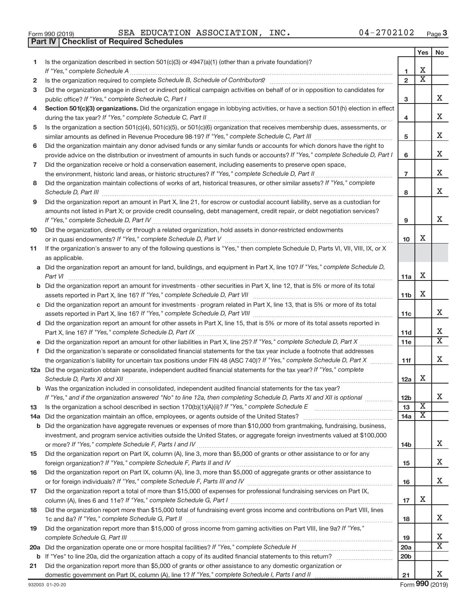| Form 990 (2019) |  | <b>SEA EDUCATIO</b>                              |
|-----------------|--|--------------------------------------------------|
|                 |  | <b>Part IV   Checklist of Required Schedules</b> |

Form 990 (2019)  $SEA$   $EDUCATION$   $ASSOCIATION$ ,  $INC$ .  $04-2702102$   $Page$ 

|    |                                                                                                                                                                                                                                     |                 | Yes                     | No                           |
|----|-------------------------------------------------------------------------------------------------------------------------------------------------------------------------------------------------------------------------------------|-----------------|-------------------------|------------------------------|
| 1. | Is the organization described in section $501(c)(3)$ or $4947(a)(1)$ (other than a private foundation)?                                                                                                                             |                 |                         |                              |
|    | If "Yes," complete Schedule A                                                                                                                                                                                                       | 1               | х                       |                              |
| 2  |                                                                                                                                                                                                                                     | $\overline{2}$  | $\overline{\textbf{x}}$ |                              |
| 3  | Did the organization engage in direct or indirect political campaign activities on behalf of or in opposition to candidates for                                                                                                     |                 |                         |                              |
|    | public office? If "Yes," complete Schedule C, Part I                                                                                                                                                                                | 3               |                         | x                            |
| 4  | Section 501(c)(3) organizations. Did the organization engage in lobbying activities, or have a section 501(h) election in effect                                                                                                    | 4               |                         | x                            |
| 5  | Is the organization a section 501(c)(4), 501(c)(5), or 501(c)(6) organization that receives membership dues, assessments, or                                                                                                        |                 |                         |                              |
|    |                                                                                                                                                                                                                                     | 5               |                         | x                            |
| 6  | Did the organization maintain any donor advised funds or any similar funds or accounts for which donors have the right to                                                                                                           |                 |                         |                              |
|    | provide advice on the distribution or investment of amounts in such funds or accounts? If "Yes," complete Schedule D, Part I                                                                                                        | 6               |                         | X                            |
| 7  | Did the organization receive or hold a conservation easement, including easements to preserve open space,                                                                                                                           |                 |                         |                              |
|    |                                                                                                                                                                                                                                     | $\overline{7}$  |                         | x                            |
| 8  | Did the organization maintain collections of works of art, historical treasures, or other similar assets? If "Yes," complete                                                                                                        |                 |                         |                              |
|    | Schedule D, Part III <b>Process Construction Construction Construction</b> Construction Construction Construction Construction Construction Construction Construction Construction Construction Construction Construction Construct | 8               |                         | x                            |
| 9  | Did the organization report an amount in Part X, line 21, for escrow or custodial account liability, serve as a custodian for                                                                                                       |                 |                         |                              |
|    | amounts not listed in Part X; or provide credit counseling, debt management, credit repair, or debt negotiation services?                                                                                                           | 9               |                         | x                            |
| 10 | Did the organization, directly or through a related organization, hold assets in donor-restricted endowments                                                                                                                        |                 |                         |                              |
|    |                                                                                                                                                                                                                                     | 10              | x                       |                              |
| 11 | If the organization's answer to any of the following questions is "Yes," then complete Schedule D, Parts VI, VII, VIII, IX, or X                                                                                                    |                 |                         |                              |
|    | as applicable.                                                                                                                                                                                                                      |                 |                         |                              |
|    | a Did the organization report an amount for land, buildings, and equipment in Part X, line 10? If "Yes," complete Schedule D,                                                                                                       |                 |                         |                              |
|    | Part VI                                                                                                                                                                                                                             | 11a             | х                       |                              |
|    | <b>b</b> Did the organization report an amount for investments - other securities in Part X, line 12, that is 5% or more of its total                                                                                               |                 |                         |                              |
|    |                                                                                                                                                                                                                                     | 11 <sub>b</sub> | х                       |                              |
|    | c Did the organization report an amount for investments - program related in Part X, line 13, that is 5% or more of its total                                                                                                       |                 |                         |                              |
|    |                                                                                                                                                                                                                                     | 11c             |                         | x                            |
|    | d Did the organization report an amount for other assets in Part X, line 15, that is 5% or more of its total assets reported in                                                                                                     |                 |                         |                              |
|    |                                                                                                                                                                                                                                     | 11d             |                         | x                            |
|    | e Did the organization report an amount for other liabilities in Part X, line 25? If "Yes," complete Schedule D, Part X                                                                                                             | 11e             |                         | $\overline{\texttt{x}}$      |
| f. | Did the organization's separate or consolidated financial statements for the tax year include a footnote that addresses                                                                                                             |                 |                         | x                            |
|    | the organization's liability for uncertain tax positions under FIN 48 (ASC 740)? If "Yes," complete Schedule D, Part X                                                                                                              | 11f             |                         |                              |
|    | 12a Did the organization obtain separate, independent audited financial statements for the tax year? If "Yes," complete                                                                                                             | 12a             | x                       |                              |
|    | <b>b</b> Was the organization included in consolidated, independent audited financial statements for the tax year?                                                                                                                  |                 |                         |                              |
|    | If "Yes," and if the organization answered "No" to line 12a, then completing Schedule D, Parts XI and XII is optional <i>www.</i>                                                                                                   | 12 <sub>b</sub> |                         | Χ                            |
| 13 |                                                                                                                                                                                                                                     | 13              | $\overline{\text{X}}$   |                              |
|    | 14a Did the organization maintain an office, employees, or agents outside of the United States?                                                                                                                                     | 14a             | X                       |                              |
|    | <b>b</b> Did the organization have aggregate revenues or expenses of more than \$10,000 from grantmaking, fundraising, business,                                                                                                    |                 |                         |                              |
|    | investment, and program service activities outside the United States, or aggregate foreign investments valued at \$100,000                                                                                                          |                 |                         |                              |
|    |                                                                                                                                                                                                                                     | 14b             |                         | x                            |
| 15 | Did the organization report on Part IX, column (A), line 3, more than \$5,000 of grants or other assistance to or for any                                                                                                           | 15              |                         | X                            |
| 16 | Did the organization report on Part IX, column (A), line 3, more than \$5,000 of aggregate grants or other assistance to                                                                                                            |                 |                         |                              |
|    |                                                                                                                                                                                                                                     | 16              |                         | x                            |
| 17 | Did the organization report a total of more than \$15,000 of expenses for professional fundraising services on Part IX,                                                                                                             |                 |                         |                              |
|    |                                                                                                                                                                                                                                     | 17              | х                       |                              |
| 18 | Did the organization report more than \$15,000 total of fundraising event gross income and contributions on Part VIII, lines                                                                                                        |                 |                         |                              |
|    |                                                                                                                                                                                                                                     | 18              |                         | x                            |
| 19 | Did the organization report more than \$15,000 of gross income from gaming activities on Part VIII, line 9a? If "Yes,"                                                                                                              |                 |                         |                              |
|    |                                                                                                                                                                                                                                     | 19              |                         | х<br>$\overline{\mathtt{x}}$ |
|    |                                                                                                                                                                                                                                     | 20a             |                         |                              |
|    |                                                                                                                                                                                                                                     | 20 <sub>b</sub> |                         |                              |
| 21 | Did the organization report more than \$5,000 of grants or other assistance to any domestic organization or                                                                                                                         |                 |                         | X                            |
|    | domestic government on Part IX, column (A), line 1? If "Yes," complete Schedule I, Parts I and II                                                                                                                                   | 21              |                         |                              |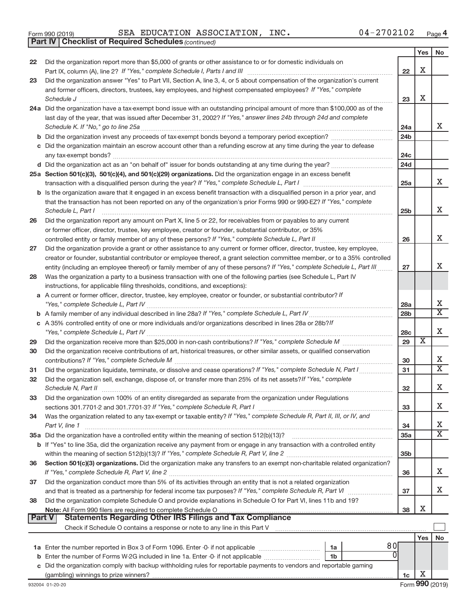|  | Form 990 (2019) |  |
|--|-----------------|--|
|  |                 |  |

*(continued)* **Part IV Checklist of Required Schedules**

Form 990 (2019)  $SEA$   $EDUCATION$   $ASSOCIATION$ ,  $INC$ .  $04-2702102$   $Page$ 

|               |                                                                                                                                    |                 | Yes | No                          |
|---------------|------------------------------------------------------------------------------------------------------------------------------------|-----------------|-----|-----------------------------|
| 22            | Did the organization report more than \$5,000 of grants or other assistance to or for domestic individuals on                      |                 |     |                             |
|               |                                                                                                                                    | 22              | x   |                             |
| 23            | Did the organization answer "Yes" to Part VII, Section A, line 3, 4, or 5 about compensation of the organization's current         |                 |     |                             |
|               | and former officers, directors, trustees, key employees, and highest compensated employees? If "Yes," complete                     |                 |     |                             |
|               | Schedule J                                                                                                                         | 23              | x   |                             |
|               | 24a Did the organization have a tax-exempt bond issue with an outstanding principal amount of more than \$100,000 as of the        |                 |     |                             |
|               | last day of the year, that was issued after December 31, 2002? If "Yes," answer lines 24b through 24d and complete                 |                 |     | х                           |
|               | Schedule K. If "No," go to line 25a                                                                                                | 24a             |     |                             |
|               |                                                                                                                                    | 24 <sub>b</sub> |     |                             |
|               | c Did the organization maintain an escrow account other than a refunding escrow at any time during the year to defease             | 24c             |     |                             |
|               | d Did the organization act as an "on behalf of" issuer for bonds outstanding at any time during the year?                          | 24d             |     |                             |
|               | 25a Section 501(c)(3), 501(c)(4), and 501(c)(29) organizations. Did the organization engage in an excess benefit                   |                 |     |                             |
|               |                                                                                                                                    | 25a             |     | x                           |
|               | b Is the organization aware that it engaged in an excess benefit transaction with a disqualified person in a prior year, and       |                 |     |                             |
|               | that the transaction has not been reported on any of the organization's prior Forms 990 or 990-EZ? If "Yes," complete              |                 |     |                             |
|               | Schedule L, Part I                                                                                                                 | 25 <sub>b</sub> |     | x                           |
| 26            | Did the organization report any amount on Part X, line 5 or 22, for receivables from or payables to any current                    |                 |     |                             |
|               | or former officer, director, trustee, key employee, creator or founder, substantial contributor, or 35%                            |                 |     |                             |
|               | controlled entity or family member of any of these persons? If "Yes," complete Schedule L, Part II                                 | 26              |     | х                           |
| 27            | Did the organization provide a grant or other assistance to any current or former officer, director, trustee, key employee,        |                 |     |                             |
|               | creator or founder, substantial contributor or employee thereof, a grant selection committee member, or to a 35% controlled        |                 |     |                             |
|               | entity (including an employee thereof) or family member of any of these persons? If "Yes," complete Schedule L, Part III           | 27              |     | x                           |
| 28            | Was the organization a party to a business transaction with one of the following parties (see Schedule L, Part IV                  |                 |     |                             |
|               | instructions, for applicable filing thresholds, conditions, and exceptions):                                                       |                 |     |                             |
|               | a A current or former officer, director, trustee, key employee, creator or founder, or substantial contributor? If                 |                 |     |                             |
|               |                                                                                                                                    | 28a             |     | х                           |
|               |                                                                                                                                    | 28 <sub>b</sub> |     | Χ                           |
|               | c A 35% controlled entity of one or more individuals and/or organizations described in lines 28a or 28b?/f                         |                 |     |                             |
|               |                                                                                                                                    | 28c             | х   | х                           |
| 29            |                                                                                                                                    | 29              |     |                             |
| 30            | Did the organization receive contributions of art, historical treasures, or other similar assets, or qualified conservation        | 30              |     | х                           |
| 31            | Did the organization liquidate, terminate, or dissolve and cease operations? If "Yes," complete Schedule N, Part I                 | 31              |     | $\overline{\textnormal{x}}$ |
| 32            | Did the organization sell, exchange, dispose of, or transfer more than 25% of its net assets? If "Yes," complete                   |                 |     |                             |
|               |                                                                                                                                    | 32              |     | Χ                           |
| 33            | Did the organization own 100% of an entity disregarded as separate from the organization under Regulations                         |                 |     |                             |
|               |                                                                                                                                    | 33              |     | х                           |
| 34            | Was the organization related to any tax-exempt or taxable entity? If "Yes," complete Schedule R, Part II, III, or IV, and          |                 |     |                             |
|               | Part V, line 1                                                                                                                     | 34              |     | х                           |
|               |                                                                                                                                    | 35a             |     | х                           |
|               | b If "Yes" to line 35a, did the organization receive any payment from or engage in any transaction with a controlled entity        |                 |     |                             |
|               |                                                                                                                                    | 35 <sub>b</sub> |     |                             |
| 36            | Section 501(c)(3) organizations. Did the organization make any transfers to an exempt non-charitable related organization?         |                 |     |                             |
|               |                                                                                                                                    | 36              |     | x                           |
| 37            | Did the organization conduct more than 5% of its activities through an entity that is not a related organization                   |                 |     |                             |
|               |                                                                                                                                    | 37              |     | x                           |
| 38            | Did the organization complete Schedule O and provide explanations in Schedule O for Part VI, lines 11b and 19?                     |                 |     |                             |
| <b>Part V</b> | Note: All Form 990 filers are required to complete Schedule O.<br><b>Statements Regarding Other IRS Filings and Tax Compliance</b> | 38              | х   |                             |
|               |                                                                                                                                    |                 |     |                             |
|               |                                                                                                                                    |                 | Yes | No                          |
|               | 80<br>1a                                                                                                                           |                 |     |                             |
| b             | 1b                                                                                                                                 |                 |     |                             |
| С             | Did the organization comply with backup withholding rules for reportable payments to vendors and reportable gaming                 |                 |     |                             |
|               |                                                                                                                                    | 1c              | х   |                             |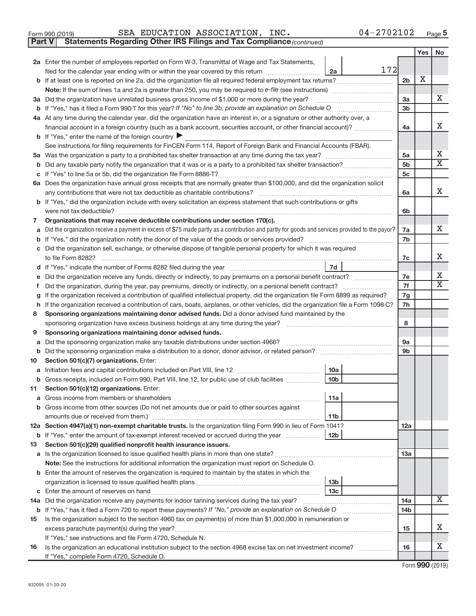|  | Form 990 (2019) |  |
|--|-----------------|--|
|  |                 |  |

Form 990 (2019)  $SEA$   $EDUCATION$   $ASSOCIATION$ ,  $INC$ .  $04-2702102$   $Page$ 

**Part V** Statements Regarding Other IRS Filings and Tax Compliance (continued)

|    |                                                                                                                                                                                  |                      | Yes | No                         |
|----|----------------------------------------------------------------------------------------------------------------------------------------------------------------------------------|----------------------|-----|----------------------------|
|    | 2a Enter the number of employees reported on Form W-3, Transmittal of Wage and Tax Statements,                                                                                   |                      |     |                            |
|    | 172<br>filed for the calendar year ending with or within the year covered by this return <i>[[[[[[[[[[[[[]]]</i> ]]<br>2a                                                        |                      |     |                            |
|    |                                                                                                                                                                                  | 2 <sub>b</sub>       | X   |                            |
|    |                                                                                                                                                                                  |                      |     |                            |
|    | 3a Did the organization have unrelated business gross income of \$1,000 or more during the year?                                                                                 | 3a                   |     | x                          |
|    |                                                                                                                                                                                  | 3 <sub>b</sub>       |     |                            |
|    | 4a At any time during the calendar year, did the organization have an interest in, or a signature or other authority over, a                                                     |                      |     |                            |
|    | financial account in a foreign country (such as a bank account, securities account, or other financial account)?                                                                 | 4a                   |     | х                          |
|    | <b>b</b> If "Yes," enter the name of the foreign country $\blacktriangleright$                                                                                                   |                      |     |                            |
|    | See instructions for filing requirements for FinCEN Form 114, Report of Foreign Bank and Financial Accounts (FBAR).                                                              |                      |     |                            |
|    |                                                                                                                                                                                  | 5a                   |     | Х<br>$\overline{\text{X}}$ |
| b  |                                                                                                                                                                                  | 5 <sub>b</sub><br>5c |     |                            |
|    | 6a Does the organization have annual gross receipts that are normally greater than \$100,000, and did the organization solicit                                                   |                      |     |                            |
|    |                                                                                                                                                                                  |                      |     | Х                          |
|    | any contributions that were not tax deductible as charitable contributions?                                                                                                      | 6a                   |     |                            |
|    | b If "Yes," did the organization include with every solicitation an express statement that such contributions or gifts<br>were not tax deductible?                               |                      |     |                            |
| 7  | Organizations that may receive deductible contributions under section 170(c).                                                                                                    | 6b                   |     |                            |
|    | Did the organization receive a payment in excess of \$75 made partly as a contribution and partly for goods and services provided to the payor?                                  | 7a                   |     | X                          |
|    |                                                                                                                                                                                  | 7b                   |     |                            |
|    | Did the organization sell, exchange, or otherwise dispose of tangible personal property for which it was required                                                                |                      |     |                            |
|    |                                                                                                                                                                                  | 7c                   |     | х                          |
|    | 7d                                                                                                                                                                               |                      |     |                            |
|    | Did the organization receive any funds, directly or indirectly, to pay premiums on a personal benefit contract?                                                                  | 7e                   |     | х                          |
| Ť. | Did the organization, during the year, pay premiums, directly or indirectly, on a personal benefit contract?                                                                     | 7f                   |     | $\overline{\mathbf{X}}$    |
|    | If the organization received a contribution of qualified intellectual property, did the organization file Form 8899 as required?                                                 | 7g                   |     |                            |
| h  | If the organization received a contribution of cars, boats, airplanes, or other vehicles, did the organization file a Form 1098-C?                                               |                      |     |                            |
| 8  | Sponsoring organizations maintaining donor advised funds. Did a donor advised fund maintained by the                                                                             |                      |     |                            |
|    |                                                                                                                                                                                  |                      |     |                            |
| 9  | Sponsoring organizations maintaining donor advised funds.                                                                                                                        |                      |     |                            |
| а  | Did the sponsoring organization make any taxable distributions under section 4966?                                                                                               | 9a                   |     |                            |
| b  |                                                                                                                                                                                  | 9 <sub>b</sub>       |     |                            |
| 10 | Section 501(c)(7) organizations. Enter:                                                                                                                                          |                      |     |                            |
| а  | 10a                                                                                                                                                                              |                      |     |                            |
| b  | 10 <sub>b</sub><br>Gross receipts, included on Form 990, Part VIII, line 12, for public use of club facilities                                                                   |                      |     |                            |
| 11 | Section 501(c)(12) organizations. Enter:                                                                                                                                         |                      |     |                            |
|    | 11a                                                                                                                                                                              |                      |     |                            |
|    | b Gross income from other sources (Do not net amounts due or paid to other sources against                                                                                       |                      |     |                            |
|    | amounts due or received from them.)<br>11b                                                                                                                                       |                      |     |                            |
|    | 12a Section 4947(a)(1) non-exempt charitable trusts. Is the organization filing Form 990 in lieu of Form 1041?                                                                   | 12a                  |     |                            |
| 13 | <b>b</b> If "Yes," enter the amount of tax-exempt interest received or accrued during the year<br><b>12b</b><br>Section 501(c)(29) qualified nonprofit health insurance issuers. |                      |     |                            |
|    |                                                                                                                                                                                  | 13a                  |     |                            |
|    | Note: See the instructions for additional information the organization must report on Schedule O.                                                                                |                      |     |                            |
|    | <b>b</b> Enter the amount of reserves the organization is required to maintain by the states in which the                                                                        |                      |     |                            |
|    | 13 <sub>b</sub>                                                                                                                                                                  |                      |     |                            |
|    | 13 <sub>c</sub>                                                                                                                                                                  |                      |     |                            |
|    | 14a Did the organization receive any payments for indoor tanning services during the tax year?                                                                                   | 14a                  |     | $\overline{\mathbf{X}}$    |
|    | b If "Yes," has it filed a Form 720 to report these payments? If "No," provide an explanation on Schedule O                                                                      | 14 <sub>b</sub>      |     |                            |
| 15 | Is the organization subject to the section 4960 tax on payment(s) of more than \$1,000,000 in remuneration or                                                                    |                      |     |                            |
|    | excess parachute payment(s) during the year?                                                                                                                                     | 15                   |     | x                          |
|    | If "Yes," see instructions and file Form 4720, Schedule N.                                                                                                                       |                      |     |                            |
| 16 | Is the organization an educational institution subject to the section 4968 excise tax on net investment income?                                                                  | 16                   |     | х                          |
|    | If "Yes," complete Form 4720, Schedule O.                                                                                                                                        |                      |     |                            |

Form (2019) **990**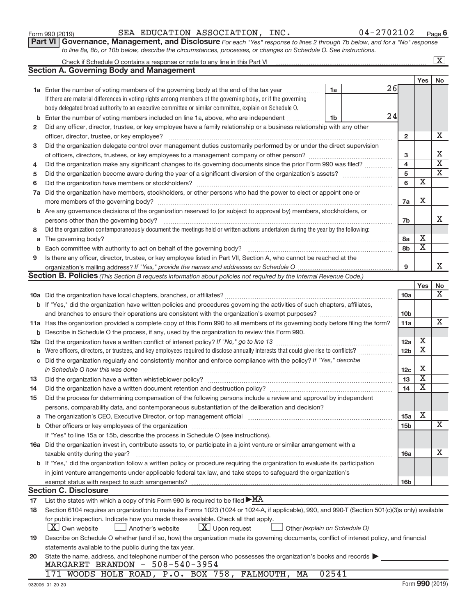**2**

**3**

**4 5 6**

**8**

**9**

# **a** The governing body? ~~~~~~~~~~~~~~~~~~~~~~~~~~~~~~~~~~~~~~~~~~~~~~~~~~~ **b** Each committee with authority to act on behalf of the governing body? ~~~~~~~~~~~~~~~~~~~~~~~~~~ *If "Yes," provide the names and addresses on Schedule O* organization's mailing address? **Section B. Policies** (This Section B requests information about policies not required by the Internal Revenue Code.) Is there any officer, director, trustee, or key employee listed in Part VII, Section A, who cannot be reached at the

**1a** Enter the number of voting members of the governing body at the end of the tax year *www.fronoming* 

Check if Schedule O contains a response or note to any line in this Part VI

**Section A. Governing Body and Management**

If there are material differences in voting rights among members of the governing body, or if the governing body delegated broad authority to an executive committee or similar committee, explain on Schedule O.

**b** Enter the number of voting members included on line 1a, above, who are independent *...*................

**7 a** Did the organization have members, stockholders, or other persons who had the power to elect or appoint one or

**b** Are any governance decisions of the organization reserved to (or subject to approval by) members, stockholders, or

Did any officer, director, trustee, or key employee have a family relationship or a business relationship with any other

officer, director, trustee, or key employee? ~~~~~~~~~~~~~~~~~~~~~~~~~~~~~~~~~~~~~~~~ Did the organization delegate control over management duties customarily performed by or under the direct supervision of officers, directors, trustees, or key employees to a management company or other person? ~~~~~~~~~~~~~~~ Did the organization make any significant changes to its governing documents since the prior Form 990 was filed? ............... Did the organization become aware during the year of a significant diversion of the organization's assets? \_\_\_\_\_\_\_\_\_\_\_\_\_\_\_\_\_\_\_\_\_\_\_\_\_\_\_\_ Did the organization have members or stockholders? ~~~~~~~~~~~~~~~~~~~~~~~~~~~~~~~~~~~

more members of the governing body? ~~~~~~~~~~~~~~~~~~~~~~~~~~~~~~~~~~~~~~~~~~

persons other than the governing body? ~~~~~~~~~~~~~~~~~~~~~~~~~~~~~~~~~~~~~~~~~

Did the organization contemporaneously document the meetings held or written actions undertaken during the year by the following:

|     |                                                                                                                                                  |                 | Yes I                   | No                      |
|-----|--------------------------------------------------------------------------------------------------------------------------------------------------|-----------------|-------------------------|-------------------------|
|     |                                                                                                                                                  | 10a             |                         | X                       |
|     | <b>b</b> If "Yes," did the organization have written policies and procedures governing the activities of such chapters, affiliates,              |                 |                         |                         |
|     | and branches to ensure their operations are consistent with the organization's exempt purposes?                                                  | 10 <sub>b</sub> |                         |                         |
|     | 11a Has the organization provided a complete copy of this Form 990 to all members of its governing body before filing the form?                  | 11a             |                         | $\overline{\mathbf{X}}$ |
| b   | Describe in Schedule O the process, if any, used by the organization to review this Form 990.                                                    |                 |                         |                         |
| 12a |                                                                                                                                                  | 12a             | X                       |                         |
| b   |                                                                                                                                                  | 12 <sub>b</sub> | X                       |                         |
| c   | Did the organization regularly and consistently monitor and enforce compliance with the policy? If "Yes," describe                               |                 |                         |                         |
|     | in Schedule O how this was done                                                                                                                  | 12 <sub>c</sub> | х                       |                         |
| 13  |                                                                                                                                                  | 13              | $\overline{\textbf{X}}$ |                         |
| 14  |                                                                                                                                                  | 14              | X                       |                         |
| 15  | Did the process for determining compensation of the following persons include a review and approval by independent                               |                 |                         |                         |
|     | persons, comparability data, and contemporaneous substantiation of the deliberation and decision?                                                |                 |                         |                         |
| a   |                                                                                                                                                  | 15a             | X                       |                         |
|     | <b>b</b> Other officers or key employees of the organization                                                                                     | 15 <sub>b</sub> |                         | X                       |
|     | If "Yes" to line 15a or 15b, describe the process in Schedule O (see instructions).                                                              |                 |                         |                         |
|     | 16a Did the organization invest in, contribute assets to, or participate in a joint venture or similar arrangement with a                        |                 |                         |                         |
|     | taxable entity during the year?                                                                                                                  | 16a             |                         | х                       |
|     | b If "Yes," did the organization follow a written policy or procedure requiring the organization to evaluate its participation                   |                 |                         |                         |
|     | in joint venture arrangements under applicable federal tax law, and take steps to safeguard the organization's                                   |                 |                         |                         |
|     |                                                                                                                                                  | 16 <sub>b</sub> |                         |                         |
|     | <b>Section C. Disclosure</b>                                                                                                                     |                 |                         |                         |
| 17  | List the states with which a copy of this Form 990 is required to be filed $\blacktriangleright$ MA                                              |                 |                         |                         |
| 18  | Section 6104 requires an organization to make its Forms 1023 (1024 or 1024-A, if applicable), 990, and 990-T (Section 501(c)(3)s only) available |                 |                         |                         |
|     | for public inspection. Indicate how you made these available. Check all that apply.                                                              |                 |                         |                         |
|     | X Own website<br>$\lfloor x \rfloor$ Upon request<br>Another's website<br>Other (explain on Schedule O)                                          |                 |                         |                         |
| 19  | Describe on Schedule O whether (and if so, how) the organization made its governing documents, conflict of interest policy, and financial        |                 |                         |                         |
|     | statements available to the public during the tax year.                                                                                          |                 |                         |                         |
| 20  | State the name, address, and telephone number of the person who possesses the organization's books and records                                   |                 |                         |                         |

| MARGARET BRANDON - 508-540-3954 |  |  |  |
|---------------------------------|--|--|--|
|                                 |  |  |  |

|  |  |  | 171 WOODS HOLE ROAD, P.O. BOX 758, FALMOUTH, MA 02541 |  |
|--|--|--|-------------------------------------------------------|--|
|  |  |  |                                                       |  |

| Form 990 (2019) |  | SEA EDUCATION ASSOCIATION, INC. | 04-2702102                                                                                                                  | Page |
|-----------------|--|---------------------------------|-----------------------------------------------------------------------------------------------------------------------------|------|
|                 |  |                                 | Part VI Governance, Management, and Disclosure For each "Yes" response to lines 2 through 7b below, and for a "No" response |      |
|                 |  |                                 | to line 8a, 8b, or 10b below, describe the circumstances, processes, or changes on Schedule O. See instructions.            |      |

**6**

**2**

26

24

**7a**

X

X

X X

**7b**

**8a 8b**

**9**

**Yes No**

 $\boxed{\text{X}}$ 

X

X  $\overline{\text{x}}$ X

X

X

**1a**

**1b**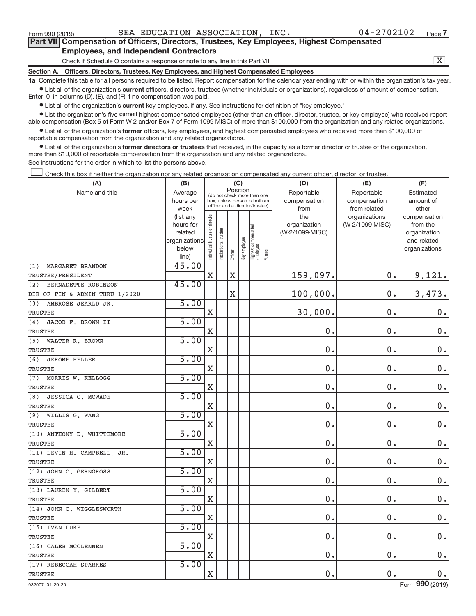**•** List all of the organization's **current** key employees, if any. See instructions for definition of "key employee."

**Examber 1** List the organization's five *current* highest compensated employees (other than an officer, director, trustee, or key employee) who received reportable compensation (Box 5 of Form W-2 and/or Box 7 of Form 1099-MISC) of more than \$100,000 from the organization and any related organizations.

 $\bullet$  List all of the organization's former officers, key employees, and highest compensated employees who received more than \$100,000 of reportable compensation from the organization and any related organizations.

**•** List all of the organization's former directors or trustees that received, in the capacity as a former director or trustee of the organization, more than \$10,000 of reportable compensation from the organization and any related organizations.

See instructions for the order in which to list the persons above.

Check this box if neither the organization nor any related organization compensated any current officer, director, or trustee.  $\overline{\phantom{a}}$ 

| (A)                            | (B)                                                                  |                                |                            | (C)                                                                                                         |              |                                 |        | (D)                                    | (E)                                        | (F)                                                                      |
|--------------------------------|----------------------------------------------------------------------|--------------------------------|----------------------------|-------------------------------------------------------------------------------------------------------------|--------------|---------------------------------|--------|----------------------------------------|--------------------------------------------|--------------------------------------------------------------------------|
| Name and title                 | Average<br>hours per<br>week                                         |                                |                            | Position<br>(do not check more than one<br>box, unless person is both an<br>officer and a director/trustee) |              |                                 |        | Reportable<br>compensation<br>from     | Reportable<br>compensation<br>from related | Estimated<br>amount of<br>other                                          |
|                                | (list any<br>hours for<br>related<br>organizations<br>below<br>line) | Individual trustee or director | trustee<br>Institutional t | Officer                                                                                                     | Key employee | Highest compensated<br>employee | Former | the<br>organization<br>(W-2/1099-MISC) | organizations<br>(W-2/1099-MISC)           | compensation<br>from the<br>organization<br>and related<br>organizations |
| MARGARET BRANDON<br>(1)        | 45.00                                                                |                                |                            |                                                                                                             |              |                                 |        |                                        |                                            |                                                                          |
| TRUSTEE/PRESIDENT              |                                                                      | X                              |                            | X                                                                                                           |              |                                 |        | 159,097.                               | 0.                                         | 9,121.                                                                   |
| (2)<br>BERNADETTE ROBINSON     | 45.00                                                                |                                |                            |                                                                                                             |              |                                 |        |                                        |                                            |                                                                          |
| DIR OF FIN & ADMIN THRU 1/2020 |                                                                      |                                |                            | Χ                                                                                                           |              |                                 |        | 100,000.                               | 0.                                         | 3,473.                                                                   |
| AMBROSE JEARLD JR.<br>(3)      | 5.00                                                                 |                                |                            |                                                                                                             |              |                                 |        |                                        |                                            |                                                                          |
| <b>TRUSTEE</b>                 |                                                                      | X                              |                            |                                                                                                             |              |                                 |        | 30,000.                                | $\mathbf 0$                                | $0$ .                                                                    |
| (4)<br>JACOB F. BROWN II       | 5.00                                                                 |                                |                            |                                                                                                             |              |                                 |        |                                        |                                            |                                                                          |
| TRUSTEE                        |                                                                      | X                              |                            |                                                                                                             |              |                                 |        | 0.                                     | $\mathbf 0$                                | $0$ .                                                                    |
| WALTER R. BROWN<br>(5)         | 5.00                                                                 |                                |                            |                                                                                                             |              |                                 |        |                                        |                                            |                                                                          |
| TRUSTEE                        |                                                                      | X                              |                            |                                                                                                             |              |                                 |        | 0.                                     | $\mathbf 0$                                | $0$ .                                                                    |
| (6)<br><b>JEROME HELLER</b>    | 5.00                                                                 |                                |                            |                                                                                                             |              |                                 |        |                                        |                                            |                                                                          |
| TRUSTEE                        |                                                                      | X                              |                            |                                                                                                             |              |                                 |        | 0.                                     | $\mathbf 0$                                | $0$ .                                                                    |
| (7)<br>MORRIS W. KELLOGG       | 5.00                                                                 |                                |                            |                                                                                                             |              |                                 |        |                                        |                                            |                                                                          |
| TRUSTEE                        |                                                                      | X                              |                            |                                                                                                             |              |                                 |        | 0.                                     | $\mathbf 0$                                | $\mathbf 0$ .                                                            |
| (8)<br>JESSICA C. MCWADE       | 5.00                                                                 |                                |                            |                                                                                                             |              |                                 |        |                                        |                                            |                                                                          |
| TRUSTEE                        |                                                                      | X                              |                            |                                                                                                             |              |                                 |        | 0.                                     | $\mathbf 0$                                | $0$ .                                                                    |
| (9)<br>WILLIS G. WANG          | 5.00                                                                 |                                |                            |                                                                                                             |              |                                 |        |                                        |                                            |                                                                          |
| TRUSTEE                        |                                                                      | X                              |                            |                                                                                                             |              |                                 |        | 0.                                     | $\mathbf 0$                                | $0$ .                                                                    |
| (10) ANTHONY D. WHITTEMORE     | 5.00                                                                 |                                |                            |                                                                                                             |              |                                 |        |                                        |                                            |                                                                          |
| TRUSTEE                        |                                                                      | X                              |                            |                                                                                                             |              |                                 |        | 0.                                     | $\mathbf 0$                                | $0$ .                                                                    |
| (11) LEVIN H. CAMPBELL, JR.    | 5.00                                                                 |                                |                            |                                                                                                             |              |                                 |        |                                        |                                            |                                                                          |
| TRUSTEE                        |                                                                      | X                              |                            |                                                                                                             |              |                                 |        | 0.                                     | $\mathbf 0$                                | $0$ .                                                                    |
| (12) JOHN C. GERNGROSS         | 5.00                                                                 |                                |                            |                                                                                                             |              |                                 |        |                                        |                                            |                                                                          |
| TRUSTEE                        |                                                                      | X                              |                            |                                                                                                             |              |                                 |        | 0.                                     | $\mathbf 0$                                | $0$ .                                                                    |
| (13) LAUREN Y. GILBERT         | 5.00                                                                 |                                |                            |                                                                                                             |              |                                 |        |                                        |                                            |                                                                          |
| TRUSTEE                        |                                                                      | X                              |                            |                                                                                                             |              |                                 |        | 0.                                     | $\mathbf 0$                                | $0$ .                                                                    |
| (14) JOHN C. WIGGLESWORTH      | 5.00                                                                 |                                |                            |                                                                                                             |              |                                 |        |                                        |                                            |                                                                          |
| TRUSTEE                        |                                                                      | X                              |                            |                                                                                                             |              |                                 |        | 0.                                     | $\mathbf 0$                                | $0$ .                                                                    |
| (15) IVAN LUKE                 | 5.00                                                                 |                                |                            |                                                                                                             |              |                                 |        |                                        |                                            |                                                                          |
| TRUSTEE                        |                                                                      | X                              |                            |                                                                                                             |              |                                 |        | 0.                                     | $\mathbf 0$                                | $0$ .                                                                    |
| (16) CALEB MCCLENNEN           | 5.00                                                                 |                                |                            |                                                                                                             |              |                                 |        |                                        |                                            |                                                                          |
| TRUSTEE                        |                                                                      | X                              |                            |                                                                                                             |              |                                 |        | 0.                                     | $\mathbf 0$                                | $0$ .                                                                    |
| (17) REBECCAH SPARKES          | 5.00                                                                 |                                |                            |                                                                                                             |              |                                 |        |                                        |                                            |                                                                          |
| TRUSTEE                        |                                                                      | X                              |                            |                                                                                                             |              |                                 |        | 0.                                     | 0.                                         | $0$ .                                                                    |

Form 990 (2019)  $SEA$   $EDUCATION$   $ASSOCIATION$ ,  $INC$ .  $04-2702102$   $Page$ 

932007 01-20-20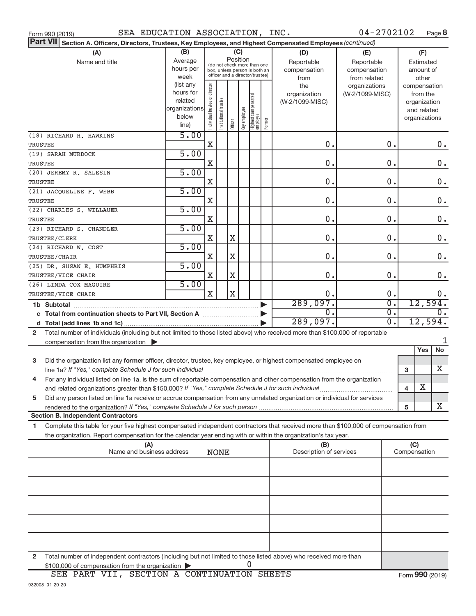| Form 990 (2019) |  |
|-----------------|--|
| $D2$ $H$ $VII$  |  |

Form 990 (2019)  $SEA$   $EDUCATION$   $ASSOCIATION$ ,  $INC$ .  $04-2702102$  Page

04-2702102 Page 8

|                | <b>Part VII</b> Section A. Officers, Directors, Trustees, Key Employees, and Highest Compensated Employees (continued)                                              |                          |                               |                       |                       |                           |                                  |        |                                |                 |                  |                         |                     |           |
|----------------|---------------------------------------------------------------------------------------------------------------------------------------------------------------------|--------------------------|-------------------------------|-----------------------|-----------------------|---------------------------|----------------------------------|--------|--------------------------------|-----------------|------------------|-------------------------|---------------------|-----------|
|                | (A)                                                                                                                                                                 | (B)                      |                               |                       |                       | (C)                       |                                  |        | (D)                            | (E)             |                  |                         | (F)                 |           |
|                | Name and title                                                                                                                                                      | Average                  |                               |                       |                       | Position                  | (do not check more than one      |        | Reportable                     | Reportable      |                  |                         | Estimated           |           |
|                |                                                                                                                                                                     | hours per                |                               |                       |                       |                           | box, unless person is both an    |        | compensation                   | compensation    |                  |                         | amount of           |           |
|                |                                                                                                                                                                     | week                     |                               |                       |                       |                           | officer and a director/trustee)  |        | from                           | from related    |                  |                         | other               |           |
|                |                                                                                                                                                                     | (list any                |                               |                       |                       |                           |                                  |        | the                            | organizations   |                  |                         | compensation        |           |
|                |                                                                                                                                                                     | hours for                |                               |                       |                       |                           |                                  |        | organization                   | (W-2/1099-MISC) |                  |                         | from the            |           |
|                |                                                                                                                                                                     | related<br>organizations |                               |                       |                       |                           |                                  |        | (W-2/1099-MISC)                |                 |                  |                         | organization        |           |
|                |                                                                                                                                                                     | below                    |                               |                       |                       |                           |                                  |        |                                |                 |                  |                         | and related         |           |
|                |                                                                                                                                                                     | line)                    | ndividual trustee or director | Institutional trustee |                       | Officer<br>  Key employee | Highest compensated<br> employee | Former |                                |                 |                  |                         | organizations       |           |
|                |                                                                                                                                                                     | 5.00                     |                               |                       |                       |                           |                                  |        |                                |                 |                  |                         |                     |           |
|                | (18) RICHARD H. HAWKINS                                                                                                                                             |                          |                               |                       |                       |                           |                                  |        |                                |                 |                  |                         |                     |           |
| <b>TRUSTEE</b> |                                                                                                                                                                     |                          | X                             |                       |                       |                           |                                  |        | 0.                             |                 | 0.               |                         |                     | $0$ .     |
|                | (19) SARAH MURDOCK                                                                                                                                                  | 5.00                     |                               |                       |                       |                           |                                  |        |                                |                 |                  |                         |                     |           |
| <b>TRUSTEE</b> |                                                                                                                                                                     |                          | X                             |                       |                       |                           |                                  |        | 0.                             |                 | 0.               |                         |                     | $0$ .     |
|                | (20) JEREMY R. SALESIN                                                                                                                                              | 5.00                     |                               |                       |                       |                           |                                  |        |                                |                 |                  |                         |                     |           |
| <b>TRUSTEE</b> |                                                                                                                                                                     |                          | X                             |                       |                       |                           |                                  |        | 0.                             |                 | 0.               |                         |                     | 0.        |
|                | (21) JACQUELINE F. WEBB                                                                                                                                             | 5.00                     |                               |                       |                       |                           |                                  |        |                                |                 |                  |                         |                     |           |
| <b>TRUSTEE</b> |                                                                                                                                                                     |                          | X                             |                       |                       |                           |                                  |        | 0.                             |                 | 0.               |                         |                     | 0.        |
|                | (22) CHARLES S. WILLAUER                                                                                                                                            | 5.00                     |                               |                       |                       |                           |                                  |        |                                |                 |                  |                         |                     |           |
| <b>TRUSTEE</b> |                                                                                                                                                                     |                          | X                             |                       |                       |                           |                                  |        | 0.                             |                 | 0.               |                         |                     | $0$ .     |
|                | (23) RICHARD S. CHANDLER                                                                                                                                            | 5.00                     |                               |                       |                       |                           |                                  |        |                                |                 |                  |                         |                     |           |
|                | TRUSTEE/CLERK                                                                                                                                                       |                          | X                             |                       | X                     |                           |                                  |        | 0.                             |                 | 0.               |                         |                     | 0.        |
|                | (24) RICHARD W. COST                                                                                                                                                | 5.00                     |                               |                       |                       |                           |                                  |        |                                |                 |                  |                         |                     |           |
|                | TRUSTEE/CHAIR                                                                                                                                                       |                          | X                             |                       | X                     |                           |                                  |        | 0.                             |                 | 0.               |                         |                     | 0.        |
|                | (25) DR. SUSAN E. HUMPHRIS                                                                                                                                          | 5.00                     |                               |                       |                       |                           |                                  |        |                                |                 |                  |                         |                     |           |
|                | TRUSTEE/VICE CHAIR                                                                                                                                                  |                          | X                             |                       | X                     |                           |                                  |        | 0.                             |                 | 0.               |                         |                     | 0.        |
|                | (26) LINDA COX MAGUIRE                                                                                                                                              | 5.00                     |                               |                       |                       |                           |                                  |        |                                |                 |                  |                         |                     |           |
|                | TRUSTEE/VICE CHAIR                                                                                                                                                  |                          | $\rm X$                       |                       | $\overline{\text{X}}$ |                           |                                  |        | 0.                             |                 | 0.               |                         |                     | 0.        |
|                |                                                                                                                                                                     |                          |                               |                       |                       |                           |                                  |        | 289,097.                       |                 | σ.               |                         | 12,594.             |           |
|                | c Total from continuation sheets to Part VII, Section A [111] [120] [20]                                                                                            |                          |                               |                       |                       |                           |                                  |        | $\overline{0}$ .               |                 | σ.               |                         |                     | 0.        |
|                |                                                                                                                                                                     |                          |                               |                       |                       |                           |                                  |        | 289,097.                       |                 | $\overline{0}$ . |                         | 12,594.             |           |
| $\mathbf{2}$   | Total number of individuals (including but not limited to those listed above) who received more than \$100,000 of reportable                                        |                          |                               |                       |                       |                           |                                  |        |                                |                 |                  |                         |                     |           |
|                | compensation from the organization $\blacktriangleright$                                                                                                            |                          |                               |                       |                       |                           |                                  |        |                                |                 |                  |                         |                     | 1         |
|                |                                                                                                                                                                     |                          |                               |                       |                       |                           |                                  |        |                                |                 |                  |                         | Yes                 | <b>No</b> |
| 3              | Did the organization list any former officer, director, trustee, key employee, or highest compensated employee on                                                   |                          |                               |                       |                       |                           |                                  |        |                                |                 |                  |                         |                     |           |
|                |                                                                                                                                                                     |                          |                               |                       |                       |                           |                                  |        |                                |                 |                  | 3                       |                     | x         |
| 4              | For any individual listed on line 1a, is the sum of reportable compensation and other compensation from the organization                                            |                          |                               |                       |                       |                           |                                  |        |                                |                 |                  |                         |                     |           |
|                | and related organizations greater than \$150,000? If "Yes," complete Schedule J for such individual                                                                 |                          |                               |                       |                       |                           |                                  |        |                                |                 |                  | $\overline{\mathbf{4}}$ | X                   |           |
| 5              | Did any person listed on line 1a receive or accrue compensation from any unrelated organization or individual for services                                          |                          |                               |                       |                       |                           |                                  |        |                                |                 |                  |                         |                     |           |
|                |                                                                                                                                                                     |                          |                               |                       |                       |                           |                                  |        |                                |                 |                  | 5                       |                     | X.        |
|                | Section B. Independent Contractors                                                                                                                                  |                          |                               |                       |                       |                           |                                  |        |                                |                 |                  |                         |                     |           |
| 1              | Complete this table for your five highest compensated independent contractors that received more than \$100,000 of compensation from                                |                          |                               |                       |                       |                           |                                  |        |                                |                 |                  |                         |                     |           |
|                |                                                                                                                                                                     |                          |                               |                       |                       |                           |                                  |        |                                |                 |                  |                         |                     |           |
|                | the organization. Report compensation for the calendar year ending with or within the organization's tax year.                                                      |                          |                               |                       |                       |                           |                                  |        |                                |                 |                  |                         |                     |           |
|                | (A)<br>Name and business address                                                                                                                                    |                          |                               | <b>NONE</b>           |                       |                           |                                  |        | (B)<br>Description of services |                 |                  |                         | (C)<br>Compensation |           |
|                |                                                                                                                                                                     |                          |                               |                       |                       |                           |                                  |        |                                |                 |                  |                         |                     |           |
|                |                                                                                                                                                                     |                          |                               |                       |                       |                           |                                  |        |                                |                 |                  |                         |                     |           |
|                |                                                                                                                                                                     |                          |                               |                       |                       |                           |                                  |        |                                |                 |                  |                         |                     |           |
|                |                                                                                                                                                                     |                          |                               |                       |                       |                           |                                  |        |                                |                 |                  |                         |                     |           |
|                |                                                                                                                                                                     |                          |                               |                       |                       |                           |                                  |        |                                |                 |                  |                         |                     |           |
|                |                                                                                                                                                                     |                          |                               |                       |                       |                           |                                  |        |                                |                 |                  |                         |                     |           |
|                |                                                                                                                                                                     |                          |                               |                       |                       |                           |                                  |        |                                |                 |                  |                         |                     |           |
|                |                                                                                                                                                                     |                          |                               |                       |                       |                           |                                  |        |                                |                 |                  |                         |                     |           |
|                |                                                                                                                                                                     |                          |                               |                       |                       |                           |                                  |        |                                |                 |                  |                         |                     |           |
|                |                                                                                                                                                                     |                          |                               |                       |                       |                           |                                  |        |                                |                 |                  |                         |                     |           |
|                |                                                                                                                                                                     |                          |                               |                       |                       |                           |                                  |        |                                |                 |                  |                         |                     |           |
| 2              | Total number of independent contractors (including but not limited to those listed above) who received more than<br>\$100,000 of compensation from the organization |                          |                               |                       |                       |                           | U                                |        |                                |                 |                  |                         |                     |           |
|                |                                                                                                                                                                     |                          |                               |                       |                       |                           |                                  |        |                                |                 |                  |                         |                     |           |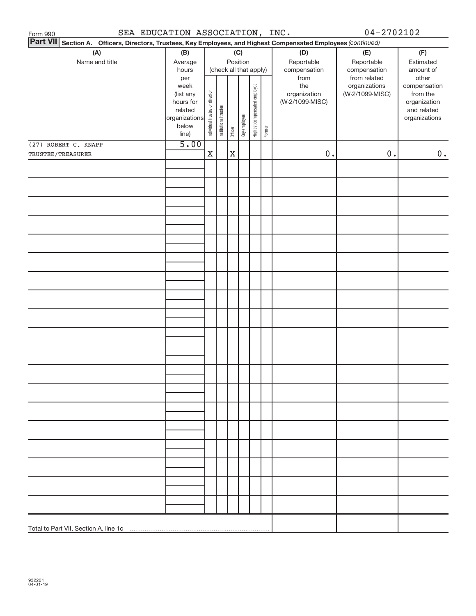| SEA EDUCATION ASSOCIATION, INC.<br>Form 990                                                                     |                                                                                     |                                |                       |             |              |                              |        |                                                | $04 - 2702102$                                   |                                                                                   |
|-----------------------------------------------------------------------------------------------------------------|-------------------------------------------------------------------------------------|--------------------------------|-----------------------|-------------|--------------|------------------------------|--------|------------------------------------------------|--------------------------------------------------|-----------------------------------------------------------------------------------|
| Part VII Section A. Officers, Directors, Trustees, Key Employees, and Highest Compensated Employees (continued) |                                                                                     |                                |                       |             |              |                              |        |                                                |                                                  |                                                                                   |
| (A)<br>Name and title                                                                                           | (B)<br>Average<br>hours                                                             |                                |                       | (C)         | Position     | (check all that apply)       |        | (D)<br>Reportable<br>compensation              | (E)<br>Reportable<br>compensation                | (F)<br>Estimated<br>amount of                                                     |
|                                                                                                                 | per<br>week<br>(list any<br>hours for<br>related<br>organizations<br>below<br>line) | Individual trustee or director | Institutional trustee | Officer     | Key employee | Highest compensated employee | Former | from<br>the<br>organization<br>(W-2/1099-MISC) | from related<br>organizations<br>(W-2/1099-MISC) | other<br>compensation<br>from the<br>organization<br>and related<br>organizations |
| (27) ROBERT C. KNAPP                                                                                            | 5.00                                                                                |                                |                       |             |              |                              |        |                                                |                                                  |                                                                                   |
| TRUSTEE/TREASURER                                                                                               |                                                                                     | X                              |                       | $\mathbf X$ |              |                              |        | $0$ .                                          | $0$ .                                            | 0.                                                                                |
|                                                                                                                 |                                                                                     |                                |                       |             |              |                              |        |                                                |                                                  |                                                                                   |
|                                                                                                                 |                                                                                     |                                |                       |             |              |                              |        |                                                |                                                  |                                                                                   |
|                                                                                                                 |                                                                                     |                                |                       |             |              |                              |        |                                                |                                                  |                                                                                   |
|                                                                                                                 |                                                                                     |                                |                       |             |              |                              |        |                                                |                                                  |                                                                                   |
|                                                                                                                 |                                                                                     |                                |                       |             |              |                              |        |                                                |                                                  |                                                                                   |
|                                                                                                                 |                                                                                     |                                |                       |             |              |                              |        |                                                |                                                  |                                                                                   |
|                                                                                                                 |                                                                                     |                                |                       |             |              |                              |        |                                                |                                                  |                                                                                   |
|                                                                                                                 |                                                                                     |                                |                       |             |              |                              |        |                                                |                                                  |                                                                                   |
|                                                                                                                 |                                                                                     |                                |                       |             |              |                              |        |                                                |                                                  |                                                                                   |
|                                                                                                                 |                                                                                     |                                |                       |             |              |                              |        |                                                |                                                  |                                                                                   |
|                                                                                                                 |                                                                                     |                                |                       |             |              |                              |        |                                                |                                                  |                                                                                   |
|                                                                                                                 |                                                                                     |                                |                       |             |              |                              |        |                                                |                                                  |                                                                                   |
|                                                                                                                 |                                                                                     |                                |                       |             |              |                              |        |                                                |                                                  |                                                                                   |
|                                                                                                                 |                                                                                     |                                |                       |             |              |                              |        |                                                |                                                  |                                                                                   |
|                                                                                                                 |                                                                                     |                                |                       |             |              |                              |        |                                                |                                                  |                                                                                   |
|                                                                                                                 |                                                                                     |                                |                       |             |              |                              |        |                                                |                                                  |                                                                                   |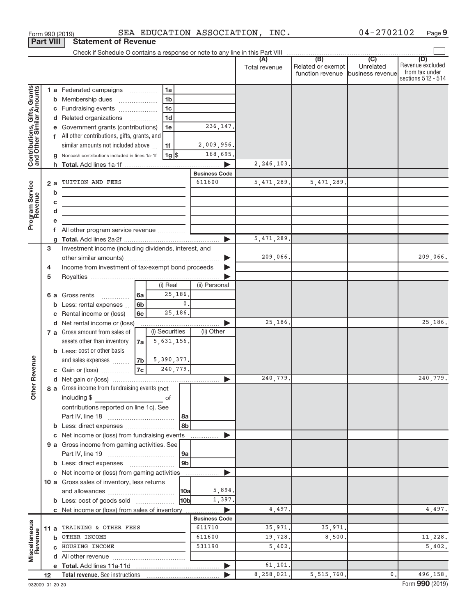| <b>Part VIII</b>                                                             |             |             | <b>Statement of Revenue</b>                                                                                                                                                                                                                                                                                                                                                                                                                                                                                                                |                              |                                                                                            |                                                                           |                                              |                                                        |           |                                                                 |
|------------------------------------------------------------------------------|-------------|-------------|--------------------------------------------------------------------------------------------------------------------------------------------------------------------------------------------------------------------------------------------------------------------------------------------------------------------------------------------------------------------------------------------------------------------------------------------------------------------------------------------------------------------------------------------|------------------------------|--------------------------------------------------------------------------------------------|---------------------------------------------------------------------------|----------------------------------------------|--------------------------------------------------------|-----------|-----------------------------------------------------------------|
|                                                                              |             |             |                                                                                                                                                                                                                                                                                                                                                                                                                                                                                                                                            |                              |                                                                                            |                                                                           |                                              |                                                        |           |                                                                 |
|                                                                              |             |             |                                                                                                                                                                                                                                                                                                                                                                                                                                                                                                                                            |                              |                                                                                            |                                                                           | Total revenue                                | Related or exempt<br>function revenue business revenue | Unrelated | (D)<br>Revenue excluded<br>from tax under<br>sections 512 - 514 |
| Contributions, Gifts, Grants<br>and Other Similar Amounts<br>Program Service |             | b<br>c<br>d | 1 a Federated campaigns<br><b>b</b> Membership dues<br>c Fundraising events<br>d Related organizations<br>e Government grants (contributions)<br>f All other contributions, gifts, grants, and<br>similar amounts not included above<br>g Noncash contributions included in lines 1a-1f<br>2 a TUITION AND FEES<br>the control of the control of the control of the control of<br>the control of the control of the control of the control of the control of<br>the control of the control of the control of the control of the control of |                              | 1a<br>1 <sub>b</sub><br>1 <sub>c</sub><br>1 <sub>d</sub><br>1e<br>1f<br>$1g$ $\frac{1}{3}$ | 236,147.<br>2,009,956.<br>168,695.<br><b>Business Code</b><br>611600<br>ь | 2, 246, 103.<br>5, 471, 289.<br>5, 471, 289. | 5,471,289.                                             |           |                                                                 |
|                                                                              | 3<br>4<br>5 |             | Investment income (including dividends, interest, and<br>Income from investment of tax-exempt bond proceeds                                                                                                                                                                                                                                                                                                                                                                                                                                |                              |                                                                                            |                                                                           | 209,066.                                     |                                                        |           | 209,066.                                                        |
|                                                                              |             |             | <b>6 a</b> Gross rents<br>$\overline{\phantom{a}}$<br><b>b</b> Less: rental expenses<br>c Rental income or (loss)                                                                                                                                                                                                                                                                                                                                                                                                                          | l 6a<br>6 <sub>b</sub><br>6с | (i) Real<br>25,186.<br>$\mathbf{0}$ .<br>25,186.                                           | (ii) Personal                                                             |                                              |                                                        |           |                                                                 |
|                                                                              |             |             | d Net rental income or (loss)<br>7 a Gross amount from sales of<br>assets other than inventory<br><b>b</b> Less: cost or other basis<br>and sales expenses                                                                                                                                                                                                                                                                                                                                                                                 | 7a l<br>7b                   | (i) Securities<br>5,631,156.<br>5,390,377.                                                 | (ii) Other                                                                | 25,186.                                      |                                                        |           | 25,186.                                                         |
| Revenue                                                                      |             |             | c Gain or (loss)<br>8 a Gross income from fundraising events (not                                                                                                                                                                                                                                                                                                                                                                                                                                                                          | 7c                           | 240,779.                                                                                   |                                                                           | 240,779.                                     |                                                        |           | 240,779.                                                        |
| $\check{\bar{\sigma}}$                                                       |             |             | including \$<br>$\mathcal{L}^{\mathcal{L}}(\mathcal{L}^{\mathcal{L}})$ and $\mathcal{L}^{\mathcal{L}}(\mathcal{L}^{\mathcal{L}})$ and $\mathcal{L}^{\mathcal{L}}(\mathcal{L}^{\mathcal{L}})$<br>contributions reported on line 1c). See                                                                                                                                                                                                                                                                                                    |                              | оf<br>l 8a<br>8b                                                                           |                                                                           |                                              |                                                        |           |                                                                 |
|                                                                              |             |             | c Net income or (loss) from fundraising events<br>9 a Gross income from gaming activities. See<br><b>b</b> Less: direct expenses <b>manually</b>                                                                                                                                                                                                                                                                                                                                                                                           |                              | 9a<br>9 <sub>b</sub>                                                                       |                                                                           |                                              |                                                        |           |                                                                 |
|                                                                              |             |             | c Net income or (loss) from gaming activities<br>10 a Gross sales of inventory, less returns<br><b>b</b> Less: cost of goods sold                                                                                                                                                                                                                                                                                                                                                                                                          |                              | 10a <br>10bl                                                                               | .<br>5,894.<br>1,397.                                                     |                                              |                                                        |           |                                                                 |
|                                                                              |             |             | c Net income or (loss) from sales of inventory<br>11 a TRAINING & OTHER FEES                                                                                                                                                                                                                                                                                                                                                                                                                                                               |                              |                                                                                            | ▶<br><b>Business Code</b><br>611710                                       | 4,497.<br>35,971.                            | 35,971.                                                |           | 4,497.                                                          |
| Miscellaneous<br>Revenue                                                     |             |             | <b>b</b> OTHER INCOME<br>c HOUSING INCOME                                                                                                                                                                                                                                                                                                                                                                                                                                                                                                  |                              |                                                                                            | 611600<br>531190                                                          | 19,728.<br>5,402                             | 8,500.                                                 |           | 11,228.<br>5,402.                                               |
|                                                                              | 12          |             |                                                                                                                                                                                                                                                                                                                                                                                                                                                                                                                                            |                              |                                                                                            | $\blacktriangleright$                                                     | 61,101.<br>8,258,021.                        | 5, 515, 760.                                           | 0.        | 496,158.                                                        |
|                                                                              |             |             |                                                                                                                                                                                                                                                                                                                                                                                                                                                                                                                                            |                              |                                                                                            |                                                                           |                                              |                                                        |           |                                                                 |

Form 990 (2019)  $SEA$   $EDUCATION$   $ASSOCIATION$ ,  $INC$ .  $04-2702102$  Page

**9**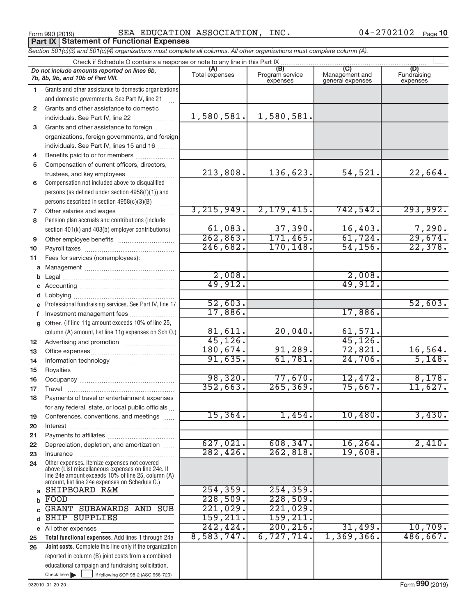Form 990 (2019)  $SEA$   $EDUCATION$   $ASSOCIATION$ ,  $INC$ .  $04-2702102$   $Page$ Form 990 (2019)<br>**Part IX | Statement of Functional Expenses** 

04-2702102 Page 10

|              | Section 501(c)(3) and 501(c)(4) organizations must complete all columns. All other organizations must complete column (A). |                       |                                    |                                    |                                |
|--------------|----------------------------------------------------------------------------------------------------------------------------|-----------------------|------------------------------------|------------------------------------|--------------------------------|
|              | Check if Schedule O contains a response or note to any line in this Part IX                                                |                       |                                    |                                    |                                |
|              | Do not include amounts reported on lines 6b,<br>7b, 8b, 9b, and 10b of Part VIII.                                          | (A)<br>Total expenses | (B)<br>Program service<br>expenses | Management and<br>general expenses | (D)<br>Fundraising<br>expenses |
| 1.           | Grants and other assistance to domestic organizations                                                                      |                       |                                    |                                    |                                |
|              | and domestic governments. See Part IV, line 21                                                                             |                       |                                    |                                    |                                |
| $\mathbf{2}$ | Grants and other assistance to domestic                                                                                    |                       |                                    |                                    |                                |
|              | individuals. See Part IV, line 22                                                                                          | 1,580,581.            | 1,580,581.                         |                                    |                                |
| 3            | Grants and other assistance to foreign                                                                                     |                       |                                    |                                    |                                |
|              | organizations, foreign governments, and foreign                                                                            |                       |                                    |                                    |                                |
|              | individuals. See Part IV, lines 15 and 16                                                                                  |                       |                                    |                                    |                                |
| 4            | Benefits paid to or for members                                                                                            |                       |                                    |                                    |                                |
| 5            | Compensation of current officers, directors,                                                                               |                       |                                    |                                    |                                |
|              | trustees, and key employees                                                                                                | 213,808.              | 136,623.                           | 54,521.                            | 22,664.                        |
| 6            | Compensation not included above to disqualified                                                                            |                       |                                    |                                    |                                |
|              | persons (as defined under section 4958(f)(1)) and                                                                          |                       |                                    |                                    |                                |
|              | persons described in section 4958(c)(3)(B)                                                                                 |                       |                                    |                                    |                                |
| 7            | Other salaries and wages                                                                                                   | 3, 215, 949.          | 2,179,415.                         | 742, 542.                          | 293,992.                       |
| 8            | Pension plan accruals and contributions (include                                                                           |                       |                                    |                                    |                                |
|              | section 401(k) and 403(b) employer contributions)                                                                          | 61,083.               | 37,390.                            | 16,403.                            | 7,290.                         |
| 9            |                                                                                                                            | 262,863.              | 171,465.                           | 61,724.                            | 29,674.                        |
| 10           |                                                                                                                            | 246,682.              | 170, 148.                          | 54, 156.                           | 22,378.                        |
| 11           | Fees for services (nonemployees):                                                                                          |                       |                                    |                                    |                                |
|              |                                                                                                                            |                       |                                    |                                    |                                |
|              |                                                                                                                            | 2,008.                |                                    | 2,008.                             |                                |
|              |                                                                                                                            | 49,912.               |                                    | 49,912.                            |                                |
|              |                                                                                                                            |                       |                                    |                                    |                                |
|              | e Professional fundraising services. See Part IV, line 17                                                                  | 52,603.               |                                    |                                    | 52,603.                        |
|              |                                                                                                                            | 17,886.               |                                    | 17,886.                            |                                |
|              | g Other. (If line 11g amount exceeds 10% of line 25,                                                                       |                       |                                    |                                    |                                |
|              | column (A) amount, list line 11g expenses on Sch O.)                                                                       | 81,611.               | 20,040.                            | 61,571.                            |                                |
| 12           |                                                                                                                            | 45, 126.              |                                    | 45, 126.                           |                                |
| 13           |                                                                                                                            | 180,674.<br>91,635.   | 91,289.                            | 72,821.                            | 16,564.                        |
| 14           |                                                                                                                            |                       | 61,781.                            | 24,706.                            | 5,148.                         |
| 15           |                                                                                                                            | 98, 320.              | 77,670.                            | 12,472.                            | 8,178.                         |
| 16           |                                                                                                                            | 352,663.              | 265, 369.                          | 75,667.                            | 11,627.                        |
| 17           |                                                                                                                            |                       |                                    |                                    |                                |
| 18           | Payments of travel or entertainment expenses                                                                               |                       |                                    |                                    |                                |
|              | for any federal, state, or local public officials                                                                          | 15,364.               | 1,454.                             | 10,480.                            | 3,430.                         |
| 19           | Conferences, conventions, and meetings                                                                                     |                       |                                    |                                    |                                |
| 20           | Interest                                                                                                                   |                       |                                    |                                    |                                |
| 21<br>22     | Depreciation, depletion, and amortization                                                                                  | 627,021.              | 608, 347.                          | 16, 264.                           | 2,410.                         |
| 23           | Insurance                                                                                                                  | 282, 426.             | 262,818.                           | 19,608.                            |                                |
| 24           | Other expenses. Itemize expenses not covered                                                                               |                       |                                    |                                    |                                |
|              | above (List miscellaneous expenses on line 24e. If<br>line 24e amount exceeds 10% of line 25, column (A)                   |                       |                                    |                                    |                                |
|              | amount, list line 24e expenses on Schedule O.)                                                                             |                       |                                    |                                    |                                |
| a            | SHIPBOARD R&M                                                                                                              | 254, 359.             | 254, 359.                          |                                    |                                |
|              | FOOD                                                                                                                       | 228,509.              | 228,509.                           |                                    |                                |
|              | GRANT SUBAWARDS AND SUB                                                                                                    | 221,029.              | 221,029.                           |                                    |                                |
| d            | <b>SHIP SUPPLIES</b>                                                                                                       | 159,211.              | 159,211.                           |                                    |                                |
|              | e All other expenses                                                                                                       | 242,424.              | 200, 216.                          | 31,499.                            | 10,709.                        |
| 25           | Total functional expenses. Add lines 1 through 24e                                                                         | 8,583,747.            | 6,727,714.                         | 1,369,366.                         | 486,667.                       |
| 26           | Joint costs. Complete this line only if the organization                                                                   |                       |                                    |                                    |                                |
|              | reported in column (B) joint costs from a combined                                                                         |                       |                                    |                                    |                                |
|              | educational campaign and fundraising solicitation.                                                                         |                       |                                    |                                    |                                |
|              | Check here $\blacktriangleright$<br>if following SOP 98-2 (ASC 958-720)                                                    |                       |                                    |                                    |                                |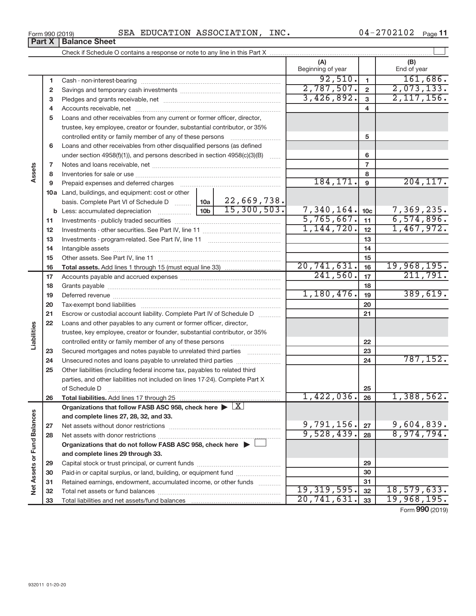| SEA EDUCATION ASSOCIATION,<br>Form 990 (2019) | INC. | $04 - 2702102$ | Page 11 |
|-----------------------------------------------|------|----------------|---------|
|-----------------------------------------------|------|----------------|---------|

|                             |              |                                                                                                        |                 |             | (A)<br>Beginning of year |                 | (B)<br>End of year |
|-----------------------------|--------------|--------------------------------------------------------------------------------------------------------|-----------------|-------------|--------------------------|-----------------|--------------------|
|                             | 1            |                                                                                                        |                 |             | 92,510.                  | $\mathbf{1}$    | 161,686.           |
|                             | $\mathbf{2}$ |                                                                                                        |                 |             | 2,787,507.               | $\overline{2}$  | 2,073,133.         |
|                             | 3            |                                                                                                        |                 |             | 3,426,892.               | $\overline{3}$  | 2, 117, 156.       |
|                             | 4            |                                                                                                        |                 |             |                          | 4               |                    |
|                             | 5            | Loans and other receivables from any current or former officer, director,                              |                 |             |                          |                 |                    |
|                             |              | trustee, key employee, creator or founder, substantial contributor, or 35%                             |                 |             |                          |                 |                    |
|                             |              | controlled entity or family member of any of these persons                                             |                 |             |                          | 5               |                    |
|                             | 6            | Loans and other receivables from other disqualified persons (as defined                                |                 |             |                          |                 |                    |
|                             |              | under section 4958(f)(1)), and persons described in section 4958(c)(3)(B)                              |                 |             |                          | 6               |                    |
|                             | 7            |                                                                                                        |                 |             |                          | $\overline{7}$  |                    |
| Assets                      | 8            |                                                                                                        |                 |             |                          | 8               |                    |
|                             | 9            |                                                                                                        |                 |             | 184, 171.                | 9               | 204, 117.          |
|                             |              | <b>10a</b> Land, buildings, and equipment: cost or other                                               |                 |             |                          |                 |                    |
|                             |              | basis. Complete Part VI of Schedule D $\frac{1}{2}$ 10a   22, 669, 738.                                |                 |             |                          |                 |                    |
|                             |              |                                                                                                        | 10 <sub>b</sub> | 15,300,503. | 7,340,164.               | 10 <sub>c</sub> | 7,369,235.         |
|                             | 11           |                                                                                                        |                 |             | 5,765,667.               | 11              | 6,574,896.         |
|                             | 12           |                                                                                                        |                 |             | 1,144,720.               | 12              | 1,467,972.         |
|                             | 13           |                                                                                                        |                 |             |                          | 13              |                    |
|                             | 14           |                                                                                                        |                 |             |                          | 14              |                    |
|                             | 15           |                                                                                                        |                 |             |                          | 15              |                    |
|                             | 16           |                                                                                                        |                 |             | 20,741,631.              | 16              | 19,968,195.        |
|                             | 17           |                                                                                                        |                 |             | 241,560.                 | 17              | 211,791.           |
|                             | 18           |                                                                                                        |                 |             |                          | 18              |                    |
|                             | 19           |                                                                                                        |                 |             | 1,180,476.               | 19              | 389,619.           |
|                             | 20           |                                                                                                        |                 |             |                          | 20              |                    |
|                             | 21           | Escrow or custodial account liability. Complete Part IV of Schedule D                                  |                 |             |                          | 21              |                    |
|                             | 22           | Loans and other payables to any current or former officer, director,                                   |                 |             |                          |                 |                    |
| Liabilities                 |              | trustee, key employee, creator or founder, substantial contributor, or 35%                             |                 |             |                          |                 |                    |
|                             |              | controlled entity or family member of any of these persons                                             |                 |             |                          | 22              |                    |
|                             | 23           | Secured mortgages and notes payable to unrelated third parties                                         |                 |             |                          | 23              |                    |
|                             | 24           | Unsecured notes and loans payable to unrelated third parties                                           |                 |             |                          | 24              | 787, 152.          |
|                             | 25           | Other liabilities (including federal income tax, payables to related third                             |                 |             |                          |                 |                    |
|                             |              | parties, and other liabilities not included on lines 17-24). Complete Part X                           |                 |             |                          |                 |                    |
|                             |              | of Schedule D                                                                                          |                 |             | 1,422,036.               | 25              | 1,388,562.         |
|                             | 26           | Total liabilities. Add lines 17 through 25                                                             |                 |             |                          | 26              |                    |
|                             |              | Organizations that follow FASB ASC 958, check here $\blacktriangleright \lfloor \underline{X} \rfloor$ |                 |             |                          |                 |                    |
|                             |              | and complete lines 27, 28, 32, and 33.                                                                 |                 |             | 9,791,156.               | 27              | 9,604,839.         |
|                             | 27           |                                                                                                        |                 |             | 9,528,439.               | 28              | 8,974,794.         |
|                             | 28           | Organizations that do not follow FASB ASC 958, check here $\blacktriangleright$                        |                 |             |                          |                 |                    |
|                             |              | and complete lines 29 through 33.                                                                      |                 |             |                          |                 |                    |
|                             |              |                                                                                                        |                 |             |                          |                 |                    |
| Net Assets or Fund Balances | 29<br>30     | Paid-in or capital surplus, or land, building, or equipment fund                                       |                 |             |                          | 29<br>30        |                    |
|                             | 31           | Retained earnings, endowment, accumulated income, or other funds                                       |                 |             |                          | 31              |                    |
|                             | 32           |                                                                                                        |                 |             | 19, 319, 595.            | 32              | 18,579,633.        |
|                             | 33           |                                                                                                        |                 |             | 20,741,631.              | 33              | 19,968,195.        |
|                             |              |                                                                                                        |                 |             |                          |                 |                    |

Form (2019) **990**

## **Part X** | Balance Sheet

| Form 990 (2019 |
|----------------|
|----------------|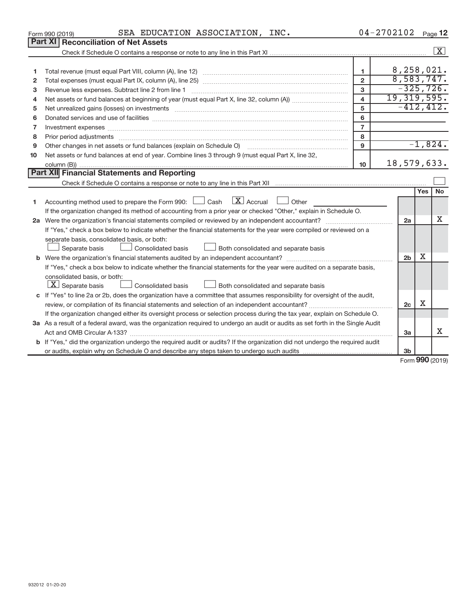|    | SEA EDUCATION ASSOCIATION, INC.<br>Form 990 (2019)                                                                                                                                                                             |                         | $04 - 2702102$ Page 12 |                                       |            |                    |
|----|--------------------------------------------------------------------------------------------------------------------------------------------------------------------------------------------------------------------------------|-------------------------|------------------------|---------------------------------------|------------|--------------------|
|    | Part XI   Reconciliation of Net Assets                                                                                                                                                                                         |                         |                        |                                       |            |                    |
|    |                                                                                                                                                                                                                                |                         |                        |                                       |            | $\boxed{\text{X}}$ |
|    |                                                                                                                                                                                                                                |                         |                        |                                       |            |                    |
| 1  |                                                                                                                                                                                                                                | 1.                      |                        | 8,258,021.                            |            |                    |
| 2  |                                                                                                                                                                                                                                | $\overline{2}$          |                        | 8,583,747.                            |            |                    |
| з  | Revenue less expenses. Subtract line 2 from line 1                                                                                                                                                                             | 3                       |                        | $-325,726.$                           |            |                    |
| 4  |                                                                                                                                                                                                                                | $\overline{\mathbf{A}}$ | 19,319,595.            |                                       |            |                    |
| 5  | Net unrealized gains (losses) on investments [11] non-manufactured manufactured manufactured manufactured manu                                                                                                                 | 5                       |                        | $-412, 412.$                          |            |                    |
| 6  |                                                                                                                                                                                                                                | 6                       |                        |                                       |            |                    |
| 7  |                                                                                                                                                                                                                                | $\overline{7}$          |                        |                                       |            |                    |
| 8  | Prior period adjustments manufactured and contract and contract and contract and contract and contract and contract and contract and contract and contract and contract and contract and contract and contract and contract an | 8                       |                        |                                       |            |                    |
| 9  |                                                                                                                                                                                                                                | 9                       |                        |                                       |            | $-1,824.$          |
| 10 | Net assets or fund balances at end of year. Combine lines 3 through 9 (must equal Part X, line 32,                                                                                                                             |                         |                        |                                       |            |                    |
|    |                                                                                                                                                                                                                                | 10                      | 18,579,633.            |                                       |            |                    |
|    | Part XII Financial Statements and Reporting                                                                                                                                                                                    |                         |                        |                                       |            |                    |
|    |                                                                                                                                                                                                                                |                         |                        |                                       |            |                    |
|    |                                                                                                                                                                                                                                |                         |                        |                                       | <b>Yes</b> | <b>No</b>          |
| 1  | Accounting method used to prepare the Form 990: $\Box$ Cash $\Box$ Accrual $\Box$ Other                                                                                                                                        |                         |                        |                                       |            |                    |
|    | If the organization changed its method of accounting from a prior year or checked "Other," explain in Schedule O.                                                                                                              |                         |                        |                                       |            |                    |
|    | 2a Were the organization's financial statements compiled or reviewed by an independent accountant?                                                                                                                             |                         |                        | 2a                                    |            | Χ                  |
|    | If "Yes," check a box below to indicate whether the financial statements for the year were compiled or reviewed on a                                                                                                           |                         |                        |                                       |            |                    |
|    | separate basis, consolidated basis, or both:                                                                                                                                                                                   |                         |                        |                                       |            |                    |
|    | Both consolidated and separate basis<br>Separate basis<br>Consolidated basis                                                                                                                                                   |                         |                        |                                       |            |                    |
|    |                                                                                                                                                                                                                                |                         |                        | 2 <sub>b</sub>                        | х          |                    |
|    | If "Yes," check a box below to indicate whether the financial statements for the year were audited on a separate basis,                                                                                                        |                         |                        |                                       |            |                    |
|    | consolidated basis, or both:                                                                                                                                                                                                   |                         |                        |                                       |            |                    |
|    | $X$ Separate basis<br>Consolidated basis<br>Both consolidated and separate basis                                                                                                                                               |                         |                        |                                       |            |                    |
|    | c If "Yes" to line 2a or 2b, does the organization have a committee that assumes responsibility for oversight of the audit,                                                                                                    |                         |                        |                                       |            |                    |
|    |                                                                                                                                                                                                                                |                         |                        | 2c                                    | X          |                    |
|    | If the organization changed either its oversight process or selection process during the tax year, explain on Schedule O.                                                                                                      |                         |                        |                                       |            |                    |
|    | 3a As a result of a federal award, was the organization required to undergo an audit or audits as set forth in the Single Audit                                                                                                |                         |                        |                                       |            |                    |
|    |                                                                                                                                                                                                                                |                         |                        | 3a                                    |            | X                  |
|    | b If "Yes," did the organization undergo the required audit or audits? If the organization did not undergo the required audit                                                                                                  |                         |                        |                                       |            |                    |
|    |                                                                                                                                                                                                                                |                         |                        | 3 <sub>b</sub>                        |            |                    |
|    |                                                                                                                                                                                                                                |                         |                        | $F_{\text{sum}}$ QQQ $n_{\text{max}}$ |            |                    |

Form (2019) **990**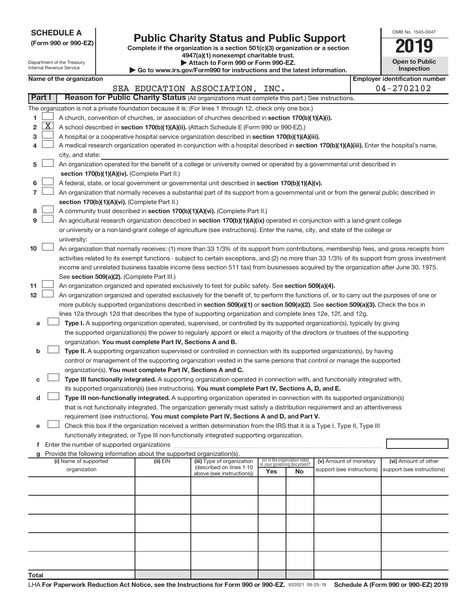| (Form 990 or 990-EZ) |  |  |
|----------------------|--|--|
|                      |  |  |

# Form 990 or 990-EZ) **Public Charity Status and Public Support**<br>
Complete if the organization is a section 501(c)(3) organization or a section<br> **2019**

**4947(a)(1) nonexempt charitable trust.**

| OMB No 1545-0047                    |
|-------------------------------------|
| TF19                                |
| <b>Open to Public</b><br>Inspection |

| Department of the Treasury<br>Internal Revenue Service |              |                       | Attach to Form 990 or Form 990-EZ.<br>$\blacktriangleright$ Go to www.irs.gov/Form990 for instructions and the latest information. |                                                                                    |                                                                                                                                               |                             | <b>Open to Public</b><br><b>Inspection</b> |                                       |  |                            |
|--------------------------------------------------------|--------------|-----------------------|------------------------------------------------------------------------------------------------------------------------------------|------------------------------------------------------------------------------------|-----------------------------------------------------------------------------------------------------------------------------------------------|-----------------------------|--------------------------------------------|---------------------------------------|--|----------------------------|
| Name of the organization                               |              |                       |                                                                                                                                    |                                                                                    |                                                                                                                                               |                             |                                            | <b>Employer identification number</b> |  |                            |
|                                                        |              |                       |                                                                                                                                    |                                                                                    | SEA EDUCATION ASSOCIATION, INC.                                                                                                               |                             |                                            |                                       |  | 04-2702102                 |
|                                                        | Part I       |                       |                                                                                                                                    |                                                                                    | Reason for Public Charity Status (All organizations must complete this part.) See instructions.                                               |                             |                                            |                                       |  |                            |
|                                                        |              |                       |                                                                                                                                    |                                                                                    | The organization is not a private foundation because it is: (For lines 1 through 12, check only one box.)                                     |                             |                                            |                                       |  |                            |
| 1                                                      |              |                       |                                                                                                                                    |                                                                                    | A church, convention of churches, or association of churches described in section 170(b)(1)(A)(i).                                            |                             |                                            |                                       |  |                            |
| 2                                                      | $\mathbf{X}$ |                       |                                                                                                                                    |                                                                                    | A school described in section 170(b)(1)(A)(ii). (Attach Schedule E (Form 990 or 990-EZ).)                                                     |                             |                                            |                                       |  |                            |
| з                                                      |              |                       |                                                                                                                                    |                                                                                    | A hospital or a cooperative hospital service organization described in section 170(b)(1)(A)(iii).                                             |                             |                                            |                                       |  |                            |
| 4                                                      |              |                       |                                                                                                                                    |                                                                                    | A medical research organization operated in conjunction with a hospital described in section 170(b)(1)(A)(iii). Enter the hospital's name,    |                             |                                            |                                       |  |                            |
|                                                        |              | city, and state:      |                                                                                                                                    |                                                                                    |                                                                                                                                               |                             |                                            |                                       |  |                            |
| 5                                                      |              |                       |                                                                                                                                    |                                                                                    | An organization operated for the benefit of a college or university owned or operated by a governmental unit described in                     |                             |                                            |                                       |  |                            |
|                                                        |              |                       |                                                                                                                                    | section 170(b)(1)(A)(iv). (Complete Part II.)                                      |                                                                                                                                               |                             |                                            |                                       |  |                            |
| 6                                                      |              |                       |                                                                                                                                    |                                                                                    | A federal, state, or local government or governmental unit described in section 170(b)(1)(A)(v).                                              |                             |                                            |                                       |  |                            |
| 7                                                      |              |                       |                                                                                                                                    |                                                                                    | An organization that normally receives a substantial part of its support from a governmental unit or from the general public described in     |                             |                                            |                                       |  |                            |
|                                                        |              |                       |                                                                                                                                    | section 170(b)(1)(A)(vi). (Complete Part II.)                                      |                                                                                                                                               |                             |                                            |                                       |  |                            |
| 8                                                      |              |                       |                                                                                                                                    |                                                                                    | A community trust described in section 170(b)(1)(A)(vi). (Complete Part II.)                                                                  |                             |                                            |                                       |  |                            |
| 9                                                      |              |                       |                                                                                                                                    |                                                                                    | An agricultural research organization described in section 170(b)(1)(A)(ix) operated in conjunction with a land-grant college                 |                             |                                            |                                       |  |                            |
|                                                        |              |                       |                                                                                                                                    |                                                                                    | or university or a non-land-grant college of agriculture (see instructions). Enter the name, city, and state of the college or                |                             |                                            |                                       |  |                            |
|                                                        |              | university:           |                                                                                                                                    |                                                                                    |                                                                                                                                               |                             |                                            |                                       |  |                            |
| 10                                                     |              |                       |                                                                                                                                    |                                                                                    | An organization that normally receives: (1) more than 33 1/3% of its support from contributions, membership fees, and gross receipts from     |                             |                                            |                                       |  |                            |
|                                                        |              |                       |                                                                                                                                    |                                                                                    | activities related to its exempt functions - subject to certain exceptions, and (2) no more than 33 1/3% of its support from gross investment |                             |                                            |                                       |  |                            |
|                                                        |              |                       |                                                                                                                                    |                                                                                    | income and unrelated business taxable income (less section 511 tax) from businesses acquired by the organization after June 30, 1975.         |                             |                                            |                                       |  |                            |
|                                                        |              |                       |                                                                                                                                    | See section 509(a)(2). (Complete Part III.)                                        |                                                                                                                                               |                             |                                            |                                       |  |                            |
| 11                                                     |              |                       |                                                                                                                                    |                                                                                    | An organization organized and operated exclusively to test for public safety. See section 509(a)(4).                                          |                             |                                            |                                       |  |                            |
| 12                                                     |              |                       |                                                                                                                                    |                                                                                    | An organization organized and operated exclusively for the benefit of, to perform the functions of, or to carry out the purposes of one or    |                             |                                            |                                       |  |                            |
|                                                        |              |                       |                                                                                                                                    |                                                                                    | more publicly supported organizations described in section 509(a)(1) or section 509(a)(2). See section 509(a)(3). Check the box in            |                             |                                            |                                       |  |                            |
|                                                        |              |                       |                                                                                                                                    |                                                                                    | lines 12a through 12d that describes the type of supporting organization and complete lines 12e, 12f, and 12g.                                |                             |                                            |                                       |  |                            |
| а                                                      |              |                       |                                                                                                                                    |                                                                                    | Type I. A supporting organization operated, supervised, or controlled by its supported organization(s), typically by giving                   |                             |                                            |                                       |  |                            |
|                                                        |              |                       |                                                                                                                                    |                                                                                    | the supported organization(s) the power to regularly appoint or elect a majority of the directors or trustees of the supporting               |                             |                                            |                                       |  |                            |
|                                                        |              |                       |                                                                                                                                    | organization. You must complete Part IV, Sections A and B.                         |                                                                                                                                               |                             |                                            |                                       |  |                            |
| b                                                      |              |                       |                                                                                                                                    |                                                                                    | Type II. A supporting organization supervised or controlled in connection with its supported organization(s), by having                       |                             |                                            |                                       |  |                            |
|                                                        |              |                       |                                                                                                                                    |                                                                                    | control or management of the supporting organization vested in the same persons that control or manage the supported                          |                             |                                            |                                       |  |                            |
|                                                        |              |                       |                                                                                                                                    | organization(s). You must complete Part IV, Sections A and C.                      |                                                                                                                                               |                             |                                            |                                       |  |                            |
| с                                                      |              |                       |                                                                                                                                    |                                                                                    | Type III functionally integrated. A supporting organization operated in connection with, and functionally integrated with,                    |                             |                                            |                                       |  |                            |
|                                                        |              |                       |                                                                                                                                    |                                                                                    | its supported organization(s) (see instructions). You must complete Part IV, Sections A, D, and E.                                            |                             |                                            |                                       |  |                            |
| d                                                      |              |                       |                                                                                                                                    |                                                                                    | Type III non-functionally integrated. A supporting organization operated in connection with its supported organization(s)                     |                             |                                            |                                       |  |                            |
|                                                        |              |                       |                                                                                                                                    |                                                                                    | that is not functionally integrated. The organization generally must satisfy a distribution requirement and an attentiveness                  |                             |                                            |                                       |  |                            |
|                                                        |              |                       |                                                                                                                                    |                                                                                    | requirement (see instructions). You must complete Part IV, Sections A and D, and Part V.                                                      |                             |                                            |                                       |  |                            |
| е                                                      |              |                       |                                                                                                                                    |                                                                                    | Check this box if the organization received a written determination from the IRS that it is a Type I, Type II, Type III                       |                             |                                            |                                       |  |                            |
|                                                        |              |                       |                                                                                                                                    |                                                                                    | functionally integrated, or Type III non-functionally integrated supporting organization.                                                     |                             |                                            |                                       |  |                            |
|                                                        |              |                       |                                                                                                                                    |                                                                                    |                                                                                                                                               |                             |                                            |                                       |  |                            |
|                                                        |              | (i) Name of supported |                                                                                                                                    | Provide the following information about the supported organization(s).<br>(ii) EIN | (iii) Type of organization                                                                                                                    |                             | (iv) Is the organization listed            | (v) Amount of monetary                |  | (vi) Amount of other       |
|                                                        |              | organization          |                                                                                                                                    |                                                                                    | (described on lines 1-10                                                                                                                      | in your governing document? |                                            | support (see instructions)            |  | support (see instructions) |
|                                                        |              |                       |                                                                                                                                    |                                                                                    | above (see instructions))                                                                                                                     | Yes                         | No                                         |                                       |  |                            |
|                                                        |              |                       |                                                                                                                                    |                                                                                    |                                                                                                                                               |                             |                                            |                                       |  |                            |
|                                                        |              |                       |                                                                                                                                    |                                                                                    |                                                                                                                                               |                             |                                            |                                       |  |                            |
|                                                        |              |                       |                                                                                                                                    |                                                                                    |                                                                                                                                               |                             |                                            |                                       |  |                            |
|                                                        |              |                       |                                                                                                                                    |                                                                                    |                                                                                                                                               |                             |                                            |                                       |  |                            |
|                                                        |              |                       |                                                                                                                                    |                                                                                    |                                                                                                                                               |                             |                                            |                                       |  |                            |
|                                                        |              |                       |                                                                                                                                    |                                                                                    |                                                                                                                                               |                             |                                            |                                       |  |                            |
|                                                        |              |                       |                                                                                                                                    |                                                                                    |                                                                                                                                               |                             |                                            |                                       |  |                            |
|                                                        |              |                       |                                                                                                                                    |                                                                                    |                                                                                                                                               |                             |                                            |                                       |  |                            |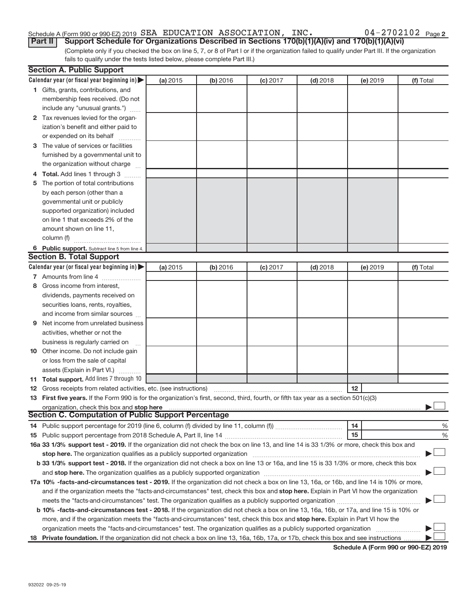#### Schedule A (Form 990 or 990-EZ) 2019 SEA EDUCATION ASSOCIATION, INC.  $04 - 2702102$  Page SEA EDUCATION ASSOCIATION, INC. 04-2702102

(Complete only if you checked the box on line 5, 7, or 8 of Part I or if the organization failed to qualify under Part III. If the organization fails to qualify under the tests listed below, please complete Part III.) **Part II** | Support Schedule for Organizations Described in Sections 170(b)(1)(A)(iv) and 170(b)(1)(A)(vi)

|   | <b>Section A. Public Support</b>                                                                                                                                                                                               |          |          |            |            |          |           |
|---|--------------------------------------------------------------------------------------------------------------------------------------------------------------------------------------------------------------------------------|----------|----------|------------|------------|----------|-----------|
|   | Calendar year (or fiscal year beginning in) $\blacktriangleright$                                                                                                                                                              | (a) 2015 | (b) 2016 | $(c)$ 2017 | $(d)$ 2018 | (e) 2019 | (f) Total |
|   | 1 Gifts, grants, contributions, and                                                                                                                                                                                            |          |          |            |            |          |           |
|   | membership fees received. (Do not                                                                                                                                                                                              |          |          |            |            |          |           |
|   | include any "unusual grants.")                                                                                                                                                                                                 |          |          |            |            |          |           |
|   | 2 Tax revenues levied for the organ-                                                                                                                                                                                           |          |          |            |            |          |           |
|   | ization's benefit and either paid to                                                                                                                                                                                           |          |          |            |            |          |           |
|   | or expended on its behalf                                                                                                                                                                                                      |          |          |            |            |          |           |
|   | 3 The value of services or facilities                                                                                                                                                                                          |          |          |            |            |          |           |
|   | furnished by a governmental unit to                                                                                                                                                                                            |          |          |            |            |          |           |
|   | the organization without charge                                                                                                                                                                                                |          |          |            |            |          |           |
|   | 4 Total. Add lines 1 through 3                                                                                                                                                                                                 |          |          |            |            |          |           |
|   | 5 The portion of total contributions                                                                                                                                                                                           |          |          |            |            |          |           |
|   | by each person (other than a                                                                                                                                                                                                   |          |          |            |            |          |           |
|   | governmental unit or publicly                                                                                                                                                                                                  |          |          |            |            |          |           |
|   | supported organization) included                                                                                                                                                                                               |          |          |            |            |          |           |
|   | on line 1 that exceeds 2% of the                                                                                                                                                                                               |          |          |            |            |          |           |
|   | amount shown on line 11,                                                                                                                                                                                                       |          |          |            |            |          |           |
|   | column (f)                                                                                                                                                                                                                     |          |          |            |            |          |           |
|   | 6 Public support. Subtract line 5 from line 4.                                                                                                                                                                                 |          |          |            |            |          |           |
|   | <b>Section B. Total Support</b>                                                                                                                                                                                                |          |          |            |            |          |           |
|   | Calendar year (or fiscal year beginning in) $\blacktriangleright$                                                                                                                                                              | (a) 2015 | (b) 2016 | $(c)$ 2017 | $(d)$ 2018 | (e) 2019 | (f) Total |
|   | 7 Amounts from line 4                                                                                                                                                                                                          |          |          |            |            |          |           |
| 8 | Gross income from interest,                                                                                                                                                                                                    |          |          |            |            |          |           |
|   | dividends, payments received on                                                                                                                                                                                                |          |          |            |            |          |           |
|   | securities loans, rents, royalties,                                                                                                                                                                                            |          |          |            |            |          |           |
|   | and income from similar sources                                                                                                                                                                                                |          |          |            |            |          |           |
| 9 | Net income from unrelated business                                                                                                                                                                                             |          |          |            |            |          |           |
|   | activities, whether or not the                                                                                                                                                                                                 |          |          |            |            |          |           |
|   | business is regularly carried on                                                                                                                                                                                               |          |          |            |            |          |           |
|   | 10 Other income. Do not include gain                                                                                                                                                                                           |          |          |            |            |          |           |
|   | or loss from the sale of capital                                                                                                                                                                                               |          |          |            |            |          |           |
|   | assets (Explain in Part VI.)                                                                                                                                                                                                   |          |          |            |            |          |           |
|   | 11 Total support. Add lines 7 through 10                                                                                                                                                                                       |          |          |            |            |          |           |
|   | <b>12</b> Gross receipts from related activities, etc. (see instructions)                                                                                                                                                      |          |          |            |            | 12       |           |
|   | 13 First five years. If the Form 990 is for the organization's first, second, third, fourth, or fifth tax year as a section 501(c)(3)                                                                                          |          |          |            |            |          |           |
|   | organization, check this box and stop here                                                                                                                                                                                     |          |          |            |            |          |           |
|   | <b>Section C. Computation of Public Support Percentage</b>                                                                                                                                                                     |          |          |            |            |          |           |
|   |                                                                                                                                                                                                                                |          |          |            |            | 14       | %         |
|   |                                                                                                                                                                                                                                |          |          |            |            | 15       | %         |
|   | 16a 33 1/3% support test - 2019. If the organization did not check the box on line 13, and line 14 is 33 1/3% or more, check this box and                                                                                      |          |          |            |            |          |           |
|   |                                                                                                                                                                                                                                |          |          |            |            |          |           |
|   | b 33 1/3% support test - 2018. If the organization did not check a box on line 13 or 16a, and line 15 is 33 1/3% or more, check this box                                                                                       |          |          |            |            |          |           |
|   | and stop here. The organization qualifies as a publicly supported organization [11] manuscription manuscription manuscription manuscription manuscription manuscription and stop here. The organization qualifies as a publicl |          |          |            |            |          |           |
|   | 17a 10% -facts-and-circumstances test - 2019. If the organization did not check a box on line 13, 16a, or 16b, and line 14 is 10% or more,                                                                                     |          |          |            |            |          |           |
|   | and if the organization meets the "facts-and-circumstances" test, check this box and stop here. Explain in Part VI how the organization                                                                                        |          |          |            |            |          |           |
|   |                                                                                                                                                                                                                                |          |          |            |            |          |           |
|   | b 10% -facts-and-circumstances test - 2018. If the organization did not check a box on line 13, 16a, 16b, or 17a, and line 15 is 10% or                                                                                        |          |          |            |            |          |           |
|   | more, and if the organization meets the "facts-and-circumstances" test, check this box and stop here. Explain in Part VI how the                                                                                               |          |          |            |            |          |           |
|   | organization meets the "facts-and-circumstances" test. The organization qualifies as a publicly supported organization                                                                                                         |          |          |            |            |          |           |
|   | 18 Private foundation. If the organization did not check a box on line 13, 16a, 16b, 17a, or 17b, check this box and see instructions                                                                                          |          |          |            |            |          |           |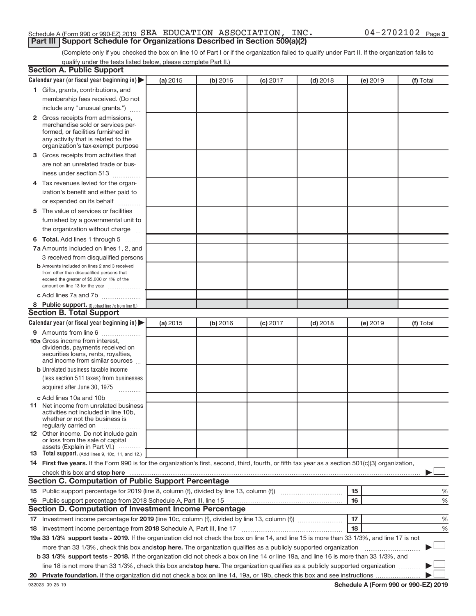### Schedule A (Form 990 or 990-EZ) 2019  $\,$  SEA EDUCATION ASSOCIATION, INC .  $\,$  04 – 2702102  $\,$  Page **Part III | Support Schedule for Organizations Described in Section 509(a)(2)**

(Complete only if you checked the box on line 10 of Part I or if the organization failed to qualify under Part II. If the organization fails to qualify under the tests listed below, please complete Part II.)

| <b>Section A. Public Support</b>                                                                                                                    |          |          |            |            |                 |           |
|-----------------------------------------------------------------------------------------------------------------------------------------------------|----------|----------|------------|------------|-----------------|-----------|
| Calendar year (or fiscal year beginning in)                                                                                                         | (a) 2015 | (b) 2016 | $(c)$ 2017 | $(d)$ 2018 | <b>(e)</b> 2019 | (f) Total |
| 1 Gifts, grants, contributions, and                                                                                                                 |          |          |            |            |                 |           |
| membership fees received. (Do not                                                                                                                   |          |          |            |            |                 |           |
| include any "unusual grants.")                                                                                                                      |          |          |            |            |                 |           |
| 2 Gross receipts from admissions,                                                                                                                   |          |          |            |            |                 |           |
| merchandise sold or services per-                                                                                                                   |          |          |            |            |                 |           |
| formed, or facilities furnished in                                                                                                                  |          |          |            |            |                 |           |
| any activity that is related to the<br>organization's tax-exempt purpose                                                                            |          |          |            |            |                 |           |
| 3 Gross receipts from activities that                                                                                                               |          |          |            |            |                 |           |
| are not an unrelated trade or bus-                                                                                                                  |          |          |            |            |                 |           |
| iness under section 513                                                                                                                             |          |          |            |            |                 |           |
| 4 Tax revenues levied for the organ-                                                                                                                |          |          |            |            |                 |           |
| ization's benefit and either paid to                                                                                                                |          |          |            |            |                 |           |
| or expended on its behalf                                                                                                                           |          |          |            |            |                 |           |
| 5 The value of services or facilities                                                                                                               |          |          |            |            |                 |           |
| furnished by a governmental unit to                                                                                                                 |          |          |            |            |                 |           |
| the organization without charge                                                                                                                     |          |          |            |            |                 |           |
|                                                                                                                                                     |          |          |            |            |                 |           |
| 6 Total. Add lines 1 through 5                                                                                                                      |          |          |            |            |                 |           |
| 7a Amounts included on lines 1, 2, and                                                                                                              |          |          |            |            |                 |           |
| 3 received from disqualified persons<br><b>b</b> Amounts included on lines 2 and 3 received                                                         |          |          |            |            |                 |           |
| from other than disqualified persons that                                                                                                           |          |          |            |            |                 |           |
| exceed the greater of \$5,000 or 1% of the                                                                                                          |          |          |            |            |                 |           |
| amount on line 13 for the year                                                                                                                      |          |          |            |            |                 |           |
| c Add lines 7a and 7b                                                                                                                               |          |          |            |            |                 |           |
| 8 Public support. (Subtract line 7c from line 6.)                                                                                                   |          |          |            |            |                 |           |
| <b>Section B. Total Support</b>                                                                                                                     |          |          |            |            |                 |           |
| Calendar year (or fiscal year beginning in)                                                                                                         | (a) 2015 | (b) 2016 | $(c)$ 2017 | $(d)$ 2018 | <b>(e)</b> 2019 | (f) Total |
| 9 Amounts from line 6                                                                                                                               |          |          |            |            |                 |           |
| <b>10a</b> Gross income from interest,<br>dividends, payments received on                                                                           |          |          |            |            |                 |           |
| securities loans, rents, royalties,                                                                                                                 |          |          |            |            |                 |           |
| and income from similar sources                                                                                                                     |          |          |            |            |                 |           |
| <b>b</b> Unrelated business taxable income                                                                                                          |          |          |            |            |                 |           |
| (less section 511 taxes) from businesses                                                                                                            |          |          |            |            |                 |           |
| acquired after June 30, 1975                                                                                                                        |          |          |            |            |                 |           |
| c Add lines 10a and 10b                                                                                                                             |          |          |            |            |                 |           |
| <b>11</b> Net income from unrelated business                                                                                                        |          |          |            |            |                 |           |
| activities not included in line 10b,<br>whether or not the business is                                                                              |          |          |            |            |                 |           |
| regularly carried on                                                                                                                                |          |          |            |            |                 |           |
| 12 Other income. Do not include gain                                                                                                                |          |          |            |            |                 |           |
| or loss from the sale of capital<br>assets (Explain in Part VI.)                                                                                    |          |          |            |            |                 |           |
| <b>13</b> Total support. (Add lines 9, 10c, 11, and 12.)                                                                                            |          |          |            |            |                 |           |
| 14 First five years. If the Form 990 is for the organization's first, second, third, fourth, or fifth tax year as a section 501(c)(3) organization, |          |          |            |            |                 |           |
|                                                                                                                                                     |          |          |            |            |                 |           |
| <b>Section C. Computation of Public Support Percentage</b>                                                                                          |          |          |            |            |                 |           |
|                                                                                                                                                     |          |          |            |            | 15              | ℅         |
| 16 Public support percentage from 2018 Schedule A, Part III, line 15                                                                                |          |          |            |            | 16              | %         |
| <b>Section D. Computation of Investment Income Percentage</b>                                                                                       |          |          |            |            |                 |           |
| 17 Investment income percentage for 2019 (line 10c, column (f), divided by line 13, column (f))                                                     |          |          |            |            | 17              | %         |
| 18 Investment income percentage from 2018 Schedule A, Part III, line 17                                                                             |          |          |            |            | 18              | %         |
| 19a 33 1/3% support tests - 2019. If the organization did not check the box on line 14, and line 15 is more than 33 1/3%, and line 17 is not        |          |          |            |            |                 |           |
| more than 33 1/3%, check this box and stop here. The organization qualifies as a publicly supported organization                                    |          |          |            |            |                 |           |
| b 33 1/3% support tests - 2018. If the organization did not check a box on line 14 or line 19a, and line 16 is more than 33 1/3%, and               |          |          |            |            |                 |           |
| line 18 is not more than 33 1/3%, check this box and stop here. The organization qualifies as a publicly supported organization                     |          |          |            |            |                 |           |
|                                                                                                                                                     |          |          |            |            |                 |           |
|                                                                                                                                                     |          |          |            |            |                 |           |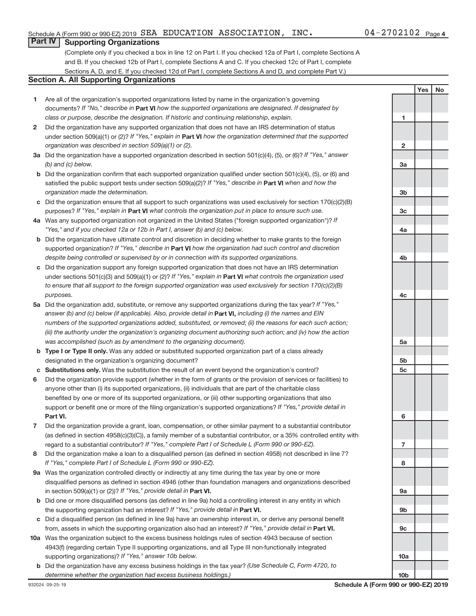**1**

**Yes No**

### **Part IV Supporting Organizations**

(Complete only if you checked a box in line 12 on Part I. If you checked 12a of Part I, complete Sections A and B. If you checked 12b of Part I, complete Sections A and C. If you checked 12c of Part I, complete Sections A, D, and E. If you checked 12d of Part I, complete Sections A and D, and complete Part V.)

### **Section A. All Supporting Organizations**

- **1** Are all of the organization's supported organizations listed by name in the organization's governing documents? If "No," describe in Part VI how the supported organizations are designated. If designated by *class or purpose, describe the designation. If historic and continuing relationship, explain.*
- **2** Did the organization have any supported organization that does not have an IRS determination of status under section 509(a)(1) or (2)? If "Yes," explain in Part **VI** how the organization determined that the supported *organization was described in section 509(a)(1) or (2).*
- **3a** Did the organization have a supported organization described in section 501(c)(4), (5), or (6)? If "Yes," answer *(b) and (c) below.*
- **b** Did the organization confirm that each supported organization qualified under section 501(c)(4), (5), or (6) and satisfied the public support tests under section 509(a)(2)? If "Yes," describe in Part VI when and how the *organization made the determination.*
- **c** Did the organization ensure that all support to such organizations was used exclusively for section 170(c)(2)(B) purposes? If "Yes," explain in Part VI what controls the organization put in place to ensure such use.
- **4 a** *If* Was any supported organization not organized in the United States ("foreign supported organization")? *"Yes," and if you checked 12a or 12b in Part I, answer (b) and (c) below.*
- **b** Did the organization have ultimate control and discretion in deciding whether to make grants to the foreign supported organization? If "Yes," describe in Part VI how the organization had such control and discretion *despite being controlled or supervised by or in connection with its supported organizations.*
- **c** Did the organization support any foreign supported organization that does not have an IRS determination under sections 501(c)(3) and 509(a)(1) or (2)? If "Yes," explain in Part VI what controls the organization used *to ensure that all support to the foreign supported organization was used exclusively for section 170(c)(2)(B) purposes.*
- **5a** Did the organization add, substitute, or remove any supported organizations during the tax year? If "Yes," answer (b) and (c) below (if applicable). Also, provide detail in **Part VI,** including (i) the names and EIN *numbers of the supported organizations added, substituted, or removed; (ii) the reasons for each such action; (iii) the authority under the organization's organizing document authorizing such action; and (iv) how the action was accomplished (such as by amendment to the organizing document).*
- **b** Type I or Type II only. Was any added or substituted supported organization part of a class already designated in the organization's organizing document?
- **c Substitutions only.**  Was the substitution the result of an event beyond the organization's control?
- **6** Did the organization provide support (whether in the form of grants or the provision of services or facilities) to **Part VI.** support or benefit one or more of the filing organization's supported organizations? If "Yes," provide detail in anyone other than (i) its supported organizations, (ii) individuals that are part of the charitable class benefited by one or more of its supported organizations, or (iii) other supporting organizations that also
- **7** Did the organization provide a grant, loan, compensation, or other similar payment to a substantial contributor regard to a substantial contributor? If "Yes," complete Part I of Schedule L (Form 990 or 990-EZ). (as defined in section 4958(c)(3)(C)), a family member of a substantial contributor, or a 35% controlled entity with
- **8** Did the organization make a loan to a disqualified person (as defined in section 4958) not described in line 7? *If "Yes," complete Part I of Schedule L (Form 990 or 990-EZ).*
- **9 a** Was the organization controlled directly or indirectly at any time during the tax year by one or more in section 509(a)(1) or (2))? If "Yes," provide detail in **Part VI.** disqualified persons as defined in section 4946 (other than foundation managers and organizations described
- **b** Did one or more disqualified persons (as defined in line 9a) hold a controlling interest in any entity in which the supporting organization had an interest? If "Yes," provide detail in Part VI.
- **c** Did a disqualified person (as defined in line 9a) have an ownership interest in, or derive any personal benefit from, assets in which the supporting organization also had an interest? If "Yes," provide detail in Part VI.
- **10 a** Was the organization subject to the excess business holdings rules of section 4943 because of section supporting organizations)? If "Yes," answer 10b below. 4943(f) (regarding certain Type II supporting organizations, and all Type III non-functionally integrated
	- **b** Did the organization have any excess business holdings in the tax year? (Use Schedule C, Form 4720, to *determine whether the organization had excess business holdings.)*

**2 3a 3b 3c 4a 4b 4c 5a 5b 5c 6 7 8 9a 9b 9c 10a 10b**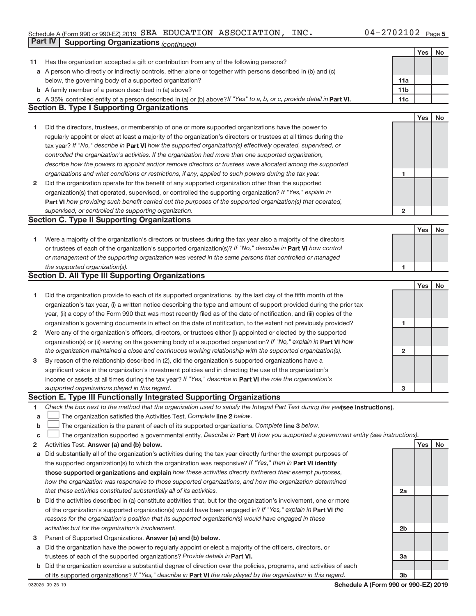# Schedule A (Form 990 or 990-EZ) 2019  $\,$  SEA EDUCATION ASSOCIATION, INC .  $\,$  04 – 2702102  $\,$  Page **Part IV Supporting Organizations** *(continued)*

|        |                                                                                                                                 |                         | Yes | No        |
|--------|---------------------------------------------------------------------------------------------------------------------------------|-------------------------|-----|-----------|
| 11     | Has the organization accepted a gift or contribution from any of the following persons?                                         |                         |     |           |
|        | a A person who directly or indirectly controls, either alone or together with persons described in (b) and (c)                  |                         |     |           |
|        | below, the governing body of a supported organization?                                                                          | 11a                     |     |           |
|        | <b>b</b> A family member of a person described in (a) above?                                                                    | 11 <sub>b</sub>         |     |           |
|        | c A 35% controlled entity of a person described in (a) or (b) above? If "Yes" to a, b, or c, provide detail in Part VI.         | 11c                     |     |           |
|        | <b>Section B. Type I Supporting Organizations</b>                                                                               |                         |     |           |
|        |                                                                                                                                 |                         | Yes | <b>No</b> |
| 1      | Did the directors, trustees, or membership of one or more supported organizations have the power to                             |                         |     |           |
|        | regularly appoint or elect at least a majority of the organization's directors or trustees at all times during the              |                         |     |           |
|        | tax year? If "No," describe in Part VI how the supported organization(s) effectively operated, supervised, or                   |                         |     |           |
|        | controlled the organization's activities. If the organization had more than one supported organization,                         |                         |     |           |
|        | describe how the powers to appoint and/or remove directors or trustees were allocated among the supported                       |                         |     |           |
|        | organizations and what conditions or restrictions, if any, applied to such powers during the tax year.                          | 1                       |     |           |
| 2      | Did the organization operate for the benefit of any supported organization other than the supported                             |                         |     |           |
|        | organization(s) that operated, supervised, or controlled the supporting organization? If "Yes," explain in                      |                         |     |           |
|        | Part VI how providing such benefit carried out the purposes of the supported organization(s) that operated,                     |                         |     |           |
|        | supervised, or controlled the supporting organization.                                                                          | $\overline{\mathbf{c}}$ |     |           |
|        | <b>Section C. Type II Supporting Organizations</b>                                                                              |                         |     |           |
|        |                                                                                                                                 |                         | Yes | No        |
| 1      | Were a majority of the organization's directors or trustees during the tax year also a majority of the directors                |                         |     |           |
|        | or trustees of each of the organization's supported organization(s)? If "No," describe in Part VI how control                   |                         |     |           |
|        | or management of the supporting organization was vested in the same persons that controlled or managed                          |                         |     |           |
|        | the supported organization(s).                                                                                                  | 1                       |     |           |
|        | <b>Section D. All Type III Supporting Organizations</b>                                                                         |                         |     |           |
|        |                                                                                                                                 |                         | Yes | No        |
| 1      | Did the organization provide to each of its supported organizations, by the last day of the fifth month of the                  |                         |     |           |
|        | organization's tax year, (i) a written notice describing the type and amount of support provided during the prior tax           |                         |     |           |
|        | year, (ii) a copy of the Form 990 that was most recently filed as of the date of notification, and (iii) copies of the          |                         |     |           |
|        | organization's governing documents in effect on the date of notification, to the extent not previously provided?                | 1                       |     |           |
| 2      | Were any of the organization's officers, directors, or trustees either (i) appointed or elected by the supported                |                         |     |           |
|        | organization(s) or (ii) serving on the governing body of a supported organization? If "No," explain in Part VI how              |                         |     |           |
|        | the organization maintained a close and continuous working relationship with the supported organization(s).                     | 2                       |     |           |
| 3      | By reason of the relationship described in (2), did the organization's supported organizations have a                           |                         |     |           |
|        | significant voice in the organization's investment policies and in directing the use of the organization's                      |                         |     |           |
|        | income or assets at all times during the tax year? If "Yes," describe in Part VI the role the organization's                    |                         |     |           |
|        | supported organizations played in this regard.                                                                                  | 3                       |     |           |
|        | <b>Section E. Type III Functionally Integrated Supporting Organizations</b>                                                     |                         |     |           |
| 1      | Check the box next to the method that the organization used to satisfy the Integral Part Test during the yealsee instructions). |                         |     |           |
| a      | The organization satisfied the Activities Test. Complete line 2 below.                                                          |                         |     |           |
| b      | The organization is the parent of each of its supported organizations. Complete line 3 below.                                   |                         |     |           |
|        | The organization supported a governmental entity. Describe in Part VI how you supported a government entity (see instructions). |                         |     |           |
| с<br>2 | Activities Test. Answer (a) and (b) below.                                                                                      |                         | Yes | No        |
|        | Did substantially all of the organization's activities during the tax year directly further the exempt purposes of              |                         |     |           |
| а      | the supported organization(s) to which the organization was responsive? If "Yes," then in Part VI identify                      |                         |     |           |
|        | those supported organizations and explain how these activities directly furthered their exempt purposes,                        |                         |     |           |
|        | how the organization was responsive to those supported organizations, and how the organization determined                       |                         |     |           |
|        | that these activities constituted substantially all of its activities.                                                          | 2a                      |     |           |
|        | b Did the activities described in (a) constitute activities that, but for the organization's involvement, one or more           |                         |     |           |
|        | of the organization's supported organization(s) would have been engaged in? If "Yes," explain in Part VI the                    |                         |     |           |
|        |                                                                                                                                 |                         |     |           |
|        | reasons for the organization's position that its supported organization(s) would have engaged in these                          |                         |     |           |
|        | activities but for the organization's involvement.                                                                              | 2b                      |     |           |
| 3      | Parent of Supported Organizations. Answer (a) and (b) below.                                                                    |                         |     |           |
| a      | Did the organization have the power to regularly appoint or elect a majority of the officers, directors, or                     |                         |     |           |
|        | trustees of each of the supported organizations? Provide details in Part VI.                                                    | За                      |     |           |
|        | b Did the organization exercise a substantial degree of direction over the policies, programs, and activities of each           |                         |     |           |
|        | of its supported organizations? If "Yes," describe in Part VI the role played by the organization in this regard.               | 3b                      |     |           |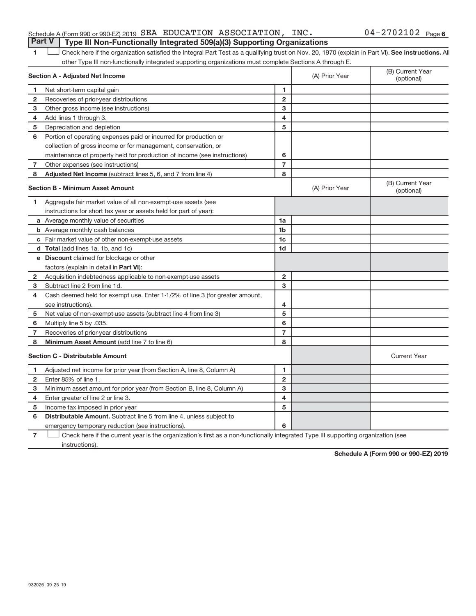### Schedule A (Form 990 or 990-EZ) 2019  $\,$  SEA EDUCATION ASSOCIATION, INC .  $\,$  04 – 2702102  $\,$  Page **Part V Type III Non-Functionally Integrated 509(a)(3) Supporting Organizations**

### 1 **Letter here if the organization satisfied the Integral Part Test as a qualifying trust on Nov. 20, 1970 (explain in Part VI). See instructions. All** other Type III non-functionally integrated supporting organizations must complete Sections A through E.

|                | <b>Section A - Adjusted Net Income</b>                                       | (A) Prior Year | (B) Current Year<br>(optional) |                                |
|----------------|------------------------------------------------------------------------------|----------------|--------------------------------|--------------------------------|
| 1              | Net short-term capital gain                                                  | 1              |                                |                                |
| 2              | Recoveries of prior-year distributions                                       | $\overline{2}$ |                                |                                |
| з              | Other gross income (see instructions)                                        | 3              |                                |                                |
| 4              | Add lines 1 through 3.                                                       | 4              |                                |                                |
| 5              | Depreciation and depletion                                                   | 5              |                                |                                |
| 6              | Portion of operating expenses paid or incurred for production or             |                |                                |                                |
|                | collection of gross income or for management, conservation, or               |                |                                |                                |
|                | maintenance of property held for production of income (see instructions)     | 6              |                                |                                |
| 7              | Other expenses (see instructions)                                            | $\overline{7}$ |                                |                                |
| 8              | Adjusted Net Income (subtract lines 5, 6, and 7 from line 4)                 | 8              |                                |                                |
|                | <b>Section B - Minimum Asset Amount</b>                                      |                | (A) Prior Year                 | (B) Current Year<br>(optional) |
| 1              | Aggregate fair market value of all non-exempt-use assets (see                |                |                                |                                |
|                | instructions for short tax year or assets held for part of year):            |                |                                |                                |
|                | a Average monthly value of securities                                        | 1a             |                                |                                |
|                | <b>b</b> Average monthly cash balances                                       | 1b             |                                |                                |
|                | c Fair market value of other non-exempt-use assets                           | 1 <sub>c</sub> |                                |                                |
|                | d Total (add lines 1a, 1b, and 1c)                                           | 1 <sub>d</sub> |                                |                                |
|                | e Discount claimed for blockage or other                                     |                |                                |                                |
|                | factors (explain in detail in <b>Part VI</b> ):                              |                |                                |                                |
| $\mathbf{2}$   | Acquisition indebtedness applicable to non-exempt-use assets                 | $\overline{2}$ |                                |                                |
| 3              | Subtract line 2 from line 1d.                                                | 3              |                                |                                |
| 4              | Cash deemed held for exempt use. Enter 1-1/2% of line 3 (for greater amount, |                |                                |                                |
|                | see instructions).                                                           | 4              |                                |                                |
| 5              | Net value of non-exempt-use assets (subtract line 4 from line 3)             | 5              |                                |                                |
| 6              | Multiply line 5 by .035.                                                     | 6              |                                |                                |
| 7              | Recoveries of prior-year distributions                                       | 7              |                                |                                |
| 8              | Minimum Asset Amount (add line 7 to line 6)                                  | 8              |                                |                                |
|                | <b>Section C - Distributable Amount</b>                                      |                |                                | <b>Current Year</b>            |
| 1              | Adjusted net income for prior year (from Section A, line 8, Column A)        | 1              |                                |                                |
| $\overline{2}$ | Enter 85% of line 1.                                                         | $\mathbf{2}$   |                                |                                |
| 3              | Minimum asset amount for prior year (from Section B, line 8, Column A)       | 3              |                                |                                |
| 4              | Enter greater of line 2 or line 3.                                           | 4              |                                |                                |
| 5              | Income tax imposed in prior year                                             | 5              |                                |                                |
| 6              | <b>Distributable Amount.</b> Subtract line 5 from line 4, unless subject to  |                |                                |                                |
|                | emergency temporary reduction (see instructions).                            | 6              |                                |                                |

**7** Check here if the current year is the organization's first as a non-functionally integrated Type III supporting organization (see instructions).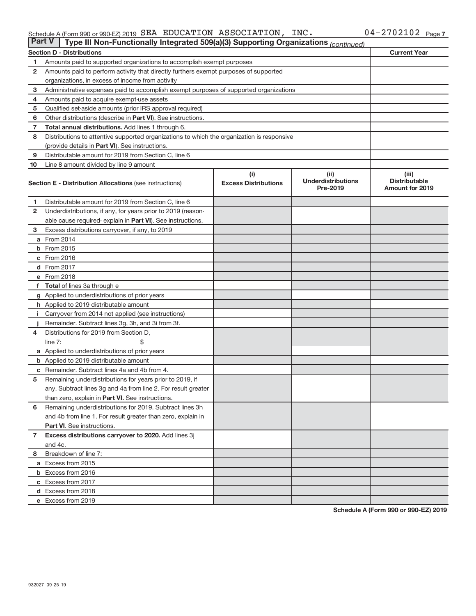#### Schedule A (Form 990 or 990-EZ) 2019 SEA EDUCATION ASSOCIATION, INC.  $04 - 2702102$  Page SEA EDUCATION ASSOCIATION, INC. 04-2702102

| Part V         | Type III Non-Functionally Integrated 509(a)(3) Supporting Organizations (continued)        |                             |                                       |                                                |
|----------------|--------------------------------------------------------------------------------------------|-----------------------------|---------------------------------------|------------------------------------------------|
|                | <b>Section D - Distributions</b>                                                           |                             |                                       | <b>Current Year</b>                            |
| 1              | Amounts paid to supported organizations to accomplish exempt purposes                      |                             |                                       |                                                |
| $\mathbf{2}$   | Amounts paid to perform activity that directly furthers exempt purposes of supported       |                             |                                       |                                                |
|                | organizations, in excess of income from activity                                           |                             |                                       |                                                |
| 3              | Administrative expenses paid to accomplish exempt purposes of supported organizations      |                             |                                       |                                                |
| 4              | Amounts paid to acquire exempt-use assets                                                  |                             |                                       |                                                |
| 5              | Qualified set-aside amounts (prior IRS approval required)                                  |                             |                                       |                                                |
| 6              | Other distributions (describe in <b>Part VI</b> ). See instructions.                       |                             |                                       |                                                |
| 7              | <b>Total annual distributions.</b> Add lines 1 through 6.                                  |                             |                                       |                                                |
| 8              | Distributions to attentive supported organizations to which the organization is responsive |                             |                                       |                                                |
|                | (provide details in Part VI). See instructions.                                            |                             |                                       |                                                |
| 9              | Distributable amount for 2019 from Section C, line 6                                       |                             |                                       |                                                |
| 10             | Line 8 amount divided by line 9 amount                                                     |                             |                                       |                                                |
|                |                                                                                            | (i)                         | (ii)                                  | (iii)                                          |
|                | <b>Section E - Distribution Allocations (see instructions)</b>                             | <b>Excess Distributions</b> | <b>Underdistributions</b><br>Pre-2019 | <b>Distributable</b><br><b>Amount for 2019</b> |
| 1              | Distributable amount for 2019 from Section C, line 6                                       |                             |                                       |                                                |
| $\mathbf{2}$   | Underdistributions, if any, for years prior to 2019 (reason-                               |                             |                                       |                                                |
|                | able cause required- explain in Part VI). See instructions.                                |                             |                                       |                                                |
| 3              | Excess distributions carryover, if any, to 2019                                            |                             |                                       |                                                |
|                | <b>a</b> From 2014                                                                         |                             |                                       |                                                |
|                | <b>b</b> From 2015                                                                         |                             |                                       |                                                |
|                | c From 2016                                                                                |                             |                                       |                                                |
|                | d From 2017                                                                                |                             |                                       |                                                |
|                | e From 2018                                                                                |                             |                                       |                                                |
|                | f Total of lines 3a through e                                                              |                             |                                       |                                                |
|                | g Applied to underdistributions of prior years                                             |                             |                                       |                                                |
|                | h Applied to 2019 distributable amount                                                     |                             |                                       |                                                |
| Ť.             | Carryover from 2014 not applied (see instructions)                                         |                             |                                       |                                                |
|                | Remainder. Subtract lines 3g, 3h, and 3i from 3f.                                          |                             |                                       |                                                |
| 4              | Distributions for 2019 from Section D,                                                     |                             |                                       |                                                |
|                | line $7:$                                                                                  |                             |                                       |                                                |
|                | a Applied to underdistributions of prior years                                             |                             |                                       |                                                |
|                | <b>b</b> Applied to 2019 distributable amount                                              |                             |                                       |                                                |
|                | c Remainder. Subtract lines 4a and 4b from 4.                                              |                             |                                       |                                                |
| 5              | Remaining underdistributions for years prior to 2019, if                                   |                             |                                       |                                                |
|                | any. Subtract lines 3g and 4a from line 2. For result greater                              |                             |                                       |                                                |
|                | than zero, explain in Part VI. See instructions.                                           |                             |                                       |                                                |
| 6              | Remaining underdistributions for 2019. Subtract lines 3h                                   |                             |                                       |                                                |
|                | and 4b from line 1. For result greater than zero, explain in                               |                             |                                       |                                                |
|                | <b>Part VI.</b> See instructions.                                                          |                             |                                       |                                                |
| $\overline{7}$ | Excess distributions carryover to 2020. Add lines 3j                                       |                             |                                       |                                                |
|                | and 4c.                                                                                    |                             |                                       |                                                |
| 8              | Breakdown of line 7:                                                                       |                             |                                       |                                                |
|                | a Excess from 2015                                                                         |                             |                                       |                                                |
|                | <b>b</b> Excess from 2016                                                                  |                             |                                       |                                                |
|                | c Excess from 2017                                                                         |                             |                                       |                                                |
|                | d Excess from 2018                                                                         |                             |                                       |                                                |
|                | e Excess from 2019                                                                         |                             |                                       |                                                |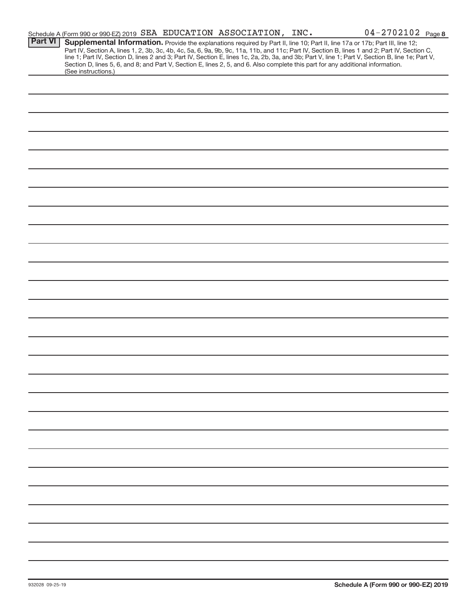|                | Schedule A (Form 990 or 990-EZ) 2019 SEA EDUCATION ASSOCIATION, INC.                                                                                                                                                                                                                                                                                                                                                                                                                                                                                                                        |  | $04 - 2702102$ Page 8 |
|----------------|---------------------------------------------------------------------------------------------------------------------------------------------------------------------------------------------------------------------------------------------------------------------------------------------------------------------------------------------------------------------------------------------------------------------------------------------------------------------------------------------------------------------------------------------------------------------------------------------|--|-----------------------|
| <b>Part VI</b> | Supplemental Information. Provide the explanations required by Part II, line 10; Part II, line 17a or 17b; Part III, line 12;<br>Part IV, Section A, lines 1, 2, 3b, 3c, 4b, 4c, 5a, 6, 9a, 9b, 9c, 11a, 11b, and 11c; Part IV, Section B, lines 1 and 2; Part IV, Section C,<br>line 1; Part IV, Section D, lines 2 and 3; Part IV, Section E, lines 1c, 2a, 2b, 3a, and 3b; Part V, line 1; Part V, Section B, line 1e; Part V,<br>Section D, lines 5, 6, and 8; and Part V, Section E, lines 2, 5, and 6. Also complete this part for any additional information.<br>(See instructions.) |  |                       |
|                |                                                                                                                                                                                                                                                                                                                                                                                                                                                                                                                                                                                             |  |                       |
|                |                                                                                                                                                                                                                                                                                                                                                                                                                                                                                                                                                                                             |  |                       |
|                |                                                                                                                                                                                                                                                                                                                                                                                                                                                                                                                                                                                             |  |                       |
|                |                                                                                                                                                                                                                                                                                                                                                                                                                                                                                                                                                                                             |  |                       |
|                |                                                                                                                                                                                                                                                                                                                                                                                                                                                                                                                                                                                             |  |                       |
|                |                                                                                                                                                                                                                                                                                                                                                                                                                                                                                                                                                                                             |  |                       |
|                |                                                                                                                                                                                                                                                                                                                                                                                                                                                                                                                                                                                             |  |                       |
|                |                                                                                                                                                                                                                                                                                                                                                                                                                                                                                                                                                                                             |  |                       |
|                |                                                                                                                                                                                                                                                                                                                                                                                                                                                                                                                                                                                             |  |                       |
|                |                                                                                                                                                                                                                                                                                                                                                                                                                                                                                                                                                                                             |  |                       |
|                |                                                                                                                                                                                                                                                                                                                                                                                                                                                                                                                                                                                             |  |                       |
|                |                                                                                                                                                                                                                                                                                                                                                                                                                                                                                                                                                                                             |  |                       |
|                |                                                                                                                                                                                                                                                                                                                                                                                                                                                                                                                                                                                             |  |                       |
|                |                                                                                                                                                                                                                                                                                                                                                                                                                                                                                                                                                                                             |  |                       |
|                |                                                                                                                                                                                                                                                                                                                                                                                                                                                                                                                                                                                             |  |                       |
|                |                                                                                                                                                                                                                                                                                                                                                                                                                                                                                                                                                                                             |  |                       |
|                |                                                                                                                                                                                                                                                                                                                                                                                                                                                                                                                                                                                             |  |                       |
|                |                                                                                                                                                                                                                                                                                                                                                                                                                                                                                                                                                                                             |  |                       |
|                |                                                                                                                                                                                                                                                                                                                                                                                                                                                                                                                                                                                             |  |                       |
|                |                                                                                                                                                                                                                                                                                                                                                                                                                                                                                                                                                                                             |  |                       |
|                |                                                                                                                                                                                                                                                                                                                                                                                                                                                                                                                                                                                             |  |                       |
|                |                                                                                                                                                                                                                                                                                                                                                                                                                                                                                                                                                                                             |  |                       |
|                |                                                                                                                                                                                                                                                                                                                                                                                                                                                                                                                                                                                             |  |                       |
|                |                                                                                                                                                                                                                                                                                                                                                                                                                                                                                                                                                                                             |  |                       |
|                |                                                                                                                                                                                                                                                                                                                                                                                                                                                                                                                                                                                             |  |                       |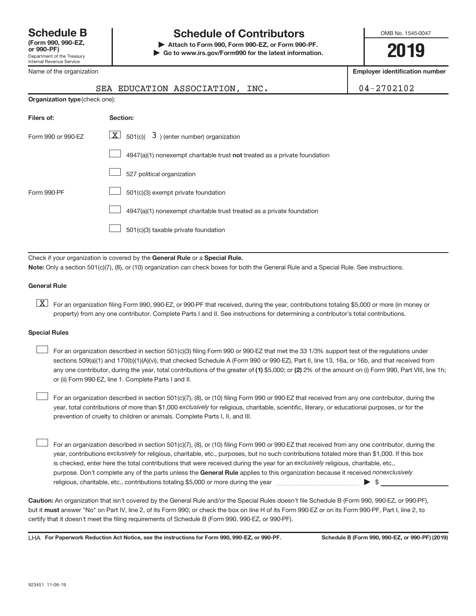Name of the organization

# **Schedule B Schedule of Contributors**

**or 990-PF) | Attach to Form 990, Form 990-EZ, or Form 990-PF. | Go to www.irs.gov/Form990 for the latest information.** OMB No. 1545-0047

**2019**

**Employer identification number**

|                                | SEA EDUCATION ASSOCIATION, INC.                                           | $04 - 2702102$ |
|--------------------------------|---------------------------------------------------------------------------|----------------|
| Organization type (check one): |                                                                           |                |
| Filers of:                     | Section:                                                                  |                |
| Form 990 or 990-EZ             | $\boxed{\mathbf{X}}$ 501(c)( 3) (enter number) organization               |                |
|                                | 4947(a)(1) nonexempt charitable trust not treated as a private foundation |                |
|                                | 527 political organization                                                |                |

|             | 527 political organization                                                                  |
|-------------|---------------------------------------------------------------------------------------------|
| Form 990-PF |                                                                                             |
|             | $\boxed{\phantom{1}}$ 4947(a)(1) nonexempt charitable trust treated as a private foundation |
|             |                                                                                             |
|             |                                                                                             |

Check if your organization is covered by the General Rule or a Special Rule. **Note:**  Only a section 501(c)(7), (8), or (10) organization can check boxes for both the General Rule and a Special Rule. See instructions.

### **General Rule**

**K** For an organization filing Form 990, 990-EZ, or 990-PF that received, during the year, contributions totaling \$5,000 or more (in money or property) from any one contributor. Complete Parts I and II. See instructions for determining a contributor's total contributions.

### **Special Rules**

any one contributor, during the year, total contributions of the greater of (1) \$5,000; or (2) 2% of the amount on (i) Form 990, Part VIII, line 1h; For an organization described in section 501(c)(3) filing Form 990 or 990-EZ that met the 33 1/3% support test of the regulations under sections 509(a)(1) and 170(b)(1)(A)(vi), that checked Schedule A (Form 990 or 990-EZ), Part II, line 13, 16a, or 16b, and that received from or (ii) Form 990-EZ, line 1. Complete Parts I and II.  $\begin{array}{c} \hline \end{array}$ 

year, total contributions of more than \$1,000 exclusively for religious, charitable, scientific, literary, or educational purposes, or for the For an organization described in section 501(c)(7), (8), or (10) filing Form 990 or 990-EZ that received from any one contributor, during the prevention of cruelty to children or animals. Complete Parts I, II, and III.  $\begin{array}{c} \hline \end{array}$ 

purpose. Don't complete any of the parts unless the General Rule applies to this organization because it received nonexclusively year, contributions exclusively for religious, charitable, etc., purposes, but no such contributions totaled more than \$1,000. If this box is checked, enter here the total contributions that were received during the year for an exclusively religious, charitable, etc., For an organization described in section 501(c)(7), (8), or (10) filing Form 990 or 990-EZ that received from any one contributor, during the religious, charitable, etc., contributions totaling \$5,000 or more during the year  $~\ldots\ldots\ldots\ldots\ldots\ldots\ldots\ldots\blacktriangleright~$ \$  $\begin{array}{c} \hline \end{array}$ 

**Caution:**  An organization that isn't covered by the General Rule and/or the Special Rules doesn't file Schedule B (Form 990, 990-EZ, or 990-PF),  **must** but it answer "No" on Part IV, line 2, of its Form 990; or check the box on line H of its Form 990-EZ or on its Form 990-PF, Part I, line 2, to certify that it doesn't meet the filing requirements of Schedule B (Form 990, 990-EZ, or 990-PF).

LHA For Paperwork Reduction Act Notice, see the instructions for Form 990, 990-EZ, or 990-PF. Schedule B (Form 990, 990-EZ, or 990-PF) (2019)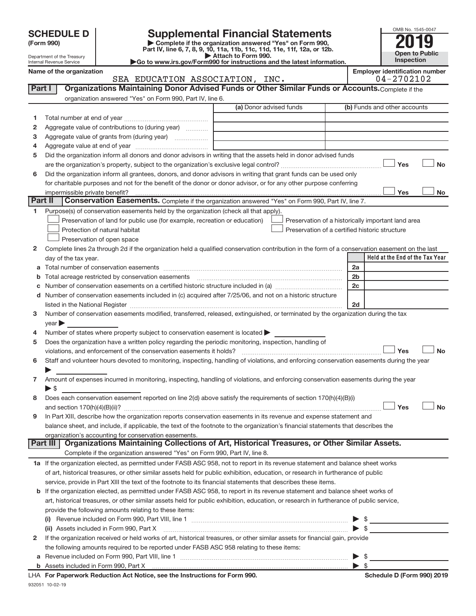| <b>SCHEDULE D</b> |  |
|-------------------|--|
|-------------------|--|

| (Form 990) |
|------------|
|            |

# **SCHEDULE D Supplemental Financial Statements**<br> **Form 990 2019**<br>
Part IV line 6.7.8.9.10, 11a, 11b, 11d, 11d, 11d, 11d, 11d, 20, 07, 12b

**(Form 990) | Complete if the organization answered "Yes" on Form 990, Part IV, line 6, 7, 8, 9, 10, 11a, 11b, 11c, 11d, 11e, 11f, 12a, or 12b.**

**| Attach to Form 990. |Go to www.irs.gov/Form990 for instructions and the latest information.**



Department of the Treasury Internal Revenue Service

Name of the organization<br>
SEA EDUCATION ASSOCIATION, INC. 04-2702102 SEA EDUCATION ASSOCIATION, INC.

| Part I  | Organizations Maintaining Donor Advised Funds or Other Similar Funds or Accounts. Complete if the                                                                                                                                                                    |                         |                                                    |
|---------|----------------------------------------------------------------------------------------------------------------------------------------------------------------------------------------------------------------------------------------------------------------------|-------------------------|----------------------------------------------------|
|         | organization answered "Yes" on Form 990, Part IV, line 6.                                                                                                                                                                                                            | (a) Donor advised funds | (b) Funds and other accounts                       |
|         |                                                                                                                                                                                                                                                                      |                         |                                                    |
| 1       |                                                                                                                                                                                                                                                                      |                         |                                                    |
| 2       | Aggregate value of contributions to (during year)                                                                                                                                                                                                                    |                         |                                                    |
| з       | Aggregate value of grants from (during year)                                                                                                                                                                                                                         |                         |                                                    |
| 4       |                                                                                                                                                                                                                                                                      |                         |                                                    |
| 5       | Did the organization inform all donors and donor advisors in writing that the assets held in donor advised funds                                                                                                                                                     |                         |                                                    |
|         |                                                                                                                                                                                                                                                                      |                         | Yes<br>No                                          |
| 6       | Did the organization inform all grantees, donors, and donor advisors in writing that grant funds can be used only                                                                                                                                                    |                         |                                                    |
|         | for charitable purposes and not for the benefit of the donor or donor advisor, or for any other purpose conferring                                                                                                                                                   |                         | Yes<br>No                                          |
| Part II | Conservation Easements. Complete if the organization answered "Yes" on Form 990, Part IV, line 7.                                                                                                                                                                    |                         |                                                    |
| 1       | Purpose(s) of conservation easements held by the organization (check all that apply).                                                                                                                                                                                |                         |                                                    |
|         | Preservation of land for public use (for example, recreation or education)                                                                                                                                                                                           |                         | Preservation of a historically important land area |
|         | Protection of natural habitat                                                                                                                                                                                                                                        |                         | Preservation of a certified historic structure     |
|         | Preservation of open space                                                                                                                                                                                                                                           |                         |                                                    |
| 2       | Complete lines 2a through 2d if the organization held a qualified conservation contribution in the form of a conservation easement on the last                                                                                                                       |                         |                                                    |
|         | day of the tax year.                                                                                                                                                                                                                                                 |                         | Held at the End of the Tax Year                    |
|         |                                                                                                                                                                                                                                                                      |                         | 2a                                                 |
| b       |                                                                                                                                                                                                                                                                      |                         | 2b                                                 |
| c       |                                                                                                                                                                                                                                                                      |                         | 2c                                                 |
|         | d Number of conservation easements included in (c) acquired after 7/25/06, and not on a historic structure                                                                                                                                                           |                         |                                                    |
|         | listed in the National Register [111] Marshall Register [11] Marshall Register [11] Marshall Register [11] Marshall Register [11] Marshall Register [11] Marshall Register [11] Marshall Register [11] Marshall Register [11]                                        |                         | 2d                                                 |
| 3       | Number of conservation easements modified, transferred, released, extinguished, or terminated by the organization during the tax                                                                                                                                     |                         |                                                    |
|         | year                                                                                                                                                                                                                                                                 |                         |                                                    |
| 4       | Number of states where property subject to conservation easement is located                                                                                                                                                                                          |                         |                                                    |
| 5       | Does the organization have a written policy regarding the periodic monitoring, inspection, handling of                                                                                                                                                               |                         |                                                    |
|         | violations, and enforcement of the conservation easements it holds?                                                                                                                                                                                                  |                         | Yes<br><b>No</b>                                   |
| 6       | Staff and volunteer hours devoted to monitoring, inspecting, handling of violations, and enforcing conservation easements during the year                                                                                                                            |                         |                                                    |
|         |                                                                                                                                                                                                                                                                      |                         |                                                    |
| 7       | Amount of expenses incurred in monitoring, inspecting, handling of violations, and enforcing conservation easements during the year                                                                                                                                  |                         |                                                    |
|         | $\blacktriangleright$ \$                                                                                                                                                                                                                                             |                         |                                                    |
| 8       | Does each conservation easement reported on line 2(d) above satisfy the requirements of section 170(h)(4)(B)(i)                                                                                                                                                      |                         |                                                    |
|         |                                                                                                                                                                                                                                                                      |                         | Yes<br><b>No</b>                                   |
| 9       | In Part XIII, describe how the organization reports conservation easements in its revenue and expense statement and                                                                                                                                                  |                         |                                                    |
|         | balance sheet, and include, if applicable, the text of the footnote to the organization's financial statements that describes the                                                                                                                                    |                         |                                                    |
|         | organization's accounting for conservation easements.<br>Organizations Maintaining Collections of Art, Historical Treasures, or Other Similar Assets.<br>Part III                                                                                                    |                         |                                                    |
|         | Complete if the organization answered "Yes" on Form 990, Part IV, line 8.                                                                                                                                                                                            |                         |                                                    |
|         |                                                                                                                                                                                                                                                                      |                         |                                                    |
|         | 1a If the organization elected, as permitted under FASB ASC 958, not to report in its revenue statement and balance sheet works<br>of art, historical treasures, or other similar assets held for public exhibition, education, or research in furtherance of public |                         |                                                    |
|         |                                                                                                                                                                                                                                                                      |                         |                                                    |
|         | service, provide in Part XIII the text of the footnote to its financial statements that describes these items.<br>b If the organization elected, as permitted under FASB ASC 958, to report in its revenue statement and balance sheet works of                      |                         |                                                    |
|         | art, historical treasures, or other similar assets held for public exhibition, education, or research in furtherance of public service,                                                                                                                              |                         |                                                    |
|         | provide the following amounts relating to these items:                                                                                                                                                                                                               |                         |                                                    |
|         |                                                                                                                                                                                                                                                                      |                         |                                                    |
|         | (i)<br>(ii) Assets included in Form 990, Part X                                                                                                                                                                                                                      |                         | $\frac{1}{2}$<br>$\blacktriangleright$ \$          |
| 2       | If the organization received or held works of art, historical treasures, or other similar assets for financial gain, provide                                                                                                                                         |                         |                                                    |
|         | the following amounts required to be reported under FASB ASC 958 relating to these items:                                                                                                                                                                            |                         |                                                    |
|         |                                                                                                                                                                                                                                                                      |                         | - \$                                               |
|         |                                                                                                                                                                                                                                                                      |                         |                                                    |
|         |                                                                                                                                                                                                                                                                      |                         |                                                    |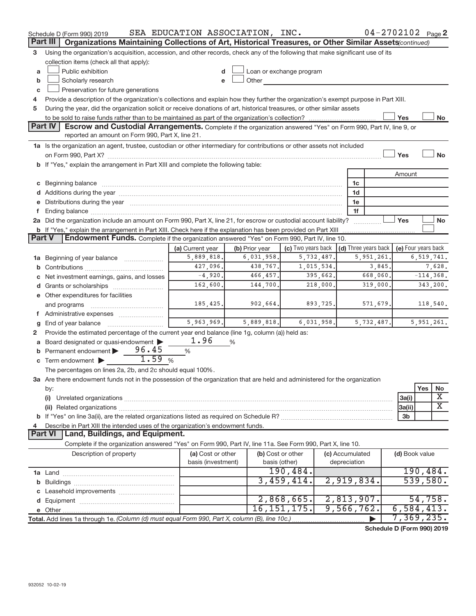|               | Schedule D (Form 990) 2019                                                                                                                                                                                                     | SEA EDUCATION ASSOCIATION, INC. |                |                          |            |                 | $04 - 2702102$ Page 2      |                     |          |                       |
|---------------|--------------------------------------------------------------------------------------------------------------------------------------------------------------------------------------------------------------------------------|---------------------------------|----------------|--------------------------|------------|-----------------|----------------------------|---------------------|----------|-----------------------|
|               | Part III<br>Organizations Maintaining Collections of Art, Historical Treasures, or Other Similar Assets (continued)                                                                                                            |                                 |                |                          |            |                 |                            |                     |          |                       |
| 3             | Using the organization's acquisition, accession, and other records, check any of the following that make significant use of its                                                                                                |                                 |                |                          |            |                 |                            |                     |          |                       |
|               | collection items (check all that apply):                                                                                                                                                                                       |                                 |                |                          |            |                 |                            |                     |          |                       |
| a             | Public exhibition                                                                                                                                                                                                              |                                 |                | Loan or exchange program |            |                 |                            |                     |          |                       |
| b             | Scholarly research                                                                                                                                                                                                             |                                 | Other          |                          |            |                 |                            |                     |          |                       |
| c             | Preservation for future generations                                                                                                                                                                                            |                                 |                |                          |            |                 |                            |                     |          |                       |
|               | Provide a description of the organization's collections and explain how they further the organization's exempt purpose in Part XIII.                                                                                           |                                 |                |                          |            |                 |                            |                     |          |                       |
| 5             | During the year, did the organization solicit or receive donations of art, historical treasures, or other similar assets                                                                                                       |                                 |                |                          |            |                 |                            |                     |          |                       |
|               |                                                                                                                                                                                                                                |                                 |                |                          |            |                 |                            | Yes                 |          | No                    |
|               | <b>Part IV</b><br><b>Escrow and Custodial Arrangements.</b> Complete if the organization answered "Yes" on Form 990, Part IV, line 9, or                                                                                       |                                 |                |                          |            |                 |                            |                     |          |                       |
|               | reported an amount on Form 990, Part X, line 21.                                                                                                                                                                               |                                 |                |                          |            |                 |                            |                     |          |                       |
|               | 1a Is the organization an agent, trustee, custodian or other intermediary for contributions or other assets not included                                                                                                       |                                 |                |                          |            |                 |                            |                     |          |                       |
|               |                                                                                                                                                                                                                                |                                 |                |                          |            |                 |                            | Yes                 |          | <b>No</b>             |
|               | b If "Yes," explain the arrangement in Part XIII and complete the following table:                                                                                                                                             |                                 |                |                          |            |                 |                            |                     |          |                       |
|               |                                                                                                                                                                                                                                |                                 |                |                          |            |                 |                            | Amount              |          |                       |
|               |                                                                                                                                                                                                                                |                                 |                |                          |            | 1c              |                            |                     |          |                       |
|               |                                                                                                                                                                                                                                |                                 |                |                          |            | 1d              |                            |                     |          |                       |
|               | e Distributions during the year manufactured and contain an account of the year manufactured and the year manufactured and the year manufactured and the year manufactured and the year manufactured and the year manufactured |                                 |                |                          |            | 1e              |                            |                     |          |                       |
|               | 2a Did the organization include an amount on Form 990, Part X, line 21, for escrow or custodial account liability?                                                                                                             |                                 |                |                          |            | 1f              |                            | Yes                 |          | No                    |
|               | <b>b</b> If "Yes," explain the arrangement in Part XIII. Check here if the explanation has been provided on Part XIII                                                                                                          |                                 |                |                          |            |                 |                            |                     |          |                       |
| <b>Part V</b> | Endowment Funds. Complete if the organization answered "Yes" on Form 990, Part IV, line 10.                                                                                                                                    |                                 |                |                          |            |                 |                            |                     |          |                       |
|               |                                                                                                                                                                                                                                | (a) Current year                | (b) Prior year | (c) Two years back       |            |                 | (d) Three years back       | (e) Four years back |          |                       |
|               | <b>1a</b> Beginning of year balance                                                                                                                                                                                            | 5,889,818.                      | 6,031,958.     |                          | 5,732,487. |                 | 5,951,261                  |                     |          | 6,519,741.            |
|               |                                                                                                                                                                                                                                | 427,096.                        | 438,767.       |                          | 1,015,534. |                 | 3,845.                     |                     |          | 7,628.                |
|               | c Net investment earnings, gains, and losses                                                                                                                                                                                   | $-4,920.$                       | 466,457.       |                          | 395,662.   |                 | 668,060.                   |                     |          | $-114,368.$           |
|               |                                                                                                                                                                                                                                | 162,600.                        | 144,700.       |                          | 218,000.   |                 | 319,000.                   |                     |          | 343,200.              |
|               | e Other expenditures for facilities                                                                                                                                                                                            |                                 |                |                          |            |                 |                            |                     |          |                       |
|               | and programs                                                                                                                                                                                                                   | 185,425.                        | 902,664.       |                          | 893,725.   |                 | 571,679.                   |                     |          | 118,540.              |
|               | f Administrative expenses                                                                                                                                                                                                      |                                 |                |                          |            |                 |                            |                     |          |                       |
| g             | End of year balance                                                                                                                                                                                                            | 5,963,969.                      | 5,889,818.     |                          | 6,031,958. |                 | 5,732,487.                 |                     |          | 5,951,261.            |
|               | Provide the estimated percentage of the current year end balance (line 1g, column (a)) held as:                                                                                                                                |                                 |                |                          |            |                 |                            |                     |          |                       |
|               | a Board designated or quasi-endowment                                                                                                                                                                                          | 1.96                            | %              |                          |            |                 |                            |                     |          |                       |
|               | 96.45<br><b>b</b> Permanent endowment $\blacktriangleright$                                                                                                                                                                    | %                               |                |                          |            |                 |                            |                     |          |                       |
|               | 1.59<br>$\mathbf c$ Term endowment $\blacktriangleright$                                                                                                                                                                       | %                               |                |                          |            |                 |                            |                     |          |                       |
|               | The percentages on lines 2a, 2b, and 2c should equal 100%.                                                                                                                                                                     |                                 |                |                          |            |                 |                            |                     |          |                       |
|               | 3a Are there endowment funds not in the possession of the organization that are held and administered for the organization                                                                                                     |                                 |                |                          |            |                 |                            |                     |          |                       |
|               | by:                                                                                                                                                                                                                            |                                 |                |                          |            |                 |                            |                     | Yes      | No                    |
|               | (i)                                                                                                                                                                                                                            |                                 |                |                          |            |                 |                            | 3a(i)               |          | X                     |
|               |                                                                                                                                                                                                                                |                                 |                |                          |            |                 |                            | 3a(ii)              |          | $\overline{\text{X}}$ |
|               |                                                                                                                                                                                                                                |                                 |                |                          |            |                 |                            | 3b                  |          |                       |
|               | Describe in Part XIII the intended uses of the organization's endowment funds.                                                                                                                                                 |                                 |                |                          |            |                 |                            |                     |          |                       |
|               | Land, Buildings, and Equipment.<br><b>Part VI</b>                                                                                                                                                                              |                                 |                |                          |            |                 |                            |                     |          |                       |
|               | Complete if the organization answered "Yes" on Form 990, Part IV, line 11a. See Form 990, Part X, line 10.                                                                                                                     |                                 |                |                          |            |                 |                            |                     |          |                       |
|               | Description of property                                                                                                                                                                                                        | (a) Cost or other               |                | (b) Cost or other        |            | (c) Accumulated |                            | (d) Book value      |          |                       |
|               |                                                                                                                                                                                                                                | basis (investment)              |                | basis (other)            |            | depreciation    |                            |                     |          |                       |
|               |                                                                                                                                                                                                                                |                                 |                | 190,484.<br>3,459,414.   |            | 2,919,834.      |                            |                     | 539,580. | 190,484.              |
|               |                                                                                                                                                                                                                                |                                 |                |                          |            |                 |                            |                     |          |                       |
|               |                                                                                                                                                                                                                                |                                 |                | 2,868,665.               |            | 2,813,907.      |                            |                     |          | 54,758.               |
|               |                                                                                                                                                                                                                                |                                 |                | 16, 151, 175.            |            | 9,566,762.      |                            | 6,584,413.          |          |                       |
|               | Total. Add lines 1a through 1e. (Column (d) must equal Form 990, Part X, column (B), line 10c.)                                                                                                                                |                                 |                |                          |            |                 |                            | 7,369,235.          |          |                       |
|               |                                                                                                                                                                                                                                |                                 |                |                          |            |                 | Schodule D (Form 000) 2010 |                     |          |                       |

**Schedule D (Form 990) 2019**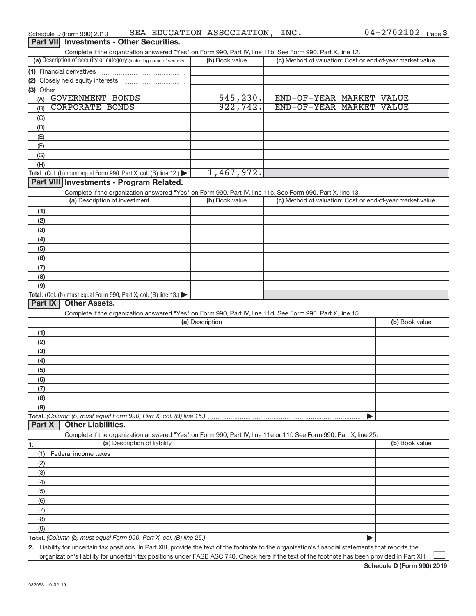| Complete if the organization answered "Yes" on Form 990, Part IV, line 11b. See Form 990, Part X, line 12.                                           |                 |                                                           |                |
|------------------------------------------------------------------------------------------------------------------------------------------------------|-----------------|-----------------------------------------------------------|----------------|
| (a) Description of security or category (including name of security)                                                                                 | (b) Book value  | (c) Method of valuation: Cost or end-of-year market value |                |
|                                                                                                                                                      |                 |                                                           |                |
|                                                                                                                                                      |                 |                                                           |                |
| (3) Other                                                                                                                                            |                 |                                                           |                |
| GOVERNMENT BONDS<br>(A)                                                                                                                              | 545, 230.       | END-OF-YEAR MARKET VALUE                                  |                |
| <b>CORPORATE BONDS</b><br>(B)                                                                                                                        | 922, 742.       | END-OF-YEAR MARKET VALUE                                  |                |
| (C)                                                                                                                                                  |                 |                                                           |                |
| (D)                                                                                                                                                  |                 |                                                           |                |
| (E)                                                                                                                                                  |                 |                                                           |                |
| (F)                                                                                                                                                  |                 |                                                           |                |
| (G)                                                                                                                                                  |                 |                                                           |                |
| (H)                                                                                                                                                  |                 |                                                           |                |
| Total. (Col. (b) must equal Form 990, Part X, col. (B) line 12.)                                                                                     | 1,467,972.      |                                                           |                |
| Part VIII Investments - Program Related.                                                                                                             |                 |                                                           |                |
| Complete if the organization answered "Yes" on Form 990, Part IV, line 11c. See Form 990, Part X, line 13.                                           |                 |                                                           |                |
| (a) Description of investment                                                                                                                        | (b) Book value  | (c) Method of valuation: Cost or end-of-year market value |                |
| (1)                                                                                                                                                  |                 |                                                           |                |
| (2)                                                                                                                                                  |                 |                                                           |                |
| (3)                                                                                                                                                  |                 |                                                           |                |
| (4)                                                                                                                                                  |                 |                                                           |                |
| (5)                                                                                                                                                  |                 |                                                           |                |
| (6)                                                                                                                                                  |                 |                                                           |                |
| (7)                                                                                                                                                  |                 |                                                           |                |
| (8)                                                                                                                                                  |                 |                                                           |                |
| (9)                                                                                                                                                  |                 |                                                           |                |
| Total. (Col. (b) must equal Form 990, Part X, col. (B) line 13.)<br>Part IX<br><b>Other Assets.</b>                                                  |                 |                                                           |                |
| Complete if the organization answered "Yes" on Form 990, Part IV, line 11d. See Form 990, Part X, line 15.                                           |                 |                                                           |                |
|                                                                                                                                                      | (a) Description |                                                           | (b) Book value |
| (1)                                                                                                                                                  |                 |                                                           |                |
| (2)                                                                                                                                                  |                 |                                                           |                |
| (3)                                                                                                                                                  |                 |                                                           |                |
| (4)                                                                                                                                                  |                 |                                                           |                |
| (5)                                                                                                                                                  |                 |                                                           |                |
| (6)                                                                                                                                                  |                 |                                                           |                |
| (7)                                                                                                                                                  |                 |                                                           |                |
| (8)                                                                                                                                                  |                 |                                                           |                |
| (9)                                                                                                                                                  |                 |                                                           |                |
| Total. (Column (b) must equal Form 990, Part X, col. (B) line 15.)                                                                                   |                 |                                                           |                |
| <b>Other Liabilities.</b><br>Part X                                                                                                                  |                 |                                                           |                |
| Complete if the organization answered "Yes" on Form 990, Part IV, line 11e or 11f. See Form 990, Part X, line 25.                                    |                 |                                                           |                |
| (a) Description of liability<br>1.                                                                                                                   |                 |                                                           | (b) Book value |
| Federal income taxes<br>(1)                                                                                                                          |                 |                                                           |                |
| (2)                                                                                                                                                  |                 |                                                           |                |
| (3)                                                                                                                                                  |                 |                                                           |                |
| (4)                                                                                                                                                  |                 |                                                           |                |
| (5)                                                                                                                                                  |                 |                                                           |                |
| (6)                                                                                                                                                  |                 |                                                           |                |
| (7)                                                                                                                                                  |                 |                                                           |                |
| (8)                                                                                                                                                  |                 |                                                           |                |
| (9)                                                                                                                                                  |                 |                                                           |                |
|                                                                                                                                                      |                 |                                                           |                |
| 2. Liability for uncertain tax positions. In Part XIII, provide the text of the footnote to the organization's financial statements that reports the |                 |                                                           |                |

### Schedule D (Form 990) 2019  $\;$  SEA EDUCATION ASSOCIATION, INC.  $\;$  04-2702102  $\;$  Page

## **Part VII** Investments - Other Securities.

organization's liability for uncertain tax positions under FASB ASC 740. Check here if the text of the footnote has been provided in Part XIII...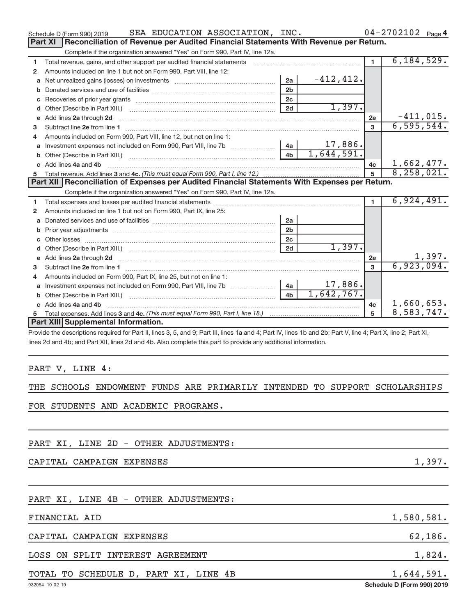|    | SEA EDUCATION ASSOCIATION, INC.<br>Schedule D (Form 990) 2019                                    |                |              |                | $04 - 2702102$ Page 4       |
|----|--------------------------------------------------------------------------------------------------|----------------|--------------|----------------|-----------------------------|
|    | Reconciliation of Revenue per Audited Financial Statements With Revenue per Return.<br>Part XI   |                |              |                |                             |
|    | Complete if the organization answered "Yes" on Form 990, Part IV, line 12a.                      |                |              |                |                             |
| 1  | Total revenue, gains, and other support per audited financial statements                         |                |              | $\blacksquare$ | 6, 184, 529.                |
| 2  | Amounts included on line 1 but not on Form 990, Part VIII, line 12:                              |                |              |                |                             |
| a  |                                                                                                  | 2a             | $-412, 412.$ |                |                             |
|    |                                                                                                  | 2 <sub>b</sub> |              |                |                             |
|    |                                                                                                  | 2 <sub>c</sub> |              |                |                             |
| d  |                                                                                                  | 2d             | 1,397.       |                |                             |
| e  | Add lines 2a through 2d                                                                          |                |              | 2e             | $-411,015.$                 |
| 3  |                                                                                                  |                |              | $\mathbf{3}$   | 6, 595, 544.                |
| 4  | Amounts included on Form 990, Part VIII, line 12, but not on line 1:                             |                |              |                |                             |
|    | Investment expenses not included on Form 990, Part VIII, line 7b [100] [200] 4a [                |                | 17,886.      |                |                             |
|    |                                                                                                  | 4 <sub>b</sub> | 1,644,591.   |                |                             |
|    |                                                                                                  |                |              | 4c             | 1,662,477.                  |
|    | c Add lines 4a and 4b                                                                            |                |              |                |                             |
|    |                                                                                                  |                |              | 5              | 8, 258, 021.                |
|    | Part XII   Reconciliation of Expenses per Audited Financial Statements With Expenses per Return. |                |              |                |                             |
|    | Complete if the organization answered "Yes" on Form 990, Part IV, line 12a.                      |                |              |                |                             |
| 1. |                                                                                                  |                |              |                | 6,924,491.                  |
| 2  | Amounts included on line 1 but not on Form 990, Part IX, line 25:                                |                |              |                |                             |
| a  |                                                                                                  | 2a             |              |                |                             |
|    |                                                                                                  | 2 <sub>b</sub> |              |                |                             |
|    |                                                                                                  | 2c             |              |                |                             |
| d  |                                                                                                  | 2d             | 1,397.       |                |                             |
|    |                                                                                                  |                |              | 2e             |                             |
| з  |                                                                                                  |                |              | $\mathbf{3}$   | $\frac{1,397.}{6,923,094.}$ |
| 4  | Amounts included on Form 990, Part IX, line 25, but not on line 1:                               |                |              |                |                             |
| a  | Investment expenses not included on Form 990, Part VIII, line 7b                                 | 4a             | 17,886.      |                |                             |
|    |                                                                                                  | 4 <sub>h</sub> | 1,642,767.   |                |                             |
|    | c Add lines 4a and 4b                                                                            |                |              | 4 <sub>c</sub> | 1,660,653.                  |
| 5  |                                                                                                  |                |              | 5              | 8,583,747.                  |
|    | Part XIII Supplemental Information.                                                              |                |              |                |                             |

Provide the descriptions required for Part II, lines 3, 5, and 9; Part III, lines 1a and 4; Part IV, lines 1b and 2b; Part V, line 4; Part X, line 2; Part XI, lines 2d and 4b; and Part XII, lines 2d and 4b. Also complete this part to provide any additional information.

### PART V, LINE 4:

# THE SCHOOLS ENDOWMENT FUNDS ARE PRIMARILY INTENDED TO SUPPORT SCHOLARSHIPS

FOR STUDENTS AND ACADEMIC PROGRAMS.

PART XI, LINE 2D - OTHER ADJUSTMENTS:

CAPITAL CAMPAIGN EXPENSES 1,397.

# PART XI, LINE 4B - OTHER ADJUSTMENTS:

FINANCIAL AID 1,580,581.

CAPITAL CAMPAIGN EXPENSES 62, 186.

LOSS ON SPLIT INTEREST AGREEMENT 1,824.

# TOTAL TO SCHEDULE D, PART XI, LINE 4B 1,644,591.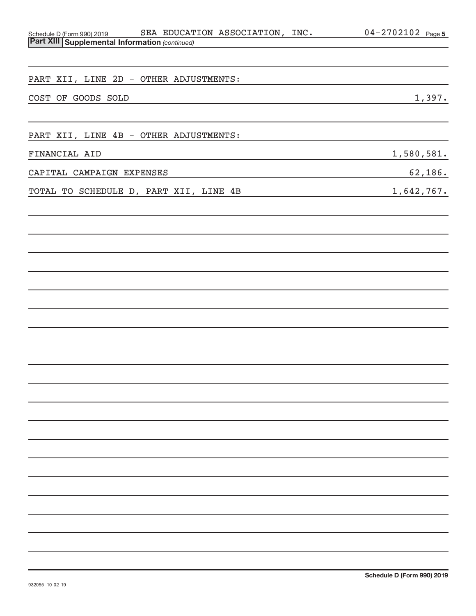| SEA EDUCATION ASSOCIATION, INC.<br>Schedule D (Form 990) 2019                                                                                        | 04-2702102 Page 5 |
|------------------------------------------------------------------------------------------------------------------------------------------------------|-------------------|
| <b>Part XIII Supplemental Information (continued)</b>                                                                                                |                   |
|                                                                                                                                                      |                   |
| PART XII, LINE 2D - OTHER ADJUSTMENTS:                                                                                                               |                   |
|                                                                                                                                                      |                   |
| COST OF GOODS SOLD<br><u> 1989 - Johann Stoff, deutscher Stoff, der Stoff, der Stoff, der Stoff, der Stoff, der Stoff, der Stoff, der S</u>          | 1,397.            |
|                                                                                                                                                      |                   |
| PART XII, LINE 4B - OTHER ADJUSTMENTS:                                                                                                               |                   |
| FINANCIAL AID                                                                                                                                        | 1,580,581.        |
| <u> 1989 - Johann Stoff, Amerikaansk politiker († 1908)</u>                                                                                          |                   |
| CAPITAL CAMPAIGN EXPENSES<br>the control of the control of the control of the control of the control of the control of the control of the control of | 62,186.           |
| TOTAL TO SCHEDULE D, PART XII, LINE 4B                                                                                                               | 1,642,767.        |
|                                                                                                                                                      |                   |
|                                                                                                                                                      |                   |
|                                                                                                                                                      |                   |
|                                                                                                                                                      |                   |
|                                                                                                                                                      |                   |
|                                                                                                                                                      |                   |
|                                                                                                                                                      |                   |
|                                                                                                                                                      |                   |
|                                                                                                                                                      |                   |
|                                                                                                                                                      |                   |
|                                                                                                                                                      |                   |
|                                                                                                                                                      |                   |
|                                                                                                                                                      |                   |
|                                                                                                                                                      |                   |
|                                                                                                                                                      |                   |
|                                                                                                                                                      |                   |
|                                                                                                                                                      |                   |
|                                                                                                                                                      |                   |
|                                                                                                                                                      |                   |
|                                                                                                                                                      |                   |
|                                                                                                                                                      |                   |
|                                                                                                                                                      |                   |
|                                                                                                                                                      |                   |
|                                                                                                                                                      |                   |
|                                                                                                                                                      |                   |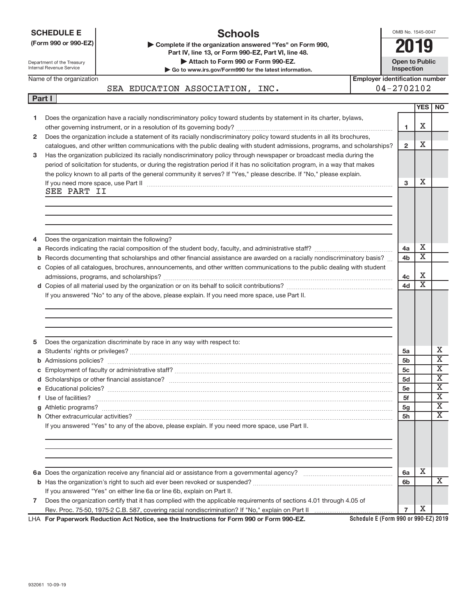|              | <b>Schools</b><br><b>SCHEDULE E</b><br>(Form 990 or 990-EZ)<br>Complete if the organization answered "Yes" on Form 990,<br>Part IV, line 13, or Form 990-EZ, Part VI, line 48.<br>Attach to Form 990 or Form 990-EZ.<br>Department of the Treasury<br>Internal Revenue Service<br>Go to www.irs.gov/Form990 for the latest information.<br><b>Employer identification number</b><br>Name of the organization |                                                                                                                               |                                      |                      |                       | OMB No. 1545-0047<br>2019<br><b>Open to Public</b><br>Inspection |  |  |  |
|--------------|--------------------------------------------------------------------------------------------------------------------------------------------------------------------------------------------------------------------------------------------------------------------------------------------------------------------------------------------------------------------------------------------------------------|-------------------------------------------------------------------------------------------------------------------------------|--------------------------------------|----------------------|-----------------------|------------------------------------------------------------------|--|--|--|
|              |                                                                                                                                                                                                                                                                                                                                                                                                              | SEA EDUCATION ASSOCIATION, INC.                                                                                               | $04 - 2702102$                       |                      |                       |                                                                  |  |  |  |
| Part I       |                                                                                                                                                                                                                                                                                                                                                                                                              |                                                                                                                               |                                      |                      |                       |                                                                  |  |  |  |
|              |                                                                                                                                                                                                                                                                                                                                                                                                              |                                                                                                                               |                                      |                      | YES                   | <b>NO</b>                                                        |  |  |  |
| 1.           |                                                                                                                                                                                                                                                                                                                                                                                                              | Does the organization have a racially nondiscriminatory policy toward students by statement in its charter, bylaws,           |                                      |                      | X                     |                                                                  |  |  |  |
| $\mathbf{2}$ |                                                                                                                                                                                                                                                                                                                                                                                                              | Does the organization include a statement of its racially nondiscriminatory policy toward students in all its brochures,      |                                      | 1                    |                       |                                                                  |  |  |  |
|              |                                                                                                                                                                                                                                                                                                                                                                                                              | catalogues, and other written communications with the public dealing with student admissions, programs, and scholarships?     |                                      | $\overline{2}$       | X                     |                                                                  |  |  |  |
| 3            |                                                                                                                                                                                                                                                                                                                                                                                                              | Has the organization publicized its racially nondiscriminatory policy through newspaper or broadcast media during the         |                                      |                      |                       |                                                                  |  |  |  |
|              |                                                                                                                                                                                                                                                                                                                                                                                                              | period of solicitation for students, or during the registration period if it has no solicitation program, in a way that makes |                                      |                      |                       |                                                                  |  |  |  |
|              |                                                                                                                                                                                                                                                                                                                                                                                                              | the policy known to all parts of the general community it serves? If "Yes," please describe. If "No," please explain.         |                                      |                      |                       |                                                                  |  |  |  |
|              | SEE PART II                                                                                                                                                                                                                                                                                                                                                                                                  |                                                                                                                               |                                      | 3                    | X                     |                                                                  |  |  |  |
|              |                                                                                                                                                                                                                                                                                                                                                                                                              |                                                                                                                               |                                      |                      |                       |                                                                  |  |  |  |
|              |                                                                                                                                                                                                                                                                                                                                                                                                              |                                                                                                                               |                                      |                      |                       |                                                                  |  |  |  |
|              |                                                                                                                                                                                                                                                                                                                                                                                                              |                                                                                                                               |                                      |                      |                       |                                                                  |  |  |  |
|              |                                                                                                                                                                                                                                                                                                                                                                                                              |                                                                                                                               |                                      |                      |                       |                                                                  |  |  |  |
| 4            |                                                                                                                                                                                                                                                                                                                                                                                                              | Does the organization maintain the following?                                                                                 |                                      |                      |                       |                                                                  |  |  |  |
| а            |                                                                                                                                                                                                                                                                                                                                                                                                              |                                                                                                                               |                                      | 4a                   | х                     |                                                                  |  |  |  |
| b            |                                                                                                                                                                                                                                                                                                                                                                                                              | Records documenting that scholarships and other financial assistance are awarded on a racially nondiscriminatory basis?       |                                      | 4 <sub>b</sub>       | $\overline{\text{x}}$ |                                                                  |  |  |  |
|              |                                                                                                                                                                                                                                                                                                                                                                                                              | c Copies of all catalogues, brochures, announcements, and other written communications to the public dealing with student     |                                      |                      | X                     |                                                                  |  |  |  |
|              |                                                                                                                                                                                                                                                                                                                                                                                                              |                                                                                                                               |                                      | 4c<br>4d             | $\overline{\text{x}}$ |                                                                  |  |  |  |
|              |                                                                                                                                                                                                                                                                                                                                                                                                              | If you answered "No" to any of the above, please explain. If you need more space, use Part II.                                |                                      |                      |                       |                                                                  |  |  |  |
|              |                                                                                                                                                                                                                                                                                                                                                                                                              |                                                                                                                               |                                      |                      |                       |                                                                  |  |  |  |
|              |                                                                                                                                                                                                                                                                                                                                                                                                              |                                                                                                                               |                                      |                      |                       |                                                                  |  |  |  |
|              |                                                                                                                                                                                                                                                                                                                                                                                                              |                                                                                                                               |                                      |                      |                       |                                                                  |  |  |  |
|              |                                                                                                                                                                                                                                                                                                                                                                                                              |                                                                                                                               |                                      |                      |                       |                                                                  |  |  |  |
| 5            |                                                                                                                                                                                                                                                                                                                                                                                                              | Does the organization discriminate by race in any way with respect to:                                                        |                                      |                      |                       |                                                                  |  |  |  |
|              |                                                                                                                                                                                                                                                                                                                                                                                                              |                                                                                                                               |                                      | 5a                   |                       | х<br>$\overline{\text{x}}$                                       |  |  |  |
|              |                                                                                                                                                                                                                                                                                                                                                                                                              |                                                                                                                               |                                      | 5 <sub>b</sub><br>5c |                       | $\overline{\text{X}}$                                            |  |  |  |
|              |                                                                                                                                                                                                                                                                                                                                                                                                              |                                                                                                                               |                                      | 5d                   |                       | $\overline{\textbf{X}}$                                          |  |  |  |
|              |                                                                                                                                                                                                                                                                                                                                                                                                              |                                                                                                                               |                                      | 5e                   |                       | $\overline{\text{X}}$                                            |  |  |  |
|              |                                                                                                                                                                                                                                                                                                                                                                                                              |                                                                                                                               |                                      | 5f                   |                       | $\overline{\text{X}}$                                            |  |  |  |
|              |                                                                                                                                                                                                                                                                                                                                                                                                              |                                                                                                                               |                                      | 5 <sub>g</sub>       |                       | $\overline{\text{X}}$                                            |  |  |  |
|              |                                                                                                                                                                                                                                                                                                                                                                                                              |                                                                                                                               |                                      | 5h                   |                       | $\overline{\text{X}}$                                            |  |  |  |
|              |                                                                                                                                                                                                                                                                                                                                                                                                              | If you answered "Yes" to any of the above, please explain. If you need more space, use Part II.                               |                                      |                      |                       |                                                                  |  |  |  |
|              |                                                                                                                                                                                                                                                                                                                                                                                                              |                                                                                                                               |                                      |                      |                       |                                                                  |  |  |  |
|              |                                                                                                                                                                                                                                                                                                                                                                                                              |                                                                                                                               |                                      |                      |                       |                                                                  |  |  |  |
|              |                                                                                                                                                                                                                                                                                                                                                                                                              |                                                                                                                               |                                      |                      |                       |                                                                  |  |  |  |
|              |                                                                                                                                                                                                                                                                                                                                                                                                              |                                                                                                                               |                                      | 6a                   | x                     |                                                                  |  |  |  |
|              |                                                                                                                                                                                                                                                                                                                                                                                                              |                                                                                                                               |                                      | 6b                   |                       | х                                                                |  |  |  |
|              |                                                                                                                                                                                                                                                                                                                                                                                                              | If you answered "Yes" on either line 6a or line 6b, explain on Part II.                                                       |                                      |                      |                       |                                                                  |  |  |  |
| $\mathbf{7}$ |                                                                                                                                                                                                                                                                                                                                                                                                              | Does the organization certify that it has complied with the applicable requirements of sections 4.01 through 4.05 of          |                                      |                      |                       |                                                                  |  |  |  |
|              |                                                                                                                                                                                                                                                                                                                                                                                                              |                                                                                                                               |                                      | $\overline{7}$       | х                     |                                                                  |  |  |  |
|              |                                                                                                                                                                                                                                                                                                                                                                                                              | LHA For Paperwork Reduction Act Notice, see the Instructions for Form 990 or Form 990-EZ.                                     | Schedule E (Form 990 or 990-EZ) 2019 |                      |                       |                                                                  |  |  |  |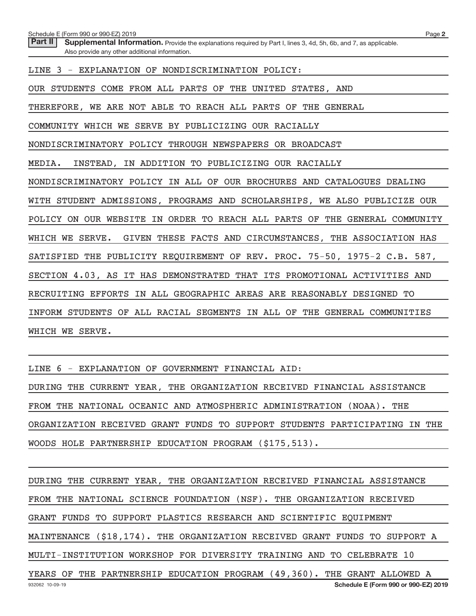Schedule E (Form 990 or 990-EZ) 2019

Part II | Supplemental Information. Provide the explanations required by Part I, lines 3, 4d, 5h, 6b, and 7, as applicable. Also provide any other additional information.

LINE 3 - EXPLANATION OF NONDISCRIMINATION POLICY:

OUR STUDENTS COME FROM ALL PARTS OF THE UNITED STATES, AND

THEREFORE, WE ARE NOT ABLE TO REACH ALL PARTS OF THE GENERAL

COMMUNITY WHICH WE SERVE BY PUBLICIZING OUR RACIALLY

NONDISCRIMINATORY POLICY THROUGH NEWSPAPERS OR BROADCAST

MEDIA. INSTEAD, IN ADDITION TO PUBLICIZING OUR RACIALLY

NONDISCRIMINATORY POLICY IN ALL OF OUR BROCHURES AND CATALOGUES DEALING

WITH STUDENT ADMISSIONS, PROGRAMS AND SCHOLARSHIPS, WE ALSO PUBLICIZE OUR

POLICY ON OUR WEBSITE IN ORDER TO REACH ALL PARTS OF THE GENERAL COMMUNITY

WHICH WE SERVE. GIVEN THESE FACTS AND CIRCUMSTANCES, THE ASSOCIATION HAS

SATISFIED THE PUBLICITY REQUIREMENT OF REV. PROC. 75-50, 1975-2 C.B. 587,

SECTION 4.03, AS IT HAS DEMONSTRATED THAT ITS PROMOTIONAL ACTIVITIES AND

RECRUITING EFFORTS IN ALL GEOGRAPHIC AREAS ARE REASONABLY DESIGNED TO

INFORM STUDENTS OF ALL RACIAL SEGMENTS IN ALL OF THE GENERAL COMMUNITIES

WHICH WE SERVE.

LINE 6 - EXPLANATION OF GOVERNMENT FINANCIAL AID:

DURING THE CURRENT YEAR, THE ORGANIZATION RECEIVED FINANCIAL ASSISTANCE FROM THE NATIONAL OCEANIC AND ATMOSPHERIC ADMINISTRATION (NOAA). THE ORGANIZATION RECEIVED GRANT FUNDS TO SUPPORT STUDENTS PARTICIPATING IN THE WOODS HOLE PARTNERSHIP EDUCATION PROGRAM (\$175,513).

932062 10-09-19 **Schedule E (Form 990 or 990-EZ) 2019** DURING THE CURRENT YEAR, THE ORGANIZATION RECEIVED FINANCIAL ASSISTANCE FROM THE NATIONAL SCIENCE FOUNDATION (NSF). THE ORGANIZATION RECEIVED GRANT FUNDS TO SUPPORT PLASTICS RESEARCH AND SCIENTIFIC EQUIPMENT MAINTENANCE (\$18,174). THE ORGANIZATION RECEIVED GRANT FUNDS TO SUPPORT A MULTI-INSTITUTION WORKSHOP FOR DIVERSITY TRAINING AND TO CELEBRATE 10 YEARS OF THE PARTNERSHIP EDUCATION PROGRAM (49,360). THE GRANT ALLOWED A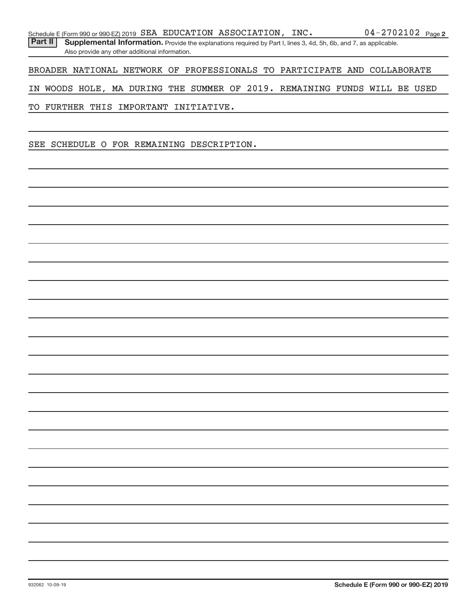Part II | Supplemental Information. Provide the explanations required by Part I, lines 3, 4d, 5h, 6b, and 7, as applicable. Also provide any other additional information.

BROADER NATIONAL NETWORK OF PROFESSIONALS TO PARTICIPATE AND COLLABORATE

IN WOODS HOLE, MA DURING THE SUMMER OF 2019. REMAINING FUNDS WILL BE USED

TO FURTHER THIS IMPORTANT INITIATIVE.

SEE SCHEDULE O FOR REMAINING DESCRIPTION.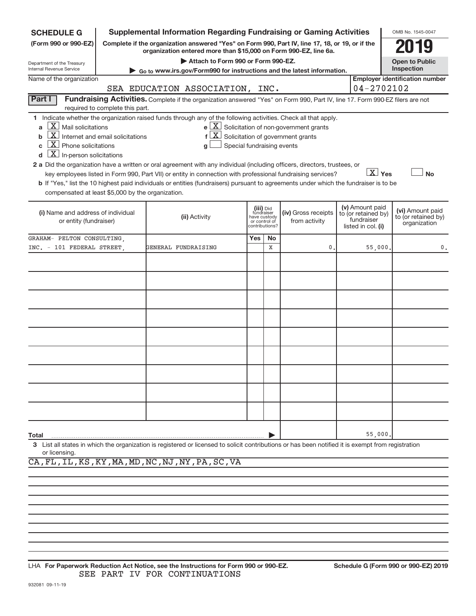| <b>SCHEDULE G</b>                                                                                                                                                          |                                                      | <b>Supplemental Information Regarding Fundraising or Gaming Activities</b>                                                                                                                                                                                                                                                                                                                                                                                                                                 |                            |                                                                            |                                                                                                                        |                                                                            | OMB No. 1545-0047                                       |
|----------------------------------------------------------------------------------------------------------------------------------------------------------------------------|------------------------------------------------------|------------------------------------------------------------------------------------------------------------------------------------------------------------------------------------------------------------------------------------------------------------------------------------------------------------------------------------------------------------------------------------------------------------------------------------------------------------------------------------------------------------|----------------------------|----------------------------------------------------------------------------|------------------------------------------------------------------------------------------------------------------------|----------------------------------------------------------------------------|---------------------------------------------------------|
| (Form 990 or 990-EZ)                                                                                                                                                       |                                                      | Complete if the organization answered "Yes" on Form 990, Part IV, line 17, 18, or 19, or if the<br>organization entered more than \$15,000 on Form 990-EZ, line 6a.                                                                                                                                                                                                                                                                                                                                        |                            |                                                                            |                                                                                                                        |                                                                            |                                                         |
| Department of the Treasury                                                                                                                                                 |                                                      | Attach to Form 990 or Form 990-EZ.                                                                                                                                                                                                                                                                                                                                                                                                                                                                         |                            |                                                                            |                                                                                                                        |                                                                            | <b>Open to Public</b>                                   |
| Internal Revenue Service<br>Name of the organization                                                                                                                       |                                                      | Go to www.irs.gov/Form990 for instructions and the latest information.                                                                                                                                                                                                                                                                                                                                                                                                                                     |                            |                                                                            |                                                                                                                        |                                                                            | Inspection<br><b>Employer identification number</b>     |
|                                                                                                                                                                            |                                                      | SEA EDUCATION ASSOCIATION, INC.                                                                                                                                                                                                                                                                                                                                                                                                                                                                            |                            |                                                                            |                                                                                                                        | $04 - 2702102$                                                             |                                                         |
| Part I                                                                                                                                                                     | required to complete this part.                      | Fundraising Activities. Complete if the organization answered "Yes" on Form 990, Part IV, line 17. Form 990-EZ filers are not                                                                                                                                                                                                                                                                                                                                                                              |                            |                                                                            |                                                                                                                        |                                                                            |                                                         |
| $X$ Mail solicitations<br>a<br>b<br>$X$ Phone solicitations<br>C<br>$\boxed{\mathbf{X}}$ In-person solicitations<br>d<br>compensated at least \$5,000 by the organization. | $\lfloor x \rfloor$ Internet and email solicitations | 1 Indicate whether the organization raised funds through any of the following activities. Check all that apply.<br>q<br>2 a Did the organization have a written or oral agreement with any individual (including officers, directors, trustees, or<br>key employees listed in Form 990, Part VII) or entity in connection with professional fundraising services?<br>b If "Yes," list the 10 highest paid individuals or entities (fundraisers) pursuant to agreements under which the fundraiser is to be | Special fundraising events |                                                                            | $e$ $\boxed{X}$ Solicitation of non-government grants<br>$f\left[\frac{X}{X}\right]$ Solicitation of government grants | $\boxed{\text{X}}$ Yes                                                     | <b>No</b>                                               |
| (i) Name and address of individual<br>or entity (fundraiser)                                                                                                               |                                                      | (ii) Activity                                                                                                                                                                                                                                                                                                                                                                                                                                                                                              |                            | (iii) Did<br>fundraiser<br>have custody<br>or control of<br>contributions? | (iv) Gross receipts<br>from activity                                                                                   | (v) Amount paid<br>to (or retained by)<br>fundraiser<br>listed in col. (i) | (vi) Amount paid<br>to (or retained by)<br>organization |
| GRAHAM- PELTON CONSULTING.                                                                                                                                                 |                                                      |                                                                                                                                                                                                                                                                                                                                                                                                                                                                                                            | Yes                        | No.                                                                        |                                                                                                                        |                                                                            |                                                         |
| INC. - 101 FEDERAL STREET.                                                                                                                                                 |                                                      | GENERAL FUNDRAISING                                                                                                                                                                                                                                                                                                                                                                                                                                                                                        |                            | X                                                                          | 0                                                                                                                      | 55,000                                                                     | 0.                                                      |
|                                                                                                                                                                            |                                                      |                                                                                                                                                                                                                                                                                                                                                                                                                                                                                                            |                            |                                                                            |                                                                                                                        |                                                                            |                                                         |
|                                                                                                                                                                            |                                                      |                                                                                                                                                                                                                                                                                                                                                                                                                                                                                                            |                            |                                                                            |                                                                                                                        |                                                                            |                                                         |
|                                                                                                                                                                            |                                                      |                                                                                                                                                                                                                                                                                                                                                                                                                                                                                                            |                            |                                                                            |                                                                                                                        |                                                                            |                                                         |
|                                                                                                                                                                            |                                                      |                                                                                                                                                                                                                                                                                                                                                                                                                                                                                                            |                            |                                                                            |                                                                                                                        |                                                                            |                                                         |
|                                                                                                                                                                            |                                                      |                                                                                                                                                                                                                                                                                                                                                                                                                                                                                                            |                            |                                                                            |                                                                                                                        |                                                                            |                                                         |
|                                                                                                                                                                            |                                                      |                                                                                                                                                                                                                                                                                                                                                                                                                                                                                                            |                            |                                                                            |                                                                                                                        |                                                                            |                                                         |
|                                                                                                                                                                            |                                                      |                                                                                                                                                                                                                                                                                                                                                                                                                                                                                                            |                            |                                                                            |                                                                                                                        |                                                                            |                                                         |
|                                                                                                                                                                            |                                                      |                                                                                                                                                                                                                                                                                                                                                                                                                                                                                                            |                            |                                                                            |                                                                                                                        |                                                                            |                                                         |
|                                                                                                                                                                            |                                                      |                                                                                                                                                                                                                                                                                                                                                                                                                                                                                                            |                            |                                                                            |                                                                                                                        |                                                                            |                                                         |
| Total                                                                                                                                                                      |                                                      |                                                                                                                                                                                                                                                                                                                                                                                                                                                                                                            |                            |                                                                            |                                                                                                                        | 55,000                                                                     |                                                         |
| or licensing.                                                                                                                                                              |                                                      | 3 List all states in which the organization is registered or licensed to solicit contributions or has been notified it is exempt from registration                                                                                                                                                                                                                                                                                                                                                         |                            |                                                                            |                                                                                                                        |                                                                            |                                                         |

CA,FL,IL,KS,KY,MA,MD,NC,NJ,NY,PA,SC,VA

**For Paperwork Reduction Act Notice, see the Instructions for Form 990 or 990-EZ. Schedule G (Form 990 or 990-EZ) 2019** LHA SEE PART IV FOR CONTINUATIONS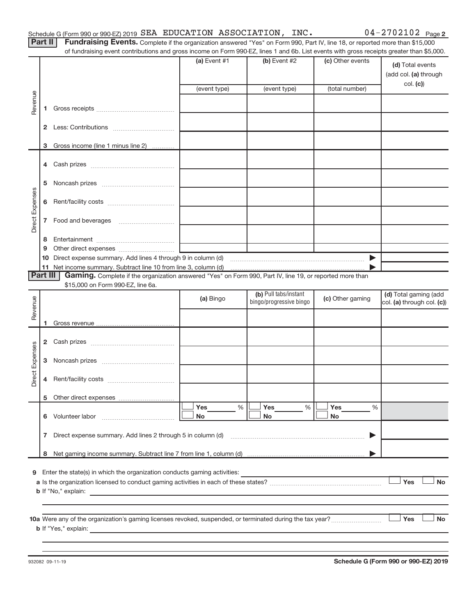Part II | Fundraising Events. Complete if the organization answered "Yes" on Form 990, Part IV, line 18, or reported more than \$15,000 of fundraising event contributions and gross income on Form 990-EZ, lines 1 and 6b. List events with gross receipts greater than \$5,000.

|                        |        | UI Turidiaising event continuutions and gross income on Form 990-LZ, illies T and OD. List events with gross receipts greater than \$0,000.         | (a) Event $#1$ | (b) Event #2            | (c) Other events      | (d) Total events           |
|------------------------|--------|-----------------------------------------------------------------------------------------------------------------------------------------------------|----------------|-------------------------|-----------------------|----------------------------|
|                        |        |                                                                                                                                                     |                |                         |                       | (add col. (a) through      |
|                        |        |                                                                                                                                                     | (event type)   | (event type)            | (total number)        | col. (c)                   |
|                        |        |                                                                                                                                                     |                |                         |                       |                            |
| Revenue                | 1.     |                                                                                                                                                     |                |                         |                       |                            |
|                        |        |                                                                                                                                                     |                |                         |                       |                            |
|                        |        |                                                                                                                                                     |                |                         |                       |                            |
|                        | 3      | Gross income (line 1 minus line 2)                                                                                                                  |                |                         |                       |                            |
|                        |        |                                                                                                                                                     |                |                         |                       |                            |
|                        |        |                                                                                                                                                     |                |                         |                       |                            |
|                        |        |                                                                                                                                                     |                |                         |                       |                            |
|                        | 5      |                                                                                                                                                     |                |                         |                       |                            |
| Direct Expenses        |        |                                                                                                                                                     |                |                         |                       |                            |
|                        |        |                                                                                                                                                     |                |                         |                       |                            |
|                        |        |                                                                                                                                                     |                |                         |                       |                            |
|                        |        |                                                                                                                                                     |                |                         |                       |                            |
|                        | 8<br>9 |                                                                                                                                                     |                |                         |                       |                            |
|                        |        |                                                                                                                                                     |                |                         | $\blacktriangleright$ |                            |
|                        |        |                                                                                                                                                     |                |                         |                       |                            |
| Part III               |        | Gaming. Complete if the organization answered "Yes" on Form 990, Part IV, line 19, or reported more than                                            |                |                         |                       |                            |
|                        |        | \$15,000 on Form 990-EZ, line 6a.                                                                                                                   |                | (b) Pull tabs/instant   |                       | (d) Total gaming (add      |
| Revenue                |        |                                                                                                                                                     | (a) Bingo      | bingo/progressive bingo | (c) Other gaming      | col. (a) through col. (c)) |
|                        |        |                                                                                                                                                     |                |                         |                       |                            |
|                        | 1.     |                                                                                                                                                     |                |                         |                       |                            |
|                        |        |                                                                                                                                                     |                |                         |                       |                            |
|                        |        |                                                                                                                                                     |                |                         |                       |                            |
|                        |        |                                                                                                                                                     |                |                         |                       |                            |
| <b>Direct Expenses</b> |        |                                                                                                                                                     |                |                         |                       |                            |
|                        | 4      |                                                                                                                                                     |                |                         |                       |                            |
|                        |        |                                                                                                                                                     |                |                         |                       |                            |
|                        |        |                                                                                                                                                     | Yes<br>%       | Yes<br>%                | Yes<br>%              |                            |
|                        |        | 6 Volunteer labor                                                                                                                                   | No             | No                      | No                    |                            |
|                        |        |                                                                                                                                                     |                |                         |                       |                            |
|                        | 7      | Direct expense summary. Add lines 2 through 5 in column (d)                                                                                         |                |                         |                       |                            |
|                        | 8      |                                                                                                                                                     |                |                         |                       |                            |
|                        |        |                                                                                                                                                     |                |                         |                       |                            |
| 9                      |        | Enter the state(s) in which the organization conducts gaming activities:                                                                            |                |                         |                       |                            |
|                        |        |                                                                                                                                                     |                |                         |                       | Yes<br><b>No</b>           |
|                        |        | <b>b</b> If "No," explain:<br><u> 1980 - Jan Sterling von Berling von Berling von Berling von Berling von Berling von Berling von Berling von B</u> |                |                         |                       |                            |
|                        |        |                                                                                                                                                     |                |                         |                       |                            |
|                        |        |                                                                                                                                                     |                |                         |                       | Yes<br><b>No</b>           |
|                        |        | <b>b</b> If "Yes," explain:                                                                                                                         |                |                         |                       |                            |
|                        |        |                                                                                                                                                     |                |                         |                       |                            |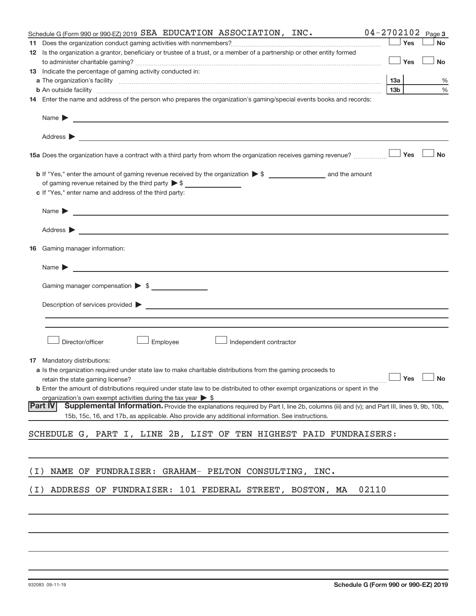|       | Schedule G (Form 990 or 990-EZ) 2019 SEA EDUCATION ASSOCIATION, INC.                                                                                                                                                                 | $04 - 2702102$ Page 3 |           |
|-------|--------------------------------------------------------------------------------------------------------------------------------------------------------------------------------------------------------------------------------------|-----------------------|-----------|
|       |                                                                                                                                                                                                                                      | Yes                   | <b>No</b> |
|       | 12 Is the organization a grantor, beneficiary or trustee of a trust, or a member of a partnership or other entity formed                                                                                                             |                       |           |
|       |                                                                                                                                                                                                                                      | Yes                   | <b>No</b> |
|       | 13 Indicate the percentage of gaming activity conducted in:                                                                                                                                                                          |                       |           |
|       |                                                                                                                                                                                                                                      |                       | %         |
|       |                                                                                                                                                                                                                                      | 13 <sub>b</sub>       | $\%$      |
|       | 14 Enter the name and address of the person who prepares the organization's gaming/special events books and records:                                                                                                                 |                       |           |
|       | Name $\sum$                                                                                                                                                                                                                          |                       |           |
|       |                                                                                                                                                                                                                                      |                       |           |
|       |                                                                                                                                                                                                                                      |                       |           |
|       | 15a Does the organization have a contract with a third party from whom the organization receives gaming revenue?                                                                                                                     | Yes                   | <b>No</b> |
|       |                                                                                                                                                                                                                                      |                       |           |
|       | of gaming revenue retained by the third party $\triangleright$ \$                                                                                                                                                                    |                       |           |
|       | c If "Yes," enter name and address of the third party:                                                                                                                                                                               |                       |           |
|       | Name <b>Decision and Contract Contract Contract Contract Contract Contract Contract Contract Contract Contract Contract Contract Contract Contract Contract Contract Contract Contract Contract Contract Contract Contract Contr</b> |                       |           |
|       |                                                                                                                                                                                                                                      |                       |           |
|       |                                                                                                                                                                                                                                      |                       |           |
|       | <b>16</b> Gaming manager information:                                                                                                                                                                                                |                       |           |
|       | Name $\blacktriangleright$<br><u> 1989 - Andrea State Barbara, amerikan basar dan berasal dan berasal dalam basa dan berasal dan berasal dalam</u>                                                                                   |                       |           |
|       | Gaming manager compensation > \$                                                                                                                                                                                                     |                       |           |
|       |                                                                                                                                                                                                                                      |                       |           |
|       |                                                                                                                                                                                                                                      |                       |           |
|       |                                                                                                                                                                                                                                      |                       |           |
|       |                                                                                                                                                                                                                                      |                       |           |
|       | Director/officer<br>Employee<br>Independent contractor                                                                                                                                                                               |                       |           |
|       |                                                                                                                                                                                                                                      |                       |           |
|       | 17 Mandatory distributions:                                                                                                                                                                                                          |                       |           |
|       | a Is the organization required under state law to make charitable distributions from the gaming proceeds to<br>retain the state gaming license? $\Box$ No                                                                            |                       |           |
|       | <b>b</b> Enter the amount of distributions required under state law to be distributed to other exempt organizations or spent in the                                                                                                  |                       |           |
|       | organization's own exempt activities during the tax year $\triangleright$ \$                                                                                                                                                         |                       |           |
|       | Supplemental Information. Provide the explanations required by Part I, line 2b, columns (iii) and (v); and Part III, lines 9, 9b, 10b,<br><b>Part IV</b>                                                                             |                       |           |
|       | 15b, 15c, 16, and 17b, as applicable. Also provide any additional information. See instructions.                                                                                                                                     |                       |           |
|       |                                                                                                                                                                                                                                      |                       |           |
|       | SCHEDULE G, PART I, LINE 2B, LIST OF TEN HIGHEST PAID FUNDRAISERS:                                                                                                                                                                   |                       |           |
|       |                                                                                                                                                                                                                                      |                       |           |
|       |                                                                                                                                                                                                                                      |                       |           |
| ( I ) | NAME OF FUNDRAISER: GRAHAM- PELTON CONSULTING, INC.                                                                                                                                                                                  |                       |           |
| ( I ) | ADDRESS OF FUNDRAISER: 101 FEDERAL STREET, BOSTON, MA<br>02110                                                                                                                                                                       |                       |           |
|       |                                                                                                                                                                                                                                      |                       |           |
|       |                                                                                                                                                                                                                                      |                       |           |
|       |                                                                                                                                                                                                                                      |                       |           |
|       |                                                                                                                                                                                                                                      |                       |           |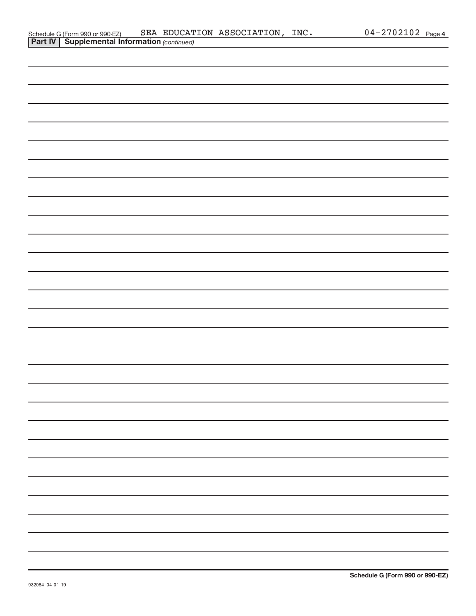| Schedule G (Form 990 or 990-EZ)                       |  | SEA EDUCATION ASSOCIATION, INC. | $04 - 2702102$ Page 4 |  |
|-------------------------------------------------------|--|---------------------------------|-----------------------|--|
| <b>Part IV   Supplemental Information (continued)</b> |  |                                 |                       |  |

| <b>Contract Contract Contract Contract</b> |  | $\sim$<br>$\overline{\phantom{a}}$ |  |  |  |
|--------------------------------------------|--|------------------------------------|--|--|--|
|                                            |  |                                    |  |  |  |
|                                            |  |                                    |  |  |  |
|                                            |  |                                    |  |  |  |
|                                            |  |                                    |  |  |  |
|                                            |  |                                    |  |  |  |
|                                            |  |                                    |  |  |  |
|                                            |  |                                    |  |  |  |
|                                            |  |                                    |  |  |  |
|                                            |  |                                    |  |  |  |
|                                            |  |                                    |  |  |  |
|                                            |  |                                    |  |  |  |
|                                            |  |                                    |  |  |  |
|                                            |  |                                    |  |  |  |
|                                            |  |                                    |  |  |  |
|                                            |  |                                    |  |  |  |
|                                            |  |                                    |  |  |  |
|                                            |  |                                    |  |  |  |
|                                            |  |                                    |  |  |  |
|                                            |  |                                    |  |  |  |
|                                            |  |                                    |  |  |  |
|                                            |  |                                    |  |  |  |
|                                            |  |                                    |  |  |  |
|                                            |  |                                    |  |  |  |
|                                            |  |                                    |  |  |  |
|                                            |  |                                    |  |  |  |
|                                            |  |                                    |  |  |  |
|                                            |  |                                    |  |  |  |
|                                            |  |                                    |  |  |  |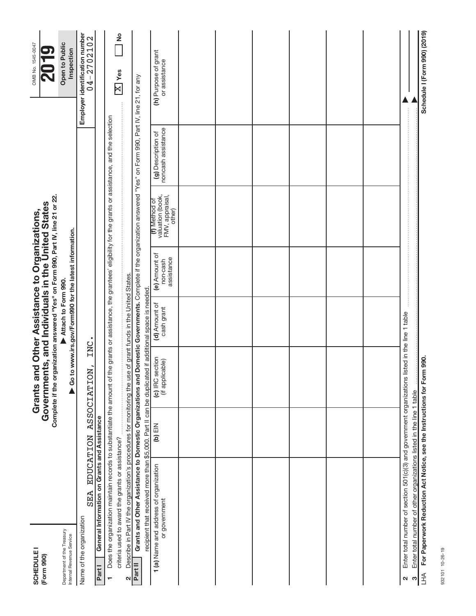| <b>SCHEDULE</b><br>(Form 990)                          |                                                                                                                                                                                                                                                                          |           | Complete if the organization answered "Yes" on Form 990, Part IV, line 21 or 22.<br>Governments, and Individuals in the United States<br>Grants ar |                             | nd Other Assistance to Organizations,                   |                                                                |                                                                                                    | OMB No. 1545-0047                              |
|--------------------------------------------------------|--------------------------------------------------------------------------------------------------------------------------------------------------------------------------------------------------------------------------------------------------------------------------|-----------|----------------------------------------------------------------------------------------------------------------------------------------------------|-----------------------------|---------------------------------------------------------|----------------------------------------------------------------|----------------------------------------------------------------------------------------------------|------------------------------------------------|
| Department of the Treasury<br>Internal Revenue Service |                                                                                                                                                                                                                                                                          |           |                                                                                                                                                    | Attach to Form 990.         | ▶ Go to www.irs.gov/Form990 for the latest information. |                                                                |                                                                                                    | Open to Public<br>Inspection                   |
| Name of the organization                               | SEA                                                                                                                                                                                                                                                                      |           | INC<br>EDUCATION ASSOCIATION,                                                                                                                      |                             |                                                         |                                                                |                                                                                                    | Employer identification number<br>04 – 2702102 |
| Part I                                                 | General Information on Grants and Assistance                                                                                                                                                                                                                             |           |                                                                                                                                                    |                             |                                                         |                                                                |                                                                                                    |                                                |
| $\blacksquare$                                         | Does the organization maintain records to substantiate the amount of to                                                                                                                                                                                                  |           |                                                                                                                                                    |                             |                                                         |                                                                | he grants or assistance, the grantees' eligibility for the grants or assistance, and the selection |                                                |
|                                                        | criteria used to award the grants or assistance?                                                                                                                                                                                                                         |           |                                                                                                                                                    |                             |                                                         |                                                                |                                                                                                    | $\frac{1}{2}$<br>$\overline{\text{X}}$ Yes     |
| 2                                                      | Describe in Part IV the organization's procedures for monitoring the use of grant funds in the United States.                                                                                                                                                            |           |                                                                                                                                                    |                             |                                                         |                                                                |                                                                                                    |                                                |
| Part II                                                | Grants and Other Assistance to Domestic Organizations and Domestic Governments. Complete if the organization answered "Yes" on Form 990, Part IV, line 21, for any<br>recipient that received more than \$5,000. Part II can be duplicated if additional space is needed |           |                                                                                                                                                    |                             |                                                         |                                                                |                                                                                                    |                                                |
|                                                        | 1 (a) Name and address of organization<br>or government                                                                                                                                                                                                                  | $(b)$ EIN | (c) IRC section<br>(if applicable)                                                                                                                 | (d) Amount of<br>cash grant | (e) Amount of<br>assistance<br>non-cash                 | valuation (book,<br>FMV, appraisal,<br>(f) Method of<br>other) | noncash assistance<br>(g) Description of                                                           | (h) Purpose of grant<br>or assistance          |
|                                                        |                                                                                                                                                                                                                                                                          |           |                                                                                                                                                    |                             |                                                         |                                                                |                                                                                                    |                                                |
|                                                        |                                                                                                                                                                                                                                                                          |           |                                                                                                                                                    |                             |                                                         |                                                                |                                                                                                    |                                                |
|                                                        |                                                                                                                                                                                                                                                                          |           |                                                                                                                                                    |                             |                                                         |                                                                |                                                                                                    |                                                |
|                                                        |                                                                                                                                                                                                                                                                          |           |                                                                                                                                                    |                             |                                                         |                                                                |                                                                                                    |                                                |
|                                                        |                                                                                                                                                                                                                                                                          |           |                                                                                                                                                    |                             |                                                         |                                                                |                                                                                                    |                                                |
|                                                        |                                                                                                                                                                                                                                                                          |           |                                                                                                                                                    |                             |                                                         |                                                                |                                                                                                    |                                                |
| ∾                                                      | Enter total number of section 501(c)(3) and government organizations li                                                                                                                                                                                                  |           |                                                                                                                                                    | sted in the line 1 table    |                                                         |                                                                |                                                                                                    | İ                                              |
| ო                                                      | Enter total number of other organizations listed in the line 1 table                                                                                                                                                                                                     |           |                                                                                                                                                    |                             |                                                         |                                                                |                                                                                                    |                                                |
|                                                        | LHA For Paperwork Reduction Act Notice, see the Instructions for Form 990.                                                                                                                                                                                               |           |                                                                                                                                                    |                             |                                                         |                                                                |                                                                                                    | Schedule I (Form 990) (2019)                   |

932101 10-26-19 932101 10-26-19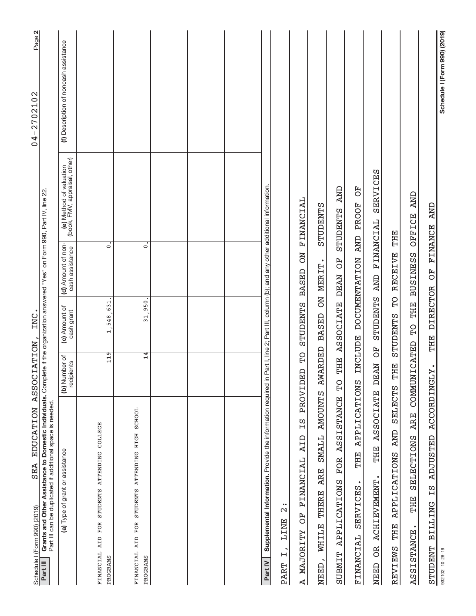| Schedule   (Form 990) (2019)                                                                                                                                                                                                                               |                                       |                             |                                       |                                                          | Page 2<br>2702102<br>$\,$ $\,$<br>$\overline{0}$ |
|------------------------------------------------------------------------------------------------------------------------------------------------------------------------------------------------------------------------------------------------------------|---------------------------------------|-----------------------------|---------------------------------------|----------------------------------------------------------|--------------------------------------------------|
| Form 990) (2019) SEA EDUCATION ASSOCIATION, INC.<br>Grants and Other Assistance to Domestic Individuals. Complete if the organization answered "Yes" on Form 990, Part IV, line 22<br>Part III can be duplicated if additional space is needed<br>Part III |                                       |                             |                                       |                                                          |                                                  |
| (a) Type of grant or assistance                                                                                                                                                                                                                            | (b) Number of<br>recipients           | (c) Amount of<br>cash grant | (d) Amount of non-<br>cash assistance | (e) Method of valuation<br>(book, FMV, appraisal, other) | (f) Description of noncash assistance            |
| FINANCIAL AID FOR STUDENTS ATTENDING COLLEGE<br>PROGRAMS                                                                                                                                                                                                   | 119                                   | 1,548,631.                  | $\dot{\circ}$                         |                                                          |                                                  |
| FINANCIAL AID FOR STUDENTS ATTENDING HIGH SCHOOL<br>PROGRAMS                                                                                                                                                                                               | $rac{4}{1}$                           | 31,950.                     | $\dot{\circ}$                         |                                                          |                                                  |
|                                                                                                                                                                                                                                                            |                                       |                             |                                       |                                                          |                                                  |
|                                                                                                                                                                                                                                                            |                                       |                             |                                       |                                                          |                                                  |
|                                                                                                                                                                                                                                                            |                                       |                             |                                       |                                                          |                                                  |
| Supplemental Information. Provide the information required in Part I, line 2; Part III, column (b); and any other additional information.<br>Part IV                                                                                                       |                                       |                             |                                       |                                                          |                                                  |
| $\bullet\bullet$<br>$\mathbf{\Omega}$<br>LINE<br>$\mathsf{H}$<br><b>PART</b>                                                                                                                                                                               |                                       |                             |                                       |                                                          |                                                  |
| ΞS<br>AID<br><b>FINANCIAL</b><br>FO <sub>D</sub><br><b>MAJORITY</b><br>⊲∣                                                                                                                                                                                  | <b>OH</b><br>日<br>PROVID <sub>1</sub> | STUDENTS                    | NO<br><b>BASED</b>                    | <b>TRIMANCIAL</b>                                        |                                                  |
| SMALL AMOUNTS<br><b>ARE</b><br>WHILE THERE<br>NEED,                                                                                                                                                                                                        |                                       | AWARDED BASED ON MERIT.     |                                       | STUDENTS                                                 |                                                  |
| <b>ASSISTANCE</b><br>FOR<br><b>APPLICATIONS</b><br><b>SUBMIT</b>                                                                                                                                                                                           | THE<br>ΡÓ                             | <b>ASSOCIATE</b>            | FO <sub>D</sub><br><b>DEAN</b>        | <b>AND</b><br>STUDENTS                                   |                                                  |
| APPLICATIONS<br>THE<br><b>SERVICES</b><br>FINANCIAL                                                                                                                                                                                                        | <b>INCLUDE</b>                        |                             | <b>AND</b><br><b>DOCUMENTATION</b>    | 5O<br>PROOF                                              |                                                  |
| <b>ASSOCIATE</b><br>THE<br><b>ACHIEVEMENT</b><br><b>BC</b><br>NEED                                                                                                                                                                                         | F)<br><b>DEAN</b>                     | STUDENTS                    | <b>AND</b>                            | FINANCIAL SERVICES                                       |                                                  |
| SELECTS<br><b>AND</b><br>APPLICATIONS<br>THE<br>REVIEWS                                                                                                                                                                                                    | THE                                   | STUDENTS TO                 | <b>RECEIVE</b>                        | THE                                                      |                                                  |
| <b>ARE</b><br>SELECTIONS<br>THE<br><b>ASSISTANCE</b>                                                                                                                                                                                                       | COMMUNICATED                          | THE<br>$\Omega$             | <b>BUSINESS</b>                       | <b>AND</b><br>OFFICE                                     |                                                  |
| ACCORDINGLY.<br><b>ADJUSTED</b><br>S<br>H<br><b>BILLING</b><br><b>STUDENT</b>                                                                                                                                                                              |                                       | DIRECTOR OF<br>THE          |                                       | FINANCE AND                                              |                                                  |
| 932102 10-26-19                                                                                                                                                                                                                                            |                                       |                             |                                       |                                                          | Schedule I (Form 990) (2019)                     |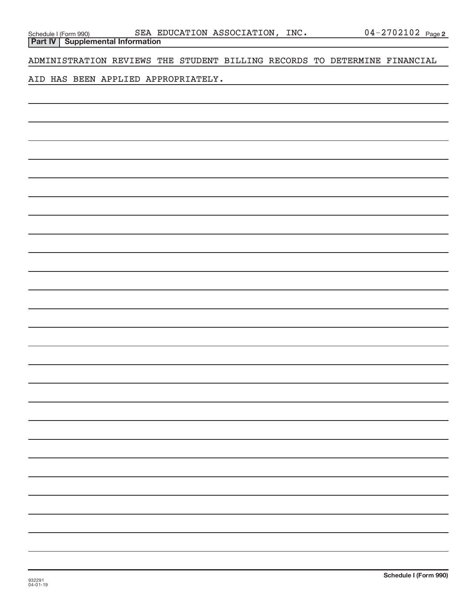**Part IV Supplemental Information**

ADMINISTRATION REVIEWS THE STUDENT BILLING RECORDS TO DETERMINE FINANCIAL

AID HAS BEEN APPLIED APPROPRIATELY.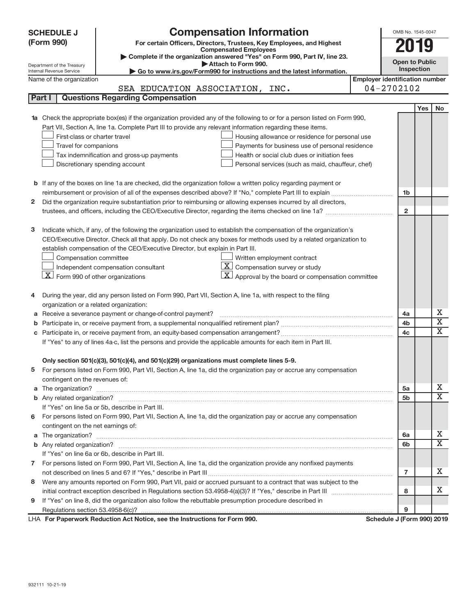| <b>Compensation Information</b><br><b>SCHEDULE J</b>                                                                                                    | OMB No. 1545-0047                     |            |                         |
|---------------------------------------------------------------------------------------------------------------------------------------------------------|---------------------------------------|------------|-------------------------|
| (Form 990)<br>For certain Officers, Directors, Trustees, Key Employees, and Highest                                                                     |                                       |            |                         |
| <b>Compensated Employees</b>                                                                                                                            |                                       | 019        |                         |
| Complete if the organization answered "Yes" on Form 990, Part IV, line 23.                                                                              | <b>Open to Public</b>                 |            |                         |
| Attach to Form 990.<br>Department of the Treasury<br>Go to www.irs.gov/Form990 for instructions and the latest information.<br>Internal Revenue Service | Inspection                            |            |                         |
| Name of the organization                                                                                                                                | <b>Employer identification number</b> |            |                         |
| SEA EDUCATION ASSOCIATION, INC.                                                                                                                         | $04 - 2702102$                        |            |                         |
| <b>Questions Regarding Compensation</b><br>Part I                                                                                                       |                                       |            |                         |
|                                                                                                                                                         |                                       | <b>Yes</b> | No                      |
| <b>1a</b> Check the appropriate box(es) if the organization provided any of the following to or for a person listed on Form 990,                        |                                       |            |                         |
| Part VII, Section A, line 1a. Complete Part III to provide any relevant information regarding these items.                                              |                                       |            |                         |
| First-class or charter travel<br>Housing allowance or residence for personal use                                                                        |                                       |            |                         |
| Travel for companions<br>Payments for business use of personal residence                                                                                |                                       |            |                         |
| Health or social club dues or initiation fees<br>Tax indemnification and gross-up payments                                                              |                                       |            |                         |
| Discretionary spending account<br>Personal services (such as maid, chauffeur, chef)                                                                     |                                       |            |                         |
|                                                                                                                                                         |                                       |            |                         |
| <b>b</b> If any of the boxes on line 1a are checked, did the organization follow a written policy regarding payment or                                  |                                       |            |                         |
|                                                                                                                                                         | 1b                                    |            |                         |
| Did the organization require substantiation prior to reimbursing or allowing expenses incurred by all directors,<br>2                                   |                                       |            |                         |
|                                                                                                                                                         | $\overline{2}$                        |            |                         |
|                                                                                                                                                         |                                       |            |                         |
| Indicate which, if any, of the following the organization used to establish the compensation of the organization's<br>з                                 |                                       |            |                         |
| CEO/Executive Director. Check all that apply. Do not check any boxes for methods used by a related organization to                                      |                                       |            |                         |
| establish compensation of the CEO/Executive Director, but explain in Part III.                                                                          |                                       |            |                         |
| Written employment contract<br>Compensation committee                                                                                                   |                                       |            |                         |
| $ \mathbf{X} $ Compensation survey or study<br>Independent compensation consultant                                                                      |                                       |            |                         |
| $\lfloor \underline{X} \rfloor$ Form 990 of other organizations<br>$\underline{X}$ Approval by the board or compensation committee                      |                                       |            |                         |
|                                                                                                                                                         |                                       |            |                         |
| During the year, did any person listed on Form 990, Part VII, Section A, line 1a, with respect to the filing<br>4                                       |                                       |            |                         |
| organization or a related organization:                                                                                                                 |                                       |            |                         |
| Receive a severance payment or change-of-control payment?<br>а                                                                                          | 4a                                    |            | х                       |
| b                                                                                                                                                       | 4b                                    |            | $\overline{\text{X}}$   |
|                                                                                                                                                         | 4c                                    |            | X                       |
| If "Yes" to any of lines 4a-c, list the persons and provide the applicable amounts for each item in Part III.                                           |                                       |            |                         |
|                                                                                                                                                         |                                       |            |                         |
| Only section 501(c)(3), 501(c)(4), and 501(c)(29) organizations must complete lines 5-9.                                                                |                                       |            |                         |
| For persons listed on Form 990, Part VII, Section A, line 1a, did the organization pay or accrue any compensation                                       |                                       |            |                         |
| contingent on the revenues of:                                                                                                                          |                                       |            |                         |
|                                                                                                                                                         | 5a                                    |            | x<br>X                  |
|                                                                                                                                                         | 5b                                    |            |                         |
| If "Yes" on line 5a or 5b, describe in Part III.                                                                                                        |                                       |            |                         |
| For persons listed on Form 990, Part VII, Section A, line 1a, did the organization pay or accrue any compensation<br>6                                  |                                       |            |                         |
| contingent on the net earnings of:                                                                                                                      |                                       |            | Х                       |
| a                                                                                                                                                       | 6a                                    |            | $\overline{\mathbf{X}}$ |
| If "Yes" on line 6a or 6b, describe in Part III.                                                                                                        | 6b                                    |            |                         |
|                                                                                                                                                         |                                       |            |                         |
| 7 For persons listed on Form 990, Part VII, Section A, line 1a, did the organization provide any nonfixed payments                                      | 7                                     |            | x                       |
| Were any amounts reported on Form 990, Part VII, paid or accrued pursuant to a contract that was subject to the<br>8                                    |                                       |            |                         |
|                                                                                                                                                         | 8                                     |            | x                       |
| If "Yes" on line 8, did the organization also follow the rebuttable presumption procedure described in<br>9                                             |                                       |            |                         |
|                                                                                                                                                         | 9                                     |            |                         |
| LHA For Paperwork Reduction Act Notice, see the Instructions for Form 990.                                                                              | Schedule J (Form 990) 2019            |            |                         |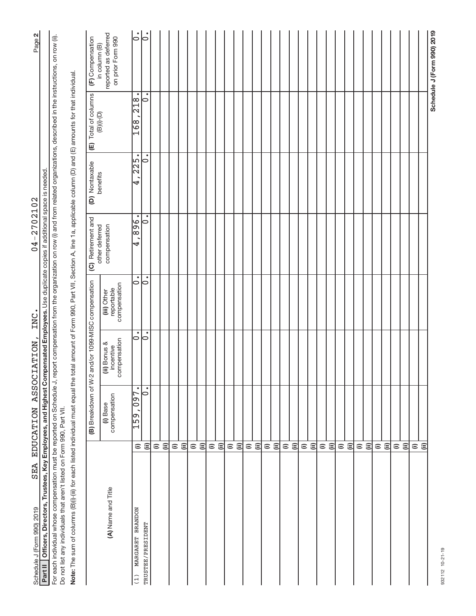| <b>SEA</b><br>Schedule J (Form 990) 2019                                                                                                                                                                |                                     | <b>EDUCATION</b>         | ASSOCIATION,                                       | INC.                                      | $04 - 2702102$                       |                          |                                                 | Page 2                                    |
|---------------------------------------------------------------------------------------------------------------------------------------------------------------------------------------------------------|-------------------------------------|--------------------------|----------------------------------------------------|-------------------------------------------|--------------------------------------|--------------------------|-------------------------------------------------|-------------------------------------------|
| Officers, Directors, Trustees, Key Employees, and Highest Compensated Employees. Use duplicate copies if additional space is needed.<br>Part II                                                         |                                     |                          |                                                    |                                           |                                      |                          |                                                 |                                           |
| For each individual whose compensation must be reported on Schedule J, report compensation from the organization on row (i) and from related organizations, described in the instructions, on row (ii). |                                     |                          |                                                    |                                           |                                      |                          |                                                 |                                           |
| Do not list any individuals that aren't listed on Form 990, Part VII.                                                                                                                                   |                                     |                          |                                                    |                                           |                                      |                          |                                                 |                                           |
| Note: The sum of columns (B)(i)-(iii) for each listed individual must equal the total amount of Form 990, Part VII, Section A, line 1a, applicable column (D) and (E) amounts for that individual.      |                                     |                          |                                                    |                                           |                                      |                          |                                                 |                                           |
|                                                                                                                                                                                                         |                                     |                          | (B) Breakdown of W-2 and/or 1099-MISC compensation |                                           | (C) Retirement and<br>other deferred | (D) Nontaxable           | (E) Total of columns                            | (F) Compensation<br>in column (B)         |
| (A) Name and Title                                                                                                                                                                                      |                                     | compensation<br>(i) Base | compensation<br>(ii) Bonus &<br>incentive          | compensation<br>reportable<br>(iii) Other | compensation                         | benefits                 | $\textcolor{blue}{\textbf{(B)(i)\text{-}(D)}}$  | reported as deferred<br>on prior Form 990 |
| MARGARET BRANDON<br>(1)                                                                                                                                                                                 | $\widehat{=}$                       | $\bullet$<br>159,097     | $\ddot{\circ}$                                     | $\bullet$<br>$\circ$                      | $\frac{1}{896}$<br>।<br>य            | $\overline{225}$ .<br>4, | $\bullet$<br>$\frac{8}{218}$<br>$\frac{891}{2}$ | $\bullet$<br>$\circ$                      |
| TRUSTEE/PRESIDENT                                                                                                                                                                                       | $\widehat{\equiv}$                  | $\bullet$<br>$\circ$     | ¦°                                                 | $\dot{\circ}$                             | $\circ$                              | $\circ$                  | ٠<br>$\circ$                                    | $\bullet$<br>$\circ$                      |
|                                                                                                                                                                                                         | $\widehat{=}$                       |                          |                                                    |                                           |                                      |                          |                                                 |                                           |
|                                                                                                                                                                                                         | $\widehat{\equiv}$                  |                          |                                                    |                                           |                                      |                          |                                                 |                                           |
|                                                                                                                                                                                                         | $\widehat{\equiv}$<br>$\widehat{=}$ |                          |                                                    |                                           |                                      |                          |                                                 |                                           |
|                                                                                                                                                                                                         | $\widehat{=}$                       |                          |                                                    |                                           |                                      |                          |                                                 |                                           |
|                                                                                                                                                                                                         | $\widehat{\equiv}$                  |                          |                                                    |                                           |                                      |                          |                                                 |                                           |
|                                                                                                                                                                                                         | $\widehat{=}$                       |                          |                                                    |                                           |                                      |                          |                                                 |                                           |
|                                                                                                                                                                                                         | 闫                                   |                          |                                                    |                                           |                                      |                          |                                                 |                                           |
|                                                                                                                                                                                                         | $\widehat{=}$                       |                          |                                                    |                                           |                                      |                          |                                                 |                                           |
|                                                                                                                                                                                                         | $\widehat{\equiv}$                  |                          |                                                    |                                           |                                      |                          |                                                 |                                           |
|                                                                                                                                                                                                         | $\widehat{=}$                       |                          |                                                    |                                           |                                      |                          |                                                 |                                           |
|                                                                                                                                                                                                         | $\widehat{\equiv}$                  |                          |                                                    |                                           |                                      |                          |                                                 |                                           |
|                                                                                                                                                                                                         | $\widehat{=}$                       |                          |                                                    |                                           |                                      |                          |                                                 |                                           |
|                                                                                                                                                                                                         | $\widehat{\equiv}$                  |                          |                                                    |                                           |                                      |                          |                                                 |                                           |
|                                                                                                                                                                                                         | $\widehat{=}$                       |                          |                                                    |                                           |                                      |                          |                                                 |                                           |
|                                                                                                                                                                                                         | $\widehat{\equiv}$                  |                          |                                                    |                                           |                                      |                          |                                                 |                                           |
|                                                                                                                                                                                                         | $\widehat{=}$                       |                          |                                                    |                                           |                                      |                          |                                                 |                                           |
|                                                                                                                                                                                                         | $\widehat{=}$                       |                          |                                                    |                                           |                                      |                          |                                                 |                                           |
|                                                                                                                                                                                                         | $\widehat{=}$                       |                          |                                                    |                                           |                                      |                          |                                                 |                                           |
|                                                                                                                                                                                                         | $\widehat{\equiv}$                  |                          |                                                    |                                           |                                      |                          |                                                 |                                           |
|                                                                                                                                                                                                         |                                     |                          |                                                    |                                           |                                      |                          |                                                 |                                           |
|                                                                                                                                                                                                         | ΞĒ                                  |                          |                                                    |                                           |                                      |                          |                                                 |                                           |
|                                                                                                                                                                                                         | $\widehat{=}$                       |                          |                                                    |                                           |                                      |                          |                                                 |                                           |
|                                                                                                                                                                                                         | $\widehat{=}$                       |                          |                                                    |                                           |                                      |                          |                                                 |                                           |
|                                                                                                                                                                                                         | $\widehat{=}$                       |                          |                                                    |                                           |                                      |                          |                                                 |                                           |
|                                                                                                                                                                                                         | $\widehat{\Xi}$                     |                          |                                                    |                                           |                                      |                          |                                                 |                                           |
|                                                                                                                                                                                                         | $\widehat{=}$                       |                          |                                                    |                                           |                                      |                          |                                                 |                                           |
|                                                                                                                                                                                                         | $\widehat{=}$                       |                          |                                                    |                                           |                                      |                          |                                                 |                                           |
|                                                                                                                                                                                                         | $\widehat{=}$                       |                          |                                                    |                                           |                                      |                          |                                                 |                                           |
|                                                                                                                                                                                                         | $\widehat{=}$                       |                          |                                                    |                                           |                                      |                          |                                                 |                                           |
|                                                                                                                                                                                                         |                                     |                          |                                                    |                                           |                                      |                          |                                                 | Schedule J (Form 990) 2019                |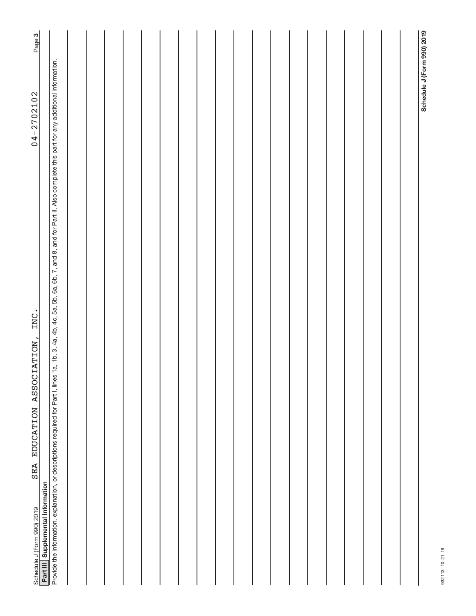| Page 3                                                                                                |                                                                                                                                                                                                            |  |  |  |  |  |  |  |  |  |                            |
|-------------------------------------------------------------------------------------------------------|------------------------------------------------------------------------------------------------------------------------------------------------------------------------------------------------------------|--|--|--|--|--|--|--|--|--|----------------------------|
| $04 - 2702102$                                                                                        |                                                                                                                                                                                                            |  |  |  |  |  |  |  |  |  | Schedule J (Form 990) 2019 |
| INC.<br>SEA EDUCATION ASSOCIATION,<br>Part III Supplemental Information<br>Schedule J (Form 990) 2019 | Provide the information, explanation, or descriptions required for Part I, lines 1a, 1b, 3, 4a, 4b, 4c, 5a, 5b, 6a, 6b, 7, and 8, and for Part II. Also complete this part for any additional information. |  |  |  |  |  |  |  |  |  |                            |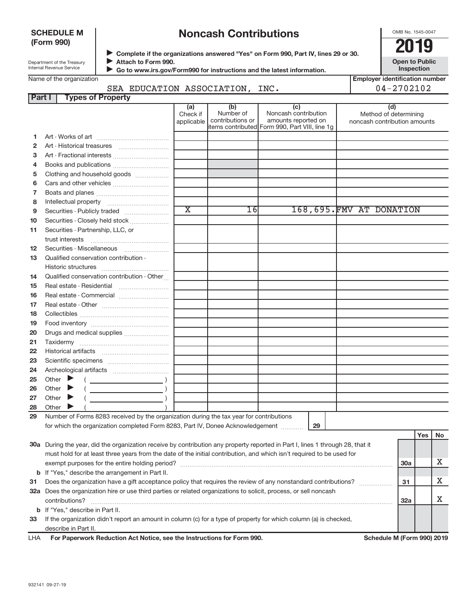### **SCHEDULE M (Form 990)**

# **Noncash Contributions**

OMB No. 1545-0047

**Employer identification number**

| Department of the Treasury      |
|---------------------------------|
| <b>Internal Revenue Service</b> |
|                                 |

◆ Complete if the organizations answered "Yes" on Form 990, Part IV, lines 29 or 30.<br>● **2019 Attach to Form 990.**  $\blacktriangleright$ 

**Open to Public Inspection**

|  | Name of the organization |  |
|--|--------------------------|--|
|  |                          |  |
|  |                          |  |
|  |                          |  |

 **Go to www.irs.gov/Form990 for instructions and the latest information.** J

# SEA EDUCATION ASSOCIATION, INC. 04-2702102

| <b>Part I</b> | <b>Types of Property</b>                                                                                                       |                             |                               |                                                |                                                       |            |            |    |
|---------------|--------------------------------------------------------------------------------------------------------------------------------|-----------------------------|-------------------------------|------------------------------------------------|-------------------------------------------------------|------------|------------|----|
|               |                                                                                                                                | (a)                         | (b)                           | (c)                                            | (d)                                                   |            |            |    |
|               |                                                                                                                                | Check if<br>applicable      | Number of<br>contributions or | Noncash contribution<br>amounts reported on    | Method of determining<br>noncash contribution amounts |            |            |    |
|               |                                                                                                                                |                             |                               | items contributed Form 990, Part VIII, line 1g |                                                       |            |            |    |
| 1             |                                                                                                                                |                             |                               |                                                |                                                       |            |            |    |
| $\mathbf{2}$  |                                                                                                                                |                             |                               |                                                |                                                       |            |            |    |
| з             | Art - Fractional interests                                                                                                     |                             |                               |                                                |                                                       |            |            |    |
| 4             | Books and publications                                                                                                         |                             |                               |                                                |                                                       |            |            |    |
| 5             | Clothing and household goods                                                                                                   |                             |                               |                                                |                                                       |            |            |    |
| 6             |                                                                                                                                |                             |                               |                                                |                                                       |            |            |    |
| 7             |                                                                                                                                |                             |                               |                                                |                                                       |            |            |    |
| 8             |                                                                                                                                |                             |                               |                                                |                                                       |            |            |    |
| 9             |                                                                                                                                | $\overline{\textnormal{x}}$ | 16                            |                                                | 168,695. FMV AT DONATION                              |            |            |    |
| 10            | Securities - Closely held stock                                                                                                |                             |                               |                                                |                                                       |            |            |    |
| 11            | Securities - Partnership, LLC, or                                                                                              |                             |                               |                                                |                                                       |            |            |    |
|               | trust interests                                                                                                                |                             |                               |                                                |                                                       |            |            |    |
| 12            |                                                                                                                                |                             |                               |                                                |                                                       |            |            |    |
| 13            | Qualified conservation contribution -                                                                                          |                             |                               |                                                |                                                       |            |            |    |
|               |                                                                                                                                |                             |                               |                                                |                                                       |            |            |    |
| 14            | Qualified conservation contribution - Other                                                                                    |                             |                               |                                                |                                                       |            |            |    |
| 15            | Real estate - Residential                                                                                                      |                             |                               |                                                |                                                       |            |            |    |
| 16            | Real estate - Commercial                                                                                                       |                             |                               |                                                |                                                       |            |            |    |
| 17            |                                                                                                                                |                             |                               |                                                |                                                       |            |            |    |
| 18            |                                                                                                                                |                             |                               |                                                |                                                       |            |            |    |
| 19            |                                                                                                                                |                             |                               |                                                |                                                       |            |            |    |
| 20            | Drugs and medical supplies                                                                                                     |                             |                               |                                                |                                                       |            |            |    |
| 21            |                                                                                                                                |                             |                               |                                                |                                                       |            |            |    |
| 22            |                                                                                                                                |                             |                               |                                                |                                                       |            |            |    |
| 23            |                                                                                                                                |                             |                               |                                                |                                                       |            |            |    |
| 24            |                                                                                                                                |                             |                               |                                                |                                                       |            |            |    |
| 25            | Other $\blacktriangleright$                                                                                                    |                             |                               |                                                |                                                       |            |            |    |
| 26            | Other $\blacktriangleright$                                                                                                    |                             |                               |                                                |                                                       |            |            |    |
| 27            | Other $\blacktriangleright$                                                                                                    |                             |                               |                                                |                                                       |            |            |    |
| 28            | Other                                                                                                                          |                             |                               |                                                |                                                       |            |            |    |
| 29            | Number of Forms 8283 received by the organization during the tax year for contributions                                        |                             |                               |                                                |                                                       |            |            |    |
|               | for which the organization completed Form 8283, Part IV, Donee Acknowledgement                                                 |                             |                               | 29                                             |                                                       |            |            |    |
|               |                                                                                                                                |                             |                               |                                                |                                                       |            | <b>Yes</b> | No |
|               | 30a During the year, did the organization receive by contribution any property reported in Part I, lines 1 through 28, that it |                             |                               |                                                |                                                       |            |            |    |
|               | must hold for at least three years from the date of the initial contribution, and which isn't required to be used for          |                             |                               |                                                |                                                       |            |            |    |
|               |                                                                                                                                |                             |                               |                                                |                                                       | <b>30a</b> |            | x  |
|               | <b>b</b> If "Yes," describe the arrangement in Part II.                                                                        |                             |                               |                                                |                                                       |            |            |    |
| 31            | Does the organization have a gift acceptance policy that requires the review of any nonstandard contributions?                 |                             |                               |                                                |                                                       | 31         |            | x  |

**33** If the organization didn't report an amount in column (c) for a type of property for which column (a) is checked, **b** If "Yes," describe in Part II.  $\text{contributions?}$   $\ldots$   $\ldots$   $\ldots$   $\ldots$   $\ldots$   $\ldots$   $\ldots$   $\ldots$   $\ldots$   $\ldots$   $\ldots$   $\ldots$   $\ldots$   $\ldots$   $\ldots$   $\ldots$   $\ldots$   $\ldots$   $\ldots$   $\ldots$   $\ldots$   $\ldots$   $\ldots$   $\ldots$   $\ldots$   $\ldots$   $\ldots$   $\ldots$   $\ldots$   $\ldots$   $\ldots$   $\ldots$   $\ldots$   $\ldots$   $\ldots$  describe in Part II.

**32 a** Does the organization hire or use third parties or related organizations to solicit, process, or sell noncash

| For Paperwork Reduction Act Notice, see the Instructions for Form 990.<br><b>LHA</b> |
|--------------------------------------------------------------------------------------|
|--------------------------------------------------------------------------------------|

Schedule M (Form 990) 2019

**32a**

X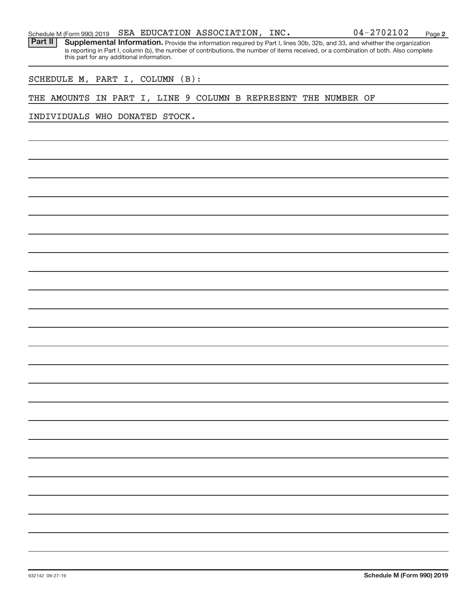|  |  |  |  | Schedule M (Form 990) 2019 SEA EDUCATION ASSOCIATION, | INC. | $04 - 2702102$ | Page |  |
|--|--|--|--|-------------------------------------------------------|------|----------------|------|--|
|--|--|--|--|-------------------------------------------------------|------|----------------|------|--|

Provide the information required by Part I, lines 30b, 32b, and 33, and whether the organization is reporting in Part I, column (b), the number of contributions, the number of items received, or a combination of both. Also complete this part for any additional information. **Part II Supplemental Information.** 

SCHEDULE M, PART I, COLUMN (B):

## THE AMOUNTS IN PART I, LINE 9 COLUMN B REPRESENT THE NUMBER OF

INDIVIDUALS WHO DONATED STOCK.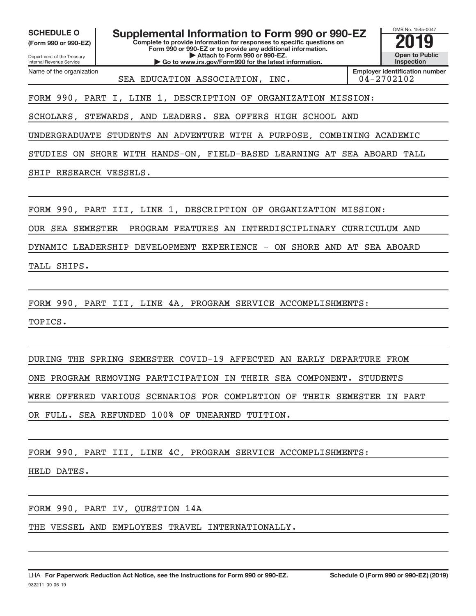**(Form 990 or 990-EZ)**

Department of the Treasury

Name of the organization

Internal Revenue Service

SCHEDULE O **Supplemental Information to Form 990 or 990-EZ** 2019<br>(Form 990 or 990-EZ) **2019** 

**Complete to provide information for responses to specific questions on Form 990 or 990-EZ or to provide any additional information. | Attach to Form 990 or 990-EZ.**

**| Go to www.irs.gov/Form990 for the latest information.**

OMB No. 1545-0047 **Open to Public Inspection**

SEA EDUCATION ASSOCIATION, INC.  $|04-2702102|$ 

**Employer identification number**

FORM 990, PART I, LINE 1, DESCRIPTION OF ORGANIZATION MISSION:

SCHOLARS, STEWARDS, AND LEADERS. SEA OFFERS HIGH SCHOOL AND

UNDERGRADUATE STUDENTS AN ADVENTURE WITH A PURPOSE, COMBINING ACADEMIC

STUDIES ON SHORE WITH HANDS-ON, FIELD-BASED LEARNING AT SEA ABOARD TALL

SHIP RESEARCH VESSELS.

FORM 990, PART III, LINE 1, DESCRIPTION OF ORGANIZATION MISSION:

OUR SEA SEMESTER PROGRAM FEATURES AN INTERDISCIPLINARY CURRICULUM AND

DYNAMIC LEADERSHIP DEVELOPMENT EXPERIENCE - ON SHORE AND AT SEA ABOARD

TALL SHIPS.

FORM 990, PART III, LINE 4A, PROGRAM SERVICE ACCOMPLISHMENTS:

TOPICS.

DURING THE SPRING SEMESTER COVID-19 AFFECTED AN EARLY DEPARTURE FROM ONE PROGRAM REMOVING PARTICIPATION IN THEIR SEA COMPONENT. STUDENTS WERE OFFERED VARIOUS SCENARIOS FOR COMPLETION OF THEIR SEMESTER IN PART OR FULL. SEA REFUNDED 100% OF UNEARNED TUITION.

FORM 990, PART III, LINE 4C, PROGRAM SERVICE ACCOMPLISHMENTS:

HELD DATES.

FORM 990, PART IV, QUESTION 14A

THE VESSEL AND EMPLOYEES TRAVEL INTERNATIONALLY.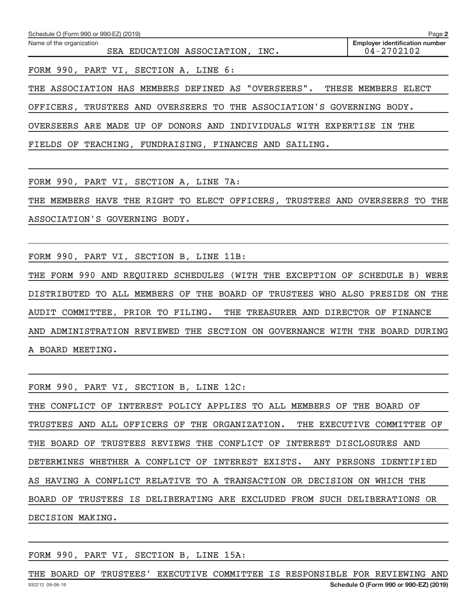| Schedule O (Form 990 or 990-EZ) (2019)                      | Page 2                                              |
|-------------------------------------------------------------|-----------------------------------------------------|
| Name of the organization<br>SEA EDUCATION ASSOCIATION, INC. | <b>Employer identification number</b><br>04-2702102 |
| FORM 990, PART VI, SECTION A, LINE 6:                       |                                                     |
|                                                             |                                                     |

THE ASSOCIATION HAS MEMBERS DEFINED AS "OVERSEERS". THESE MEMBERS ELECT

OFFICERS, TRUSTEES AND OVERSEERS TO THE ASSOCIATION'S GOVERNING BODY.

OVERSEERS ARE MADE UP OF DONORS AND INDIVIDUALS WITH EXPERTISE IN THE

FIELDS OF TEACHING, FUNDRAISING, FINANCES AND SAILING.

FORM 990, PART VI, SECTION A, LINE 7A:

THE MEMBERS HAVE THE RIGHT TO ELECT OFFICERS, TRUSTEES AND OVERSEERS TO THE ASSOCIATION'S GOVERNING BODY.

FORM 990, PART VI, SECTION B, LINE 11B:

THE FORM 990 AND REQUIRED SCHEDULES (WITH THE EXCEPTION OF SCHEDULE B) WERE DISTRIBUTED TO ALL MEMBERS OF THE BOARD OF TRUSTEES WHO ALSO PRESIDE ON THE AUDIT COMMITTEE, PRIOR TO FILING. THE TREASURER AND DIRECTOR OF FINANCE AND ADMINISTRATION REVIEWED THE SECTION ON GOVERNANCE WITH THE BOARD DURING A BOARD MEETING.

FORM 990, PART VI, SECTION B, LINE 12C:

THE CONFLICT OF INTEREST POLICY APPLIES TO ALL MEMBERS OF THE BOARD OF TRUSTEES AND ALL OFFICERS OF THE ORGANIZATION. THE EXECUTIVE COMMITTEE OF THE BOARD OF TRUSTEES REVIEWS THE CONFLICT OF INTEREST DISCLOSURES AND DETERMINES WHETHER A CONFLICT OF INTEREST EXISTS. ANY PERSONS IDENTIFIED AS HAVING A CONFLICT RELATIVE TO A TRANSACTION OR DECISION ON WHICH THE BOARD OF TRUSTEES IS DELIBERATING ARE EXCLUDED FROM SUCH DELIBERATIONS OR DECISION MAKING.

FORM 990, PART VI, SECTION B, LINE 15A:

932212 09-06-19 **Schedule O (Form 990 or 990-EZ) (2019)** THE BOARD OF TRUSTEES' EXECUTIVE COMMITTEE IS RESPONSIBLE FOR REVIEWING AND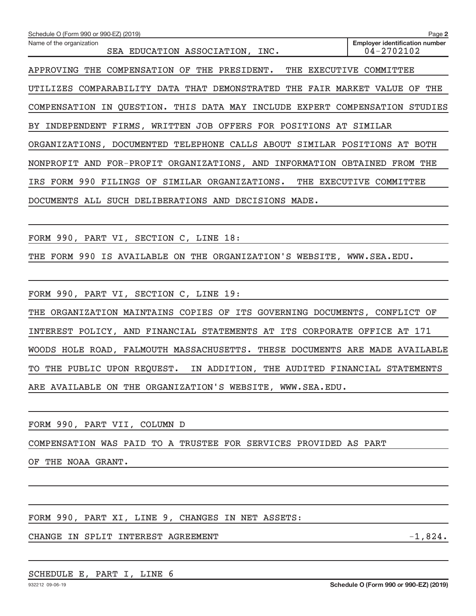| Schedule O (Form 990 or 990-EZ) (2019)                                      | Page 2                                                  |  |
|-----------------------------------------------------------------------------|---------------------------------------------------------|--|
| Name of the organization<br>SEA EDUCATION ASSOCIATION, INC.                 | <b>Employer identification number</b><br>$04 - 2702102$ |  |
| APPROVING THE COMPENSATION OF THE PRESIDENT.                                | THE EXECUTIVE COMMITTEE                                 |  |
| UTILIZES COMPARABILITY DATA THAT DEMONSTRATED THE FAIR MARKET VALUE OF THE  |                                                         |  |
| COMPENSATION IN QUESTION. THIS DATA MAY INCLUDE EXPERT COMPENSATION STUDIES |                                                         |  |
| BY INDEPENDENT FIRMS, WRITTEN JOB OFFERS FOR POSITIONS AT SIMILAR           |                                                         |  |
| ORGANIZATIONS, DOCUMENTED TELEPHONE CALLS ABOUT SIMILAR POSITIONS AT BOTH   |                                                         |  |
| NONPROFIT AND FOR-PROFIT ORGANIZATIONS, AND INFORMATION OBTAINED FROM THE   |                                                         |  |
| IRS FORM 990 FILINGS OF SIMILAR ORGANIZATIONS. THE EXECUTIVE COMMITTEE      |                                                         |  |
| DOCUMENTS ALL SUCH DELIBERATIONS AND DECISIONS MADE.                        |                                                         |  |
|                                                                             |                                                         |  |
| FORM 990, PART VI, SECTION C, LINE 18:                                      |                                                         |  |
| THE FORM 990 IS AVAILABLE ON THE ORGANIZATION'S WEBSITE, WWW.SEA.EDU.       |                                                         |  |
|                                                                             |                                                         |  |
| FORM 990, PART VI, SECTION C, LINE 19:                                      |                                                         |  |
| THE ORGANIZATION MAINTAINS COPIES OF ITS GOVERNING DOCUMENTS, CONFLICT OF   |                                                         |  |
| INTEREST POLICY, AND FINANCIAL STATEMENTS AT ITS CORPORATE OFFICE AT 171    |                                                         |  |

WOODS HOLE ROAD, FALMOUTH MASSACHUSETTS. THESE DOCUMENTS ARE MADE AVAILABLE TO THE PUBLIC UPON REQUEST. IN ADDITION, THE AUDITED FINANCIAL STATEMENTS

ARE AVAILABLE ON THE ORGANIZATION'S WEBSITE, WWW.SEA.EDU.

FORM 990, PART VII, COLUMN D

COMPENSATION WAS PAID TO A TRUSTEE FOR SERVICES PROVIDED AS PART

OF THE NOAA GRANT.

FORM 990, PART XI, LINE 9, CHANGES IN NET ASSETS:

CHANGE IN SPLIT INTEREST AGREEMENT FOR A SERIE AND THE SERIES OF  $-1,824$ .

### SCHEDULE E, PART I, LINE 6